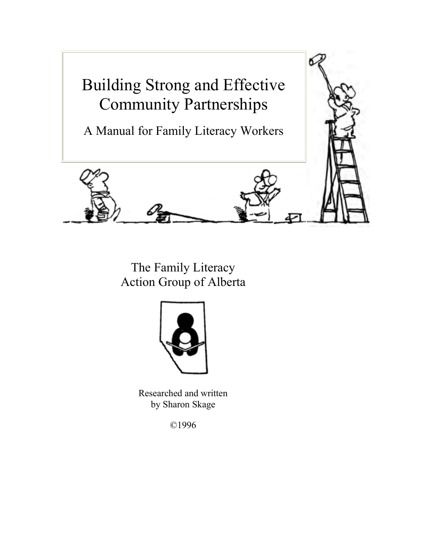

The Family Literacy Action Group of Alberta



Researched and written by Sharon Skage

©1996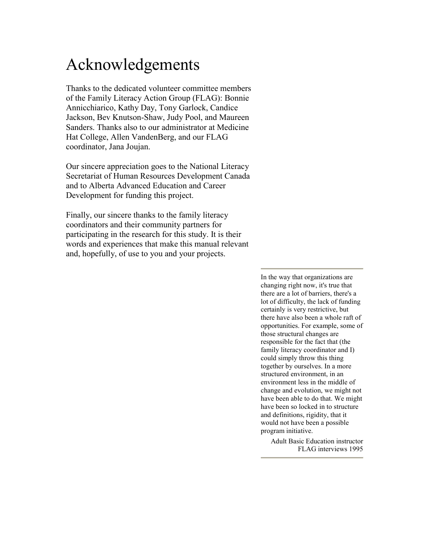# Acknowledgements

Thanks to the dedicated volunteer committee members of the Family Literacy Action Group (FLAG): Bonnie Annicchiarico, Kathy Day, Tony Garlock, Candice Jackson, Bev Knutson-Shaw, Judy Pool, and Maureen Sanders. Thanks also to our administrator at Medicine Hat College, Allen VandenBerg, and our FLAG coordinator, Jana Joujan.

Our sincere appreciation goes to the National Literacy Secretariat of Human Resources Development Canada and to Alberta Advanced Education and Career Development for funding this project.

Finally, our sincere thanks to the family literacy coordinators and their community partners for participating in the research for this study. It is their words and experiences that make this manual relevant and, hopefully, of use to you and your projects.

> In the way that organizations are changing right now, it's true that there are a lot of barriers, there's a lot of difficulty, the lack of funding certainly is very restrictive, but there have also been a whole raft of opportunities. For example, some of those structural changes are responsible for the fact that (the family literacy coordinator and I) could simply throw this thing together by ourselves. In a more structured environment, in an environment less in the middle of change and evolution, we might not have been able to do that. We might have been so locked in to structure and definitions, rigidity, that it would not have been a possible program initiative.

Adult Basic Education instructor FLAG interviews 1995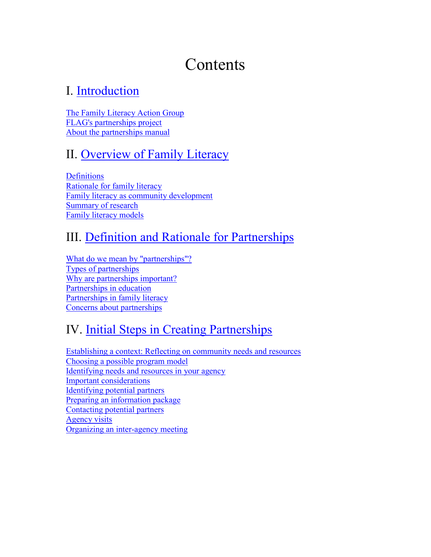# Contents

# I. [Introduction](#page-4-0)

[The Family Literacy Action Group](#page-5-0) [FLAG's partnerships project](#page-5-0) [About the partnerships manual](#page-7-0)

# II. [Overview of Family Literacy](#page-10-0)

**[Definitions](#page-11-0)** [Rationale for family literacy](#page-12-0) [Family literacy as community development](#page-13-0) [Summary of research](#page-14-0) [Family literacy models](#page-15-0)

# III. [Definition and Rationale for Partnerships](#page-22-0)

[What do we mean by "partnerships"?](#page-23-0) [Types of partnerships](#page-24-0) [Why are partnerships important?](#page-24-0) [Partnerships in education](#page-28-0) [Partnerships in family literacy](#page-31-0) [Concerns about partnerships](#page-32-0)

# IV. [Initial Steps in Creating Partnerships](#page-35-0)

[Establishing a context: Reflecting on community needs and](#page-36-0) resources [Choosing a possible program model](#page-37-0)  [Identifying needs and resources in your agency](#page-37-0) [Important considerations](#page-38-0) [Identifying potential partners](#page-40-0) [Preparing an information package](#page-45-0) [Contacting potential partners](#page-46-0) [Agency visits](#page-49-0) [Organizing an inter-agency meeting](#page-51-0)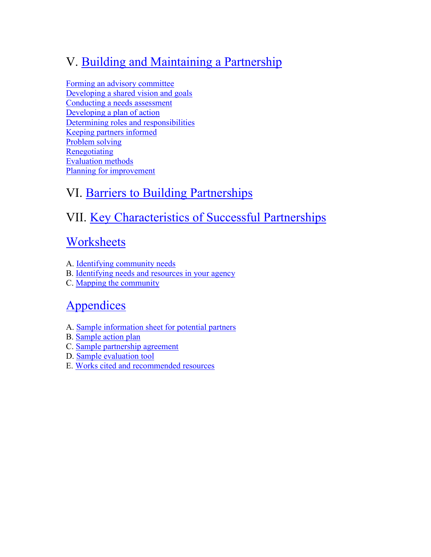# V. [Building and Maintaining a Partnership](#page-57-0)

[Forming an advisory committee](#page-58-0) [Developing a shared vision and goals](#page-59-0) [Conducting a needs assessment](#page-60-0) [Developing a plan of action](#page-61-0) [Determining roles and responsibilities](#page-62-0) [Keeping partners informed](#page-65-0) [Problem solving](#page-66-0) [Renegotiating](#page-67-0) [Evaluation methods](#page-67-0) [Planning for improvement](#page-69-0)

# VI. [Barriers to Building Partnerships](#page-70-0)

# VII. [Key Characteristics of Successful Partnerships](#page-78-0)

# **[Worksheets](#page-87-0)**

- A. [Identifying community needs](#page-88-0)
- B. [Identifying needs and resources in your agency](#page-90-0)
- C[. Mapping the community](#page-91-0)

# [Appendices](#page-92-0)

- A. [Sample information sheet for potential partners](#page-93-0)
- B. [Sample action plan](#page-95-0)
- C. [Sample partnership agreement](#page-96-0)
- D. [Sample evaluation tool](#page-98-0)
- E. [Works cited and recommended resources](#page-99-0)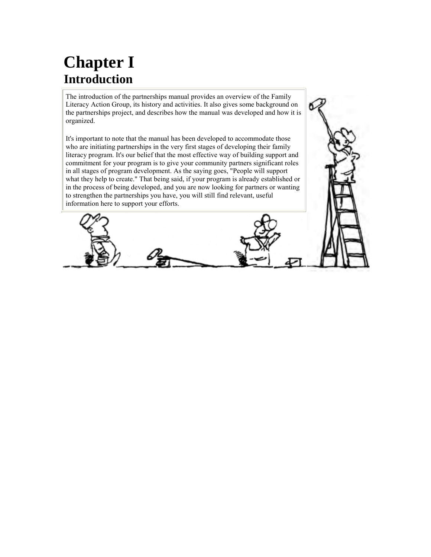# <span id="page-4-0"></span>**Chapter I Introduction**

The introduction of the partnerships manual provides an overview of the Family Literacy Action Group, its history and activities. It also gives some background on the partnerships project, and describes how the manual was developed and how it is organized.

It's important to note that the manual has been developed to accommodate those who are initiating partnerships in the very first stages of developing their family literacy program. It's our belief that the most effective way of building support and commitment for your program is to give your community partners significant roles in all stages of program development. As the saying goes, "People will support what they help to create." That being said, if your program is already established or in the process of being developed, and you are now looking for partners or wanting to strengthen the partnerships you have, you will still find relevant, useful information here to support your efforts.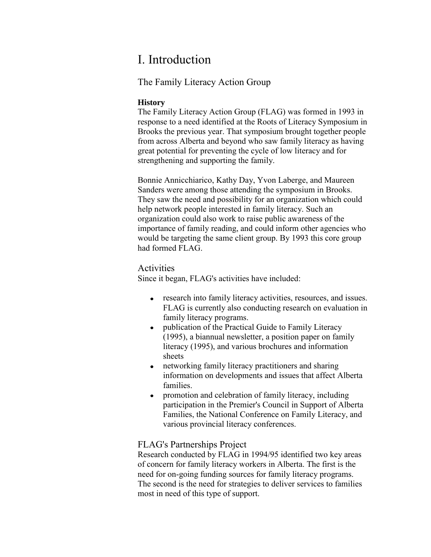# <span id="page-5-0"></span>I. Introduction

## The Family Literacy Action Group

## **History**

The Family Literacy Action Group (FLAG) was formed in 1993 in response to a need identified at the Roots of Literacy Symposium in Brooks the previous year. That symposium brought together people from across Alberta and beyond who saw family literacy as having great potential for preventing the cycle of low literacy and for strengthening and supporting the family.

Bonnie Annicchiarico, Kathy Day, Yvon Laberge, and Maureen Sanders were among those attending the symposium in Brooks. They saw the need and possibility for an organization which could help network people interested in family literacy. Such an organization could also work to raise public awareness of the importance of family reading, and could inform other agencies who would be targeting the same client group. By 1993 this core group had formed FLAG.

## **Activities**

Since it began, FLAG's activities have included:

- research into family literacy activities, resources, and issues. FLAG is currently also conducting research on evaluation in family literacy programs.
- publication of the Practical Guide to Family Literacy (1995), a biannual newsletter, a position paper on family literacy (1995), and various brochures and information sheets
- networking family literacy practitioners and sharing information on developments and issues that affect Alberta families.
- $\bullet$ promotion and celebration of family literacy, including participation in the Premier's Council in Support of Alberta Families, the National Conference on Family Literacy, and various provincial literacy conferences.

## FLAG's Partnerships Project

Research conducted by FLAG in 1994/95 identified two key areas of concern for family literacy workers in Alberta. The first is the need for on-going funding sources for family literacy programs. The second is the need for strategies to deliver services to families most in need of this type of support.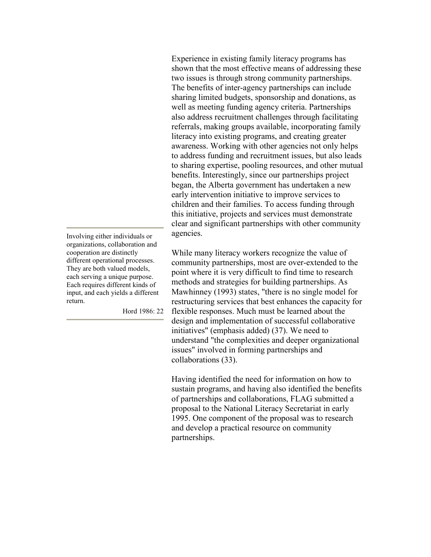Experience in existing family literacy programs has shown that the most effective means of addressing these two issues is through strong community partnerships. The benefits of inter-agency partnerships can include sharing limited budgets, sponsorship and donations, as well as meeting funding agency criteria. Partnerships also address recruitment challenges through facilitating referrals, making groups available, incorporating family literacy into existing programs, and creating greater awareness. Working with other agencies not only helps to address funding and recruitment issues, but also leads to sharing expertise, pooling resources, and other mutual benefits. Interestingly, since our partnerships project began, the Alberta government has undertaken a new early intervention initiative to improve services to children and their families. To access funding through this initiative, projects and services must demonstrate clear and significant partnerships with other community agencies.

While many literacy workers recognize the value of community partnerships, most are over-extended to the point where it is very difficult to find time to research methods and strategies for building partnerships. As Mawhinney (1993) states, "there is no single model for restructuring services that best enhances the capacity for flexible responses. Much must be learned about the design and implementation of successful collaborative initiatives" (emphasis added) (37). We need to understand "the complexities and deeper organizational issues" involved in forming partnerships and collaborations (33).

Having identified the need for information on how to sustain programs, and having also identified the benefits of partnerships and collaborations, FLAG submitted a proposal to the National Literacy Secretariat in early 1995. One component of the proposal was to research and develop a practical resource on community partnerships.

Involving either individuals or organizations, collaboration and cooperation are distinctly different operational processes. They are both valued models, each serving a unique purpose. Each requires different kinds of input, and each yields a different return.

Hord 1986: 22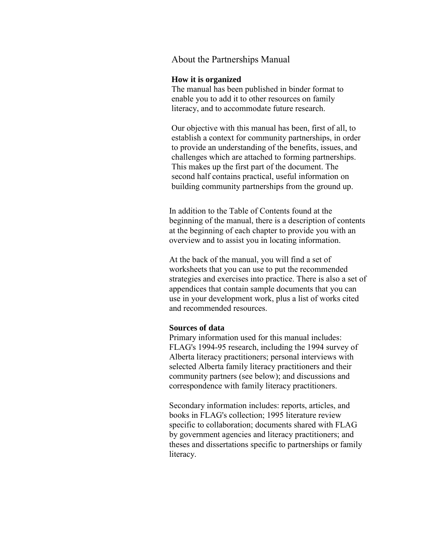<span id="page-7-0"></span>About the Partnerships Manual

#### **How it is organized**

The manual has been published in binder format to enable you to add it to other resources on family literacy, and to accommodate future research.

Our objective with this manual has been, first of all, to establish a context for community partnerships, in order to provide an understanding of the benefits, issues, and challenges which are attached to forming partnerships. This makes up the first part of the document. The second half contains practical, useful information on building community partnerships from the ground up.

In addition to the Table of Contents found at the beginning of the manual, there is a description of contents at the beginning of each chapter to provide you with an overview and to assist you in locating information.

At the back of the manual, you will find a set of worksheets that you can use to put the recommended strategies and exercises into practice. There is also a set of appendices that contain sample documents that you can use in your development work, plus a list of works cited and recommended resources.

#### **Sources of data**

Primary information used for this manual includes: FLAG's 1994-95 research, including the 1994 survey of Alberta literacy practitioners; personal interviews with selected Alberta family literacy practitioners and their community partners (see below); and discussions and correspondence with family literacy practitioners.

Secondary information includes: reports, articles, and books in FLAG's collection; 1995 literature review specific to collaboration; documents shared with FLAG by government agencies and literacy practitioners; and theses and dissertations specific to partnerships or family literacy.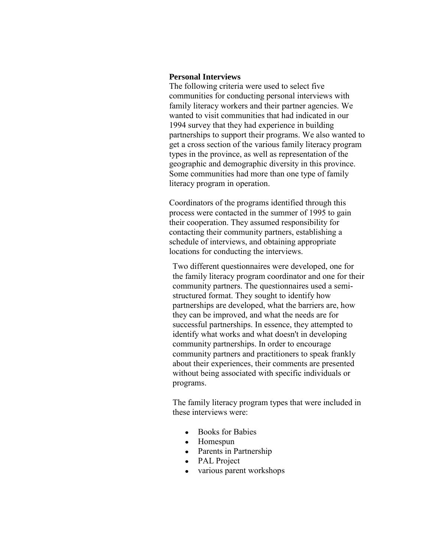## **Personal Interviews**

The following criteria were used to select five communities for conducting personal interviews with family literacy workers and their partner agencies. We wanted to visit communities that had indicated in our 1994 survey that they had experience in building partnerships to support their programs. We also wanted to get a cross section of the various family literacy program types in the province, as well as representation of the geographic and demographic diversity in this province. Some communities had more than one type of family literacy program in operation.

Coordinators of the programs identified through this process were contacted in the summer of 1995 to gain their cooperation. They assumed responsibility for contacting their community partners, establishing a schedule of interviews, and obtaining appropriate locations for conducting the interviews.

Two different questionnaires were developed, one for the family literacy program coordinator and one for their community partners. The questionnaires used a semistructured format. They sought to identify how partnerships are developed, what the barriers are, how they can be improved, and what the needs are for successful partnerships. In essence, they attempted to identify what works and what doesn't in developing community partnerships. In order to encourage community partners and practitioners to speak frankly about their experiences, their comments are presented without being associated with specific individuals or programs.

The family literacy program types that were included in these interviews were:

- Books for Babies
- Homespun
- Parents in Partnership
- PAL Project
- various parent workshops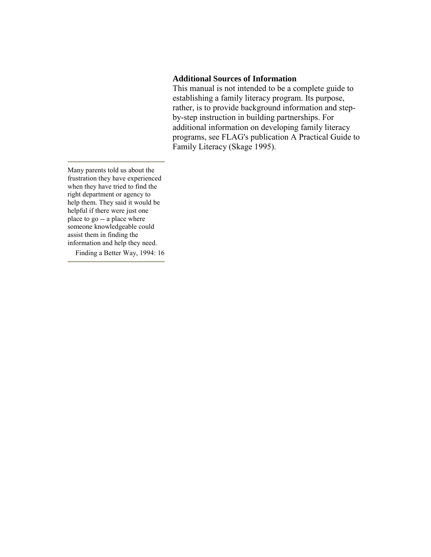## **Additional Sources of Information**

This manual is not intended to be a complete guide to establishing a family literacy program. Its purpose, rather, is to provide background information and stepby-step instruction in building partnerships. For additional information on developing family literacy programs, see FLAG's publication A Practical Guide to Family Literacy (Skage 1995).

Many parents told us about the frustration they have experienced when they have tried to find the right department or agency to help them. They said it would be helpful if there were just one place to go -- a place where someone knowledgeable could assist them in finding the information and help they need.

Finding a Better Way, 1994: 16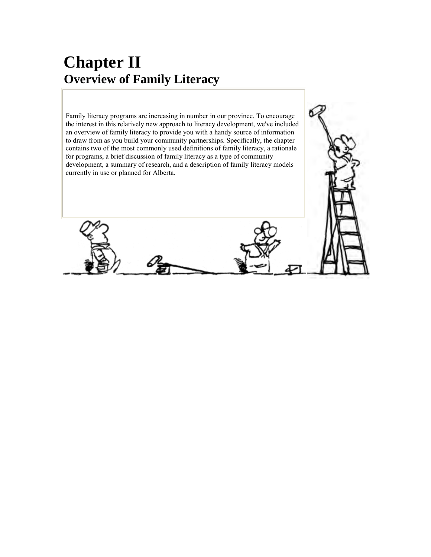# <span id="page-10-0"></span>**Chapter II Overview of Family Literacy**

Family literacy programs are increasing in number in our province. To encourage the interest in this relatively new approach to literacy development, we've included an overview of family literacy to provide you with a handy source of information to draw from as you build your community partnerships. Specifically, the chapter contains two of the most commonly used definitions of family literacy, a rationale for programs, a brief discussion of family literacy as a type of community development, a summary of research, and a description of family literacy models currently in use or planned for Alberta.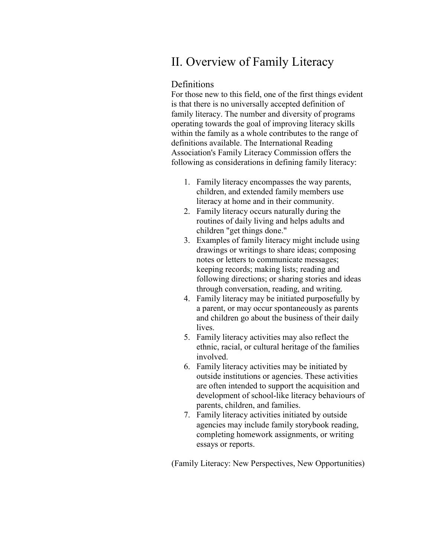## <span id="page-11-0"></span>II. Overview of Family Literacy

## **Definitions**

For those new to this field, one of the first things evident is that there is no universally accepted definition of family literacy. The number and diversity of programs operating towards the goal of improving literacy skills within the family as a whole contributes to the range of definitions available. The International Reading Association's Family Literacy Commission offers the following as considerations in defining family literacy:

- 1. Family literacy encompasses the way parents, children, and extended family members use literacy at home and in their community.
- 2. Family literacy occurs naturally during the routines of daily living and helps adults and children "get things done."
- 3. Examples of family literacy might include using drawings or writings to share ideas; composing notes or letters to communicate messages; keeping records; making lists; reading and following directions; or sharing stories and ideas through conversation, reading, and writing.
- 4. Family literacy may be initiated purposefully by a parent, or may occur spontaneously as parents and children go about the business of their daily lives.
- 5. Family literacy activities may also reflect the ethnic, racial, or cultural heritage of the families involved.
- 6. Family literacy activities may be initiated by outside institutions or agencies. These activities are often intended to support the acquisition and development of school-like literacy behaviours of parents, children, and families.
- 7. Family literacy activities initiated by outside agencies may include family storybook reading, completing homework assignments, or writing essays or reports.

(Family Literacy: New Perspectives, New Opportunities)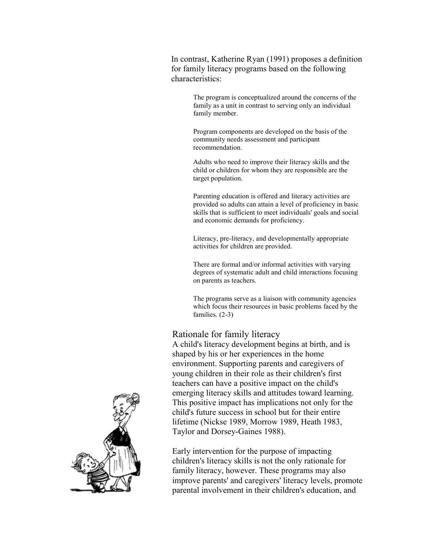<span id="page-12-0"></span>In contrast, Katherine Ryan (1991) proposes a definition for family literacy programs based on the following characteristics:

> The program is conceptualized around the concerns of the family as a unit in contrast to serving only an individual family member.

Program components are developed on the basis of the community needs assessment and participant recommendation.

Adults who need to improve their literacy skills and the child or children for whom they are responsible are the target population.

Parenting education is offered and literacy activities are provided so adults can attain a level of proficiency in basic skills that is sufficient to meet individuals' goals and social and economic demands for proficiency.

Literacy, pre-literacy, and developmentally appropriate activities for children are provided.

There are formal and/or informal activities with varying degrees of systematic adult and child interactions focusing on parents as teachers.

The programs serve as a liaison with community agencies which focus their resources in basic problems faced by the families. (2-3)

## Rationale for family literacy

A child's literacy development begins at birth, and is shaped by his or her experiences in the home environment. Supporting parents and caregivers of young children in their role as their children's first teachers can have a positive impact on the child's emerging literacy skills and attitudes toward learning. This positive impact has implications not only for the child's future success in school but for their entire lifetime (Nickse 1989, Morrow 1989, Heath 1983, Taylor and Dorsey-Gaines 1988).

Early intervention for the purpose of impacting children's literacy skills is not the only rationale for family literacy, however. These programs may also improve parents' and caregivers' literacy levels, promote parental involvement in their children's education, and

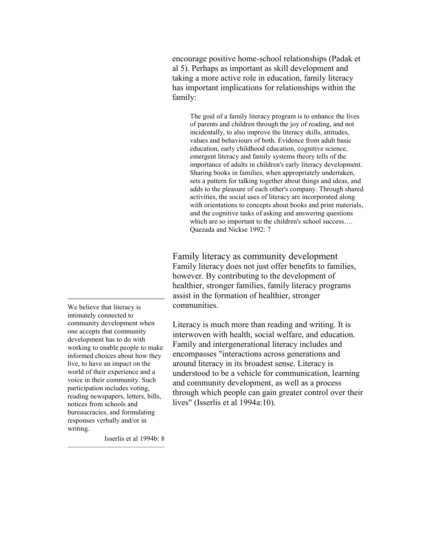<span id="page-13-0"></span>encourage positive home-school relationships (Padak et al 5). Perhaps as important as skill development and taking a more active role in education, family literacy has important implications for relationships within the family:

The goal of a family literacy program is to enhance the lives of parents and children through the joy of reading, and not incidentally, to also improve the literacy skills, attitudes, values and behaviours of both. Evidence from adult basic education, early childhood education, cognitive science, emergent literacy and family systems theory tells of the importance of adults in children's early literacy development. Sharing books in families, when appropriately undertaken, sets a pattern for talking together about things and ideas, and adds to the pleasure of each other's company. Through shared activities, the social uses of literacy are incorporated along with orientations to concepts about books and print materials, and the cognitive tasks of asking and answering questions which are so important to the children's school success.... Quezada and Nickse 1992: 7

Family literacy as community development Family literacy does not just offer benefits to families, however. By contributing to the development of healthier, stronger families, family literacy programs assist in the formation of healthier, stronger communities.

Literacy is much more than reading and writing. It is interwoven with health, social welfare, and education. Family and intergenerational literacy includes and encompasses "interactions across generations and around literacy in its broadest sense. Literacy is understood to be a vehicle for communication, learning and community development, as well as a process through which people can gain greater control over their lives" (Isserlis et al 1994a:10).

We believe that literacy is intimately connected to community development when one accepts that community development has to do with working to enable people to make informed choices about how they live, to have an impact on the world of their experience and a voice in their community. Such participation includes voting, reading newspapers, letters, bills, notices from schools and bureaucracies, and formulating responses verbally and/or in writing.

Isserlis et al 1994b: 8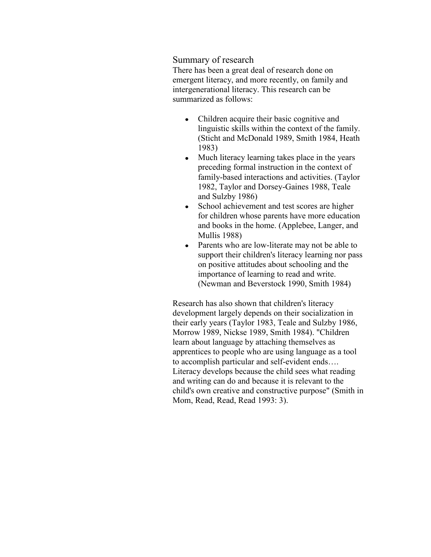<span id="page-14-0"></span>Summary of research

There has been a great deal of research done on emergent literacy, and more recently, on family and intergenerational literacy. This research can be summarized as follows:

- Children acquire their basic cognitive and linguistic skills within the context of the family. (Sticht and McDonald 1989, Smith 1984, Heath 1983)
- Much literacy learning takes place in the years preceding formal instruction in the context of family-based interactions and activities. (Taylor 1982, Taylor and Dorsey-Gaines 1988, Teale and Sulzby 1986)
- School achievement and test scores are higher  $\bullet$ for children whose parents have more education and books in the home. (Applebee, Langer, and Mullis 1988)
- Parents who are low-literate may not be able to  $\bullet$ support their children's literacy learning nor pass on positive attitudes about schooling and the importance of learning to read and write. (Newman and Beverstock 1990, Smith 1984)

Research has also shown that children's literacy development largely depends on their socialization in their early years (Taylor 1983, Teale and Sulzby 1986, Morrow 1989, Nickse 1989, Smith 1984). "Children learn about language by attaching themselves as apprentices to people who are using language as a tool to accomplish particular and self-evident ends…. Literacy develops because the child sees what reading and writing can do and because it is relevant to the child's own creative and constructive purpose" (Smith in Mom, Read, Read, Read 1993: 3).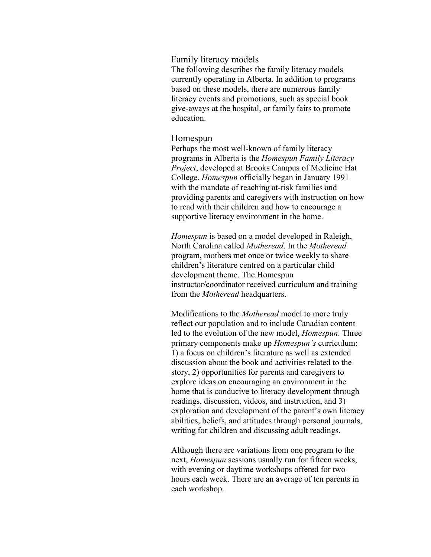### <span id="page-15-0"></span>Family literacy models

The following describes the family literacy models currently operating in Alberta. In addition to programs based on these models, there are numerous family literacy events and promotions, such as special book give-aways at the hospital, or family fairs to promote education.

### Homespun

Perhaps the most well-known of family literacy programs in Alberta is the *Homespun Family Literacy Project*, developed at Brooks Campus of Medicine Hat College. *Homespun* officially began in January 1991 with the mandate of reaching at-risk families and providing parents and caregivers with instruction on how to read with their children and how to encourage a supportive literacy environment in the home.

*Homespun* is based on a model developed in Raleigh, North Carolina called *Motheread*. In the *Motheread*  program, mothers met once or twice weekly to share children's literature centred on a particular child development theme. The Homespun instructor/coordinator received curriculum and training from the *Motheread* headquarters.

Modifications to the *Motheread* model to more truly reflect our population and to include Canadian content led to the evolution of the new model, *Homespun*. Three primary components make up *Homespun's* curriculum: 1) a focus on children's literature as well as extended discussion about the book and activities related to the story, 2) opportunities for parents and caregivers to explore ideas on encouraging an environment in the home that is conducive to literacy development through readings, discussion, videos, and instruction, and 3) exploration and development of the parent's own literacy abilities, beliefs, and attitudes through personal journals, writing for children and discussing adult readings.

Although there are variations from one program to the next, *Homespun* sessions usually run for fifteen weeks, with evening or daytime workshops offered for two hours each week. There are an average of ten parents in each workshop.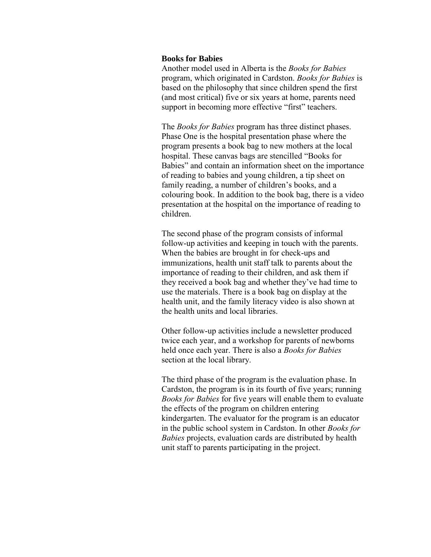#### **Books for Babies**

Another model used in Alberta is the *Books for Babies* program, which originated in Cardston. *Books for Babies* is based on the philosophy that since children spend the first (and most critical) five or six years at home, parents need support in becoming more effective "first" teachers.

The *Books for Babies* program has three distinct phases. Phase One is the hospital presentation phase where the program presents a book bag to new mothers at the local hospital. These canvas bags are stencilled "Books for Babies" and contain an information sheet on the importance of reading to babies and young children, a tip sheet on family reading, a number of children's books, and a colouring book. In addition to the book bag, there is a video presentation at the hospital on the importance of reading to children.

The second phase of the program consists of informal follow-up activities and keeping in touch with the parents. When the babies are brought in for check-ups and immunizations, health unit staff talk to parents about the importance of reading to their children, and ask them if they received a book bag and whether they've had time to use the materials. There is a book bag on display at the health unit, and the family literacy video is also shown at the health units and local libraries.

Other follow-up activities include a newsletter produced twice each year, and a workshop for parents of newborns held once each year. There is also a *Books for Babies* section at the local library.

The third phase of the program is the evaluation phase. In Cardston, the program is in its fourth of five years; running *Books for Babies* for five years will enable them to evaluate the effects of the program on children entering kindergarten. The evaluator for the program is an educator in the public school system in Cardston. In other *Books for Babies* projects, evaluation cards are distributed by health unit staff to parents participating in the project.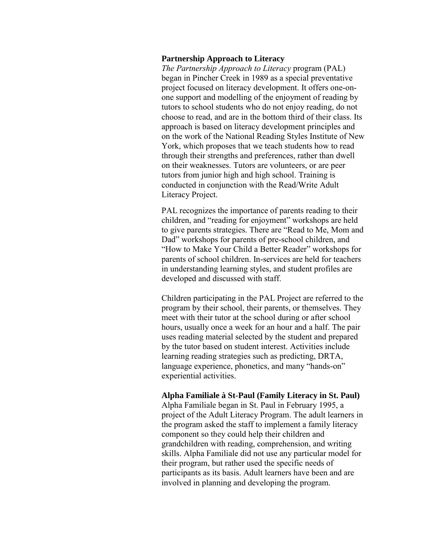### **Partnership Approach to Literacy**

*The Partnership Approach to Literacy* program (PAL) began in Pincher Creek in 1989 as a special preventative project focused on literacy development. It offers one-onone support and modelling of the enjoyment of reading by tutors to school students who do not enjoy reading, do not choose to read, and are in the bottom third of their class. Its approach is based on literacy development principles and on the work of the National Reading Styles Institute of New York, which proposes that we teach students how to read through their strengths and preferences, rather than dwell on their weaknesses. Tutors are volunteers, or are peer tutors from junior high and high school. Training is conducted in conjunction with the Read/Write Adult Literacy Project.

PAL recognizes the importance of parents reading to their children, and "reading for enjoyment" workshops are held to give parents strategies. There are "Read to Me, Mom and Dad" workshops for parents of pre-school children, and "How to Make Your Child a Better Reader" workshops for parents of school children. In-services are held for teachers in understanding learning styles, and student profiles are developed and discussed with staff.

Children participating in the PAL Project are referred to the program by their school, their parents, or themselves. They meet with their tutor at the school during or after school hours, usually once a week for an hour and a half. The pair uses reading material selected by the student and prepared by the tutor based on student interest. Activities include learning reading strategies such as predicting, DRTA, language experience, phonetics, and many "hands-on" experiential activities.

**Alpha Familiale à St-Paul (Family Literacy in St. Paul)** Alpha Familiale began in St. Paul in February 1995, a project of the Adult Literacy Program. The adult learners in the program asked the staff to implement a family literacy component so they could help their children and grandchildren with reading, comprehension, and writing skills. Alpha Familiale did not use any particular model for their program, but rather used the specific needs of participants as its basis. Adult learners have been and are involved in planning and developing the program.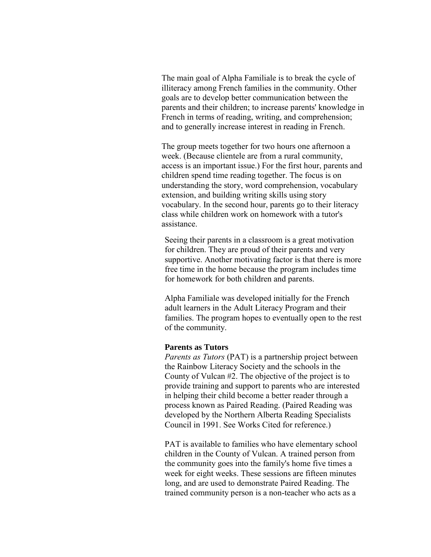The main goal of Alpha Familiale is to break the cycle of illiteracy among French families in the community. Other goals are to develop better communication between the parents and their children; to increase parents' knowledge in French in terms of reading, writing, and comprehension; and to generally increase interest in reading in French.

The group meets together for two hours one afternoon a week. (Because clientele are from a rural community, access is an important issue.) For the first hour, parents and children spend time reading together. The focus is on understanding the story, word comprehension, vocabulary extension, and building writing skills using story vocabulary. In the second hour, parents go to their literacy class while children work on homework with a tutor's assistance.

Seeing their parents in a classroom is a great motivation for children. They are proud of their parents and very supportive. Another motivating factor is that there is more free time in the home because the program includes time for homework for both children and parents.

Alpha Familiale was developed initially for the French adult learners in the Adult Literacy Program and their families. The program hopes to eventually open to the rest of the community.

#### **Parents as Tutors**

*Parents as Tutors* (PAT) is a partnership project between the Rainbow Literacy Society and the schools in the County of Vulcan #2. The objective of the project is to provide training and support to parents who are interested in helping their child become a better reader through a process known as Paired Reading. (Paired Reading was developed by the Northern Alberta Reading Specialists Council in 1991. See Works Cited for reference.)

PAT is available to families who have elementary school children in the County of Vulcan. A trained person from the community goes into the family's home five times a week for eight weeks. These sessions are fifteen minutes long, and are used to demonstrate Paired Reading. The trained community person is a non-teacher who acts as a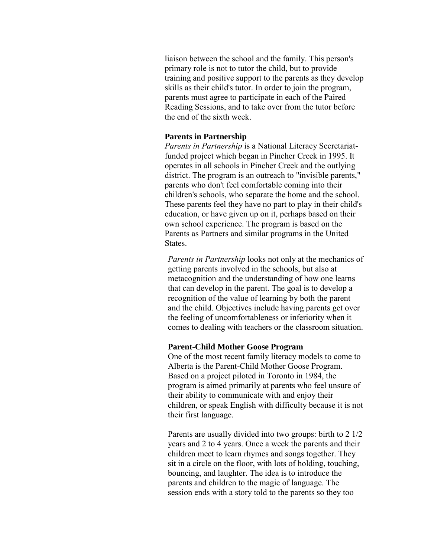liaison between the school and the family. This person's primary role is not to tutor the child, but to provide training and positive support to the parents as they develop skills as their child's tutor. In order to join the program, parents must agree to participate in each of the Paired Reading Sessions, and to take over from the tutor before the end of the sixth week.

#### **Parents in Partnership**

*Parents in Partnership* is a National Literacy Secretariatfunded project which began in Pincher Creek in 1995. It operates in all schools in Pincher Creek and the outlying district. The program is an outreach to "invisible parents," parents who don't feel comfortable coming into their children's schools, who separate the home and the school. These parents feel they have no part to play in their child's education, or have given up on it, perhaps based on their own school experience. The program is based on the Parents as Partners and similar programs in the United States.

*Parents in Partnership* looks not only at the mechanics of getting parents involved in the schools, but also at metacognition and the understanding of how one learns that can develop in the parent. The goal is to develop a recognition of the value of learning by both the parent and the child. Objectives include having parents get over the feeling of uncomfortableness or inferiority when it comes to dealing with teachers or the classroom situation.

#### **Parent-Child Mother Goose Program**

One of the most recent family literacy models to come to Alberta is the Parent-Child Mother Goose Program. Based on a project piloted in Toronto in 1984, the program is aimed primarily at parents who feel unsure of their ability to communicate with and enjoy their children, or speak English with difficulty because it is not their first language.

Parents are usually divided into two groups: birth to 2 1/2 years and 2 to 4 years. Once a week the parents and their children meet to learn rhymes and songs together. They sit in a circle on the floor, with lots of holding, touching, bouncing, and laughter. The idea is to introduce the parents and children to the magic of language. The session ends with a story told to the parents so they too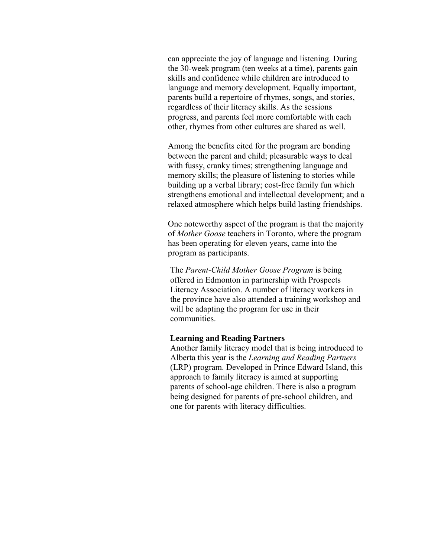can appreciate the joy of language and listening. During the 30-week program (ten weeks at a time), parents gain skills and confidence while children are introduced to language and memory development. Equally important, parents build a repertoire of rhymes, songs, and stories, regardless of their literacy skills. As the sessions progress, and parents feel more comfortable with each other, rhymes from other cultures are shared as well.

Among the benefits cited for the program are bonding between the parent and child; pleasurable ways to deal with fussy, cranky times; strengthening language and memory skills; the pleasure of listening to stories while building up a verbal library; cost-free family fun which strengthens emotional and intellectual development; and a relaxed atmosphere which helps build lasting friendships.

One noteworthy aspect of the program is that the majority of *Mother Goose* teachers in Toronto, where the program has been operating for eleven years, came into the program as participants.

The *Parent-Child Mother Goose Program* is being offered in Edmonton in partnership with Prospects Literacy Association. A number of literacy workers in the province have also attended a training workshop and will be adapting the program for use in their communities.

#### **Learning and Reading Partners**

Another family literacy model that is being introduced to Alberta this year is the *Learning and Reading Partners* (LRP) program. Developed in Prince Edward Island, this approach to family literacy is aimed at supporting parents of school-age children. There is also a program being designed for parents of pre-school children, and one for parents with literacy difficulties.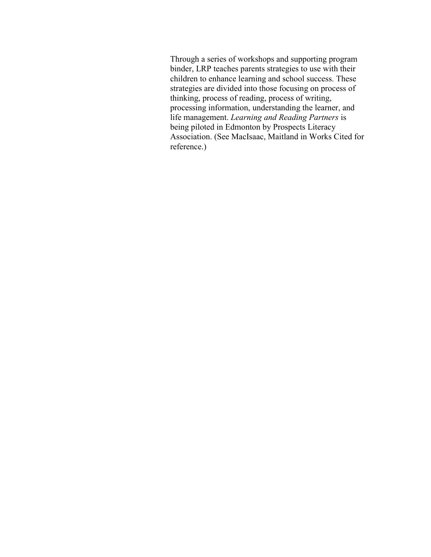Through a series of workshops and supporting program binder, LRP teaches parents strategies to use with their children to enhance learning and school success. These strategies are divided into those focusing on process of thinking, process of reading, process of writing, processing information, understanding the learner, and life management. *Learning and Reading Partners* is being piloted in Edmonton by Prospects Literacy Association. (See MacIsaac, Maitland in Works Cited for reference.)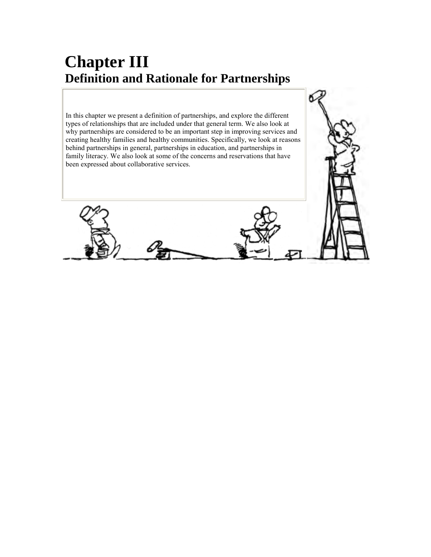# <span id="page-22-0"></span>**Chapter III Definition and Rationale for Partnerships**

In this chapter we present a definition of partnerships, and explore the different types of relationships that are included under that general term. We also look at why partnerships are considered to be an important step in improving services and creating healthy families and healthy communities. Specifically, we look at reasons behind partnerships in general, partnerships in education, and partnerships in family literacy. We also look at some of the concerns and reservations that have been expressed about collaborative services.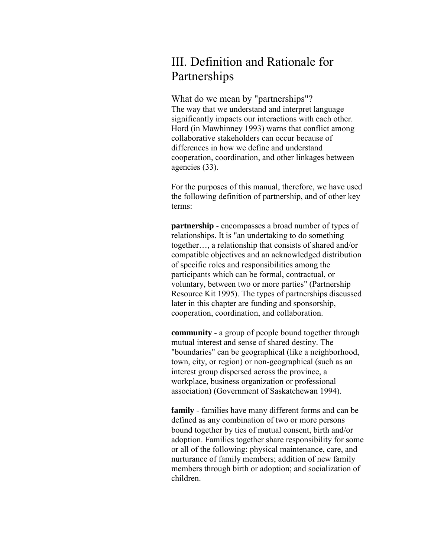# <span id="page-23-0"></span>III. Definition and Rationale for Partnerships

What do we mean by "partnerships"? The way that we understand and interpret language significantly impacts our interactions with each other. Hord (in Mawhinney 1993) warns that conflict among collaborative stakeholders can occur because of differences in how we define and understand cooperation, coordination, and other linkages between agencies (33).

For the purposes of this manual, therefore, we have used the following definition of partnership, and of other key terms:

**partnership** - encompasses a broad number of types of relationships. It is "an undertaking to do something together…, a relationship that consists of shared and/or compatible objectives and an acknowledged distribution of specific roles and responsibilities among the participants which can be formal, contractual, or voluntary, between two or more parties" (Partnership Resource Kit 1995). The types of partnerships discussed later in this chapter are funding and sponsorship, cooperation, coordination, and collaboration.

**community** - a group of people bound together through mutual interest and sense of shared destiny. The "boundaries" can be geographical (like a neighborhood, town, city, or region) or non-geographical (such as an interest group dispersed across the province, a workplace, business organization or professional association) (Government of Saskatchewan 1994).

**family** - families have many different forms and can be defined as any combination of two or more persons bound together by ties of mutual consent, birth and/or adoption. Families together share responsibility for some or all of the following: physical maintenance, care, and nurturance of family members; addition of new family members through birth or adoption; and socialization of children.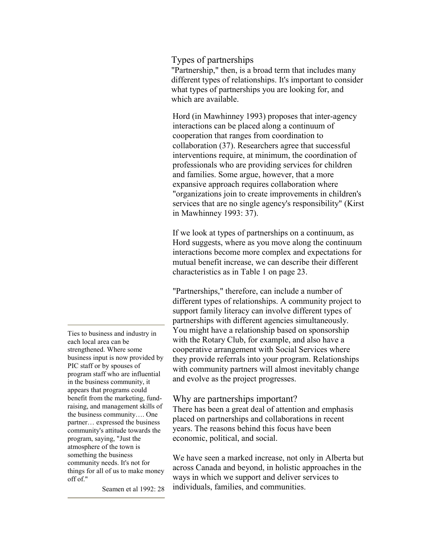<span id="page-24-0"></span>Types of partnerships

"Partnership," then, is a broad term that includes many different types of relationships. It's important to consider what types of partnerships you are looking for, and which are available.

Hord (in Mawhinney 1993) proposes that inter-agency interactions can be placed along a continuum of cooperation that ranges from coordination to collaboration (37). Researchers agree that successful interventions require, at minimum, the coordination of professionals who are providing services for children and families. Some argue, however, that a more expansive approach requires collaboration where "organizations join to create improvements in children's services that are no single agency's responsibility" (Kirst in Mawhinney 1993: 37).

If we look at types of partnerships on a continuum, as Hord suggests, where as you move along the continuum interactions become more complex and expectations for mutual benefit increase, we can describe their different characteristics as in Table 1 on page 23.

"Partnerships," therefore, can include a number of different types of relationships. A community project to support family literacy can involve different types of partnerships with different agencies simultaneously. You might have a relationship based on sponsorship with the Rotary Club, for example, and also have a cooperative arrangement with Social Services where they provide referrals into your program. Relationships with community partners will almost inevitably change and evolve as the project progresses.

### Why are partnerships important?

There has been a great deal of attention and emphasis placed on partnerships and collaborations in recent years. The reasons behind this focus have been economic, political, and social.

We have seen a marked increase, not only in Alberta but across Canada and beyond, in holistic approaches in the ways in which we support and deliver services to individuals, families, and communities.

Ties to business and industry in each local area can be strengthened. Where some business input is now provided by PIC staff or by spouses of program staff who are influential in the business community, it appears that programs could benefit from the marketing, fundraising, and management skills of the business community…. One partner… expressed the business community's attitude towards the program, saying, "Just the atmosphere of the town is something the business community needs. It's not for things for all of us to make money off of."

Seamen et al 1992: 28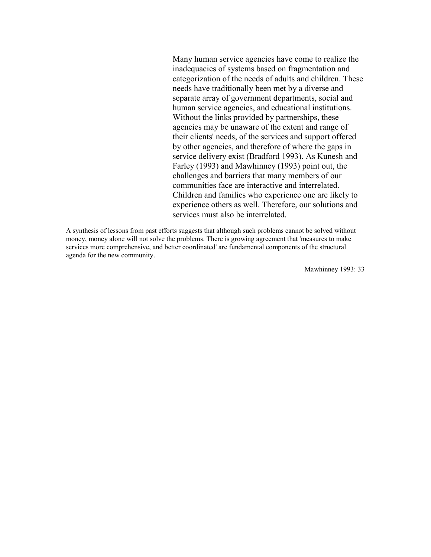Many human service agencies have come to realize the inadequacies of systems based on fragmentation and categorization of the needs of adults and children. These needs have traditionally been met by a diverse and separate array of government departments, social and human service agencies, and educational institutions. Without the links provided by partnerships, these agencies may be unaware of the extent and range of their clients' needs, of the services and support offered by other agencies, and therefore of where the gaps in service delivery exist (Bradford 1993). As Kunesh and Farley (1993) and Mawhinney (1993) point out, the challenges and barriers that many members of our communities face are interactive and interrelated. Children and families who experience one are likely to experience others as well. Therefore, our solutions and services must also be interrelated.

A synthesis of lessons from past efforts suggests that although such problems cannot be solved without money, money alone will not solve the problems. There is growing agreement that 'measures to make services more comprehensive, and better coordinated' are fundamental components of the structural agenda for the new community.

Mawhinney 1993: 33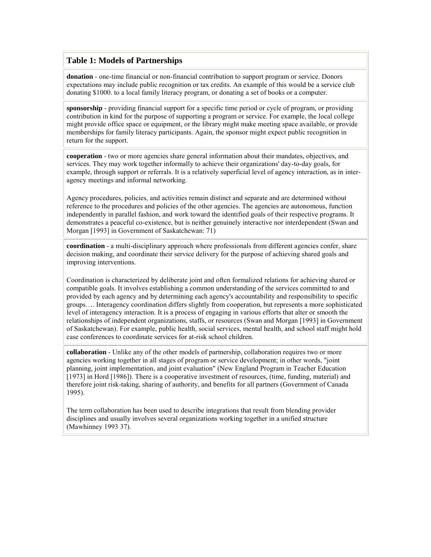### **Table 1: Models of Partnerships**

**donation** - one-time financial or non-financial contribution to support program or service. Donors expectations may include public recognition or tax credits. An example of this would be a service club donating \$1000. to a local family literacy program, or donating a set of books or a computer.

**sponsorship** - providing financial support for a specific time period or cycle of program, or providing contribution in kind for the purpose of supporting a program or service. For example, the local college might provide office space or equipment, or the library might make meeting space available, or provide memberships for family literacy participants. Again, the sponsor might expect public recognition in return for the support.

**cooperation** - two or more agencies share general information about their mandates, objectives, and services. They may work together informally to achieve their organizations' day-to-day goals, for example, through support or referrals. It is a relatively superficial level of agency interaction, as in interagency meetings and informal networking.

Agency procedures, policies, and activities remain distinct and separate and are determined without reference to the procedures and policies of the other agencies. The agencies are autonomous, function independently in parallel fashion, and work toward the identified goals of their respective programs. It demonstrates a peaceful co-existence, but is neither genuinely interactive nor interdependent (Swan and Morgan [1993] in Government of Saskatchewan: 71)

**coordination** - a multi-disciplinary approach where professionals from different agencies confer, share decision making, and coordinate their service delivery for the purpose of achieving shared goals and improving interventions.

Coordination is characterized by deliberate joint and often formalized relations for achieving shared or compatible goals. It involves establishing a common understanding of the services committed to and provided by each agency and by determining each agency's accountability and responsibility to specific groups…. Interagency coordination differs slightly from cooperation, but represents a more sophisticated level of interagency interaction. It is a process of engaging in various efforts that alter or smooth the relationships of independent organizations, staffs, or resources (Swan and Morgan [1993] in Government of Saskatchewan). For example, public health, social services, mental health, and school staff might hold case conferences to coordinate services for at-risk school children.

**collaboration** - Unlike any of the other models of partnership, collaboration requires two or more agencies working together in all stages of program or service development; in other words, "joint planning, joint implementation, and joint evaluation" (New England Program in Teacher Education [1973] in Hord [1986]). There is a cooperative investment of resources, (time, funding, material) and therefore joint risk-taking, sharing of authority, and benefits for all partners (Government of Canada 1995).

The term collaboration has been used to describe integrations that result from blending provider disciplines and usually involves several organizations working together in a unified structure (Mawhinney 1993 37).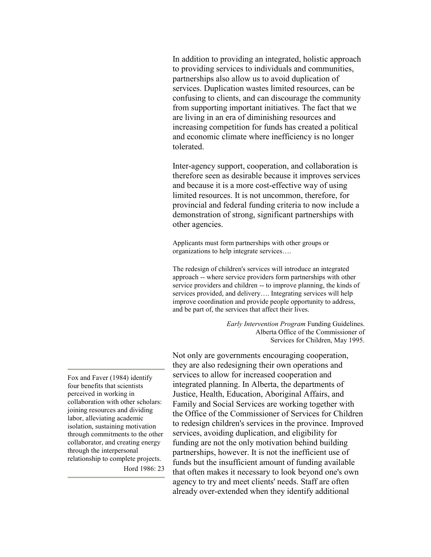In addition to providing an integrated, holistic approach to providing services to individuals and communities, partnerships also allow us to avoid duplication of services. Duplication wastes limited resources, can be confusing to clients, and can discourage the community from supporting important initiatives. The fact that we are living in an era of diminishing resources and increasing competition for funds has created a political and economic climate where inefficiency is no longer tolerated.

Inter-agency support, cooperation, and collaboration is therefore seen as desirable because it improves services and because it is a more cost-effective way of using limited resources. It is not uncommon, therefore, for provincial and federal funding criteria to now include a demonstration of strong, significant partnerships with other agencies.

Applicants must form partnerships with other groups or organizations to help integrate services….

The redesign of children's services will introduce an integrated approach -- where service providers form partnerships with other service providers and children -- to improve planning, the kinds of services provided, and delivery…. Integrating services will help improve coordination and provide people opportunity to address, and be part of, the services that affect their lives.

> *Early Intervention Program* Funding Guidelines. Alberta Office of the Commissioner of Services for Children, May 1995.

Fox and Faver (1984) identify four benefits that scientists perceived in working in collaboration with other scholars: joining resources and dividing labor, alleviating academic isolation, sustaining motivation through commitments to the other collaborator, and creating energy through the interpersonal relationship to complete projects.

Hord 1986: 23

Not only are governments encouraging cooperation, they are also redesigning their own operations and services to allow for increased cooperation and integrated planning. In Alberta, the departments of Justice, Health, Education, Aboriginal Affairs, and Family and Social Services are working together with the Office of the Commissioner of Services for Children to redesign children's services in the province. Improved services, avoiding duplication, and eligibility for funding are not the only motivation behind building partnerships, however. It is not the inefficient use of funds but the insufficient amount of funding available that often makes it necessary to look beyond one's own agency to try and meet clients' needs. Staff are often already over-extended when they identify additional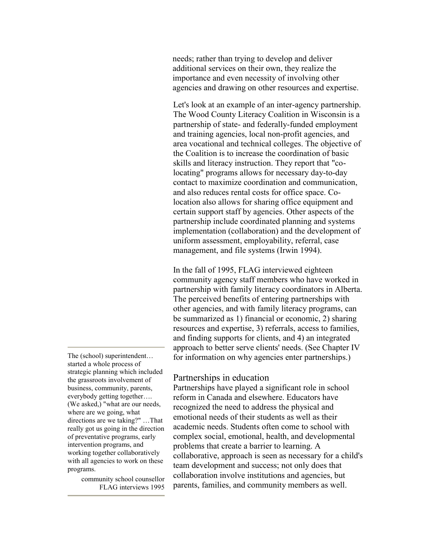<span id="page-28-0"></span>needs; rather than trying to develop and deliver additional services on their own, they realize the importance and even necessity of involving other agencies and drawing on other resources and expertise.

Let's look at an example of an inter-agency partnership. The Wood County Literacy Coalition in Wisconsin is a partnership of state- and federally-funded employment and training agencies, local non-profit agencies, and area vocational and technical colleges. The objective of the Coalition is to increase the coordination of basic skills and literacy instruction. They report that "colocating" programs allows for necessary day-to-day contact to maximize coordination and communication, and also reduces rental costs for office space. Colocation also allows for sharing office equipment and certain support staff by agencies. Other aspects of the partnership include coordinated planning and systems implementation (collaboration) and the development of uniform assessment, employability, referral, case management, and file systems (Irwin 1994).

In the fall of 1995, FLAG interviewed eighteen community agency staff members who have worked in partnership with family literacy coordinators in Alberta. The perceived benefits of entering partnerships with other agencies, and with family literacy programs, can be summarized as 1) financial or economic, 2) sharing resources and expertise, 3) referrals, access to families, and finding supports for clients, and 4) an integrated approach to better serve clients' needs. (See Chapter IV for information on why agencies enter partnerships.)

## Partnerships in education

Partnerships have played a significant role in school reform in Canada and elsewhere. Educators have recognized the need to address the physical and emotional needs of their students as well as their academic needs. Students often come to school with complex social, emotional, health, and developmental problems that create a barrier to learning. A collaborative, approach is seen as necessary for a child's team development and success; not only does that collaboration involve institutions and agencies, but parents, families, and community members as well.

started a whole process of strategic planning which included the grassroots involvement of business, community, parents, everybody getting together…. (We asked,) "what are our needs, where are we going, what directions are we taking?" …That really got us going in the direction of preventative programs, early intervention programs, and working together collaboratively with all agencies to work on these programs.

The (school) superintendent…

community school counsellor FLAG interviews 1995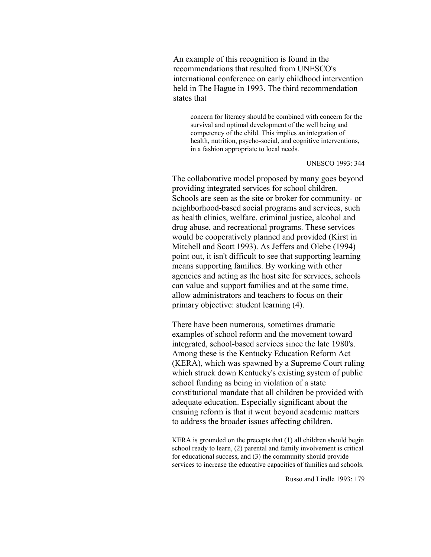An example of this recognition is found in the recommendations that resulted from UNESCO's international conference on early childhood intervention held in The Hague in 1993. The third recommendation states that

concern for literacy should be combined with concern for the survival and optimal development of the well being and competency of the child. This implies an integration of health, nutrition, psycho-social, and cognitive interventions, in a fashion appropriate to local needs.

#### UNESCO 1993: 344

The collaborative model proposed by many goes beyond providing integrated services for school children. Schools are seen as the site or broker for community- or neighborhood-based social programs and services, such as health clinics, welfare, criminal justice, alcohol and drug abuse, and recreational programs. These services would be cooperatively planned and provided (Kirst in Mitchell and Scott 1993). As Jeffers and Olebe (1994) point out, it isn't difficult to see that supporting learning means supporting families. By working with other agencies and acting as the host site for services, schools can value and support families and at the same time, allow administrators and teachers to focus on their primary objective: student learning (4).

There have been numerous, sometimes dramatic examples of school reform and the movement toward integrated, school-based services since the late 1980's. Among these is the Kentucky Education Reform Act (KERA), which was spawned by a Supreme Court ruling which struck down Kentucky's existing system of public school funding as being in violation of a state constitutional mandate that all children be provided with adequate education. Especially significant about the ensuing reform is that it went beyond academic matters to address the broader issues affecting children.

KERA is grounded on the precepts that (1) all children should begin school ready to learn, (2) parental and family involvement is critical for educational success, and (3) the community should provide services to increase the educative capacities of families and schools.

Russo and Lindle 1993: 179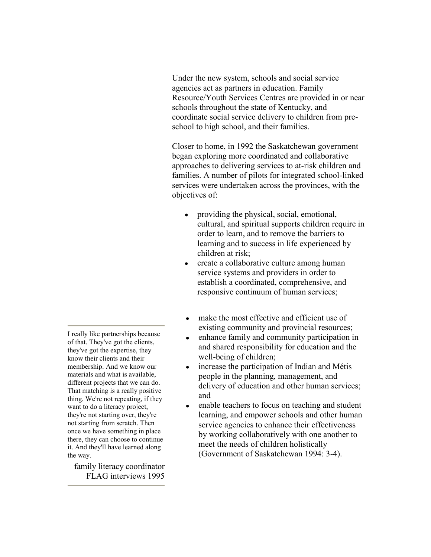Under the new system, schools and social service agencies act as partners in education. Family Resource/Youth Services Centres are provided in or near schools throughout the state of Kentucky, and coordinate social service delivery to children from preschool to high school, and their families.

Closer to home, in 1992 the Saskatchewan government began exploring more coordinated and collaborative approaches to delivering services to at-risk children and families. A number of pilots for integrated school-linked services were undertaken across the provinces, with the objectives of:

- providing the physical, social, emotional,  $\bullet$ cultural, and spiritual supports children require in order to learn, and to remove the barriers to learning and to success in life experienced by children at risk;
- create a collaborative culture among human service systems and providers in order to establish a coordinated, comprehensive, and responsive continuum of human services;
- make the most effective and efficient use of  $\bullet$ existing community and provincial resources;
- enhance family and community participation in  $\bullet$ and shared responsibility for education and the well-being of children;
- $\bullet$ increase the participation of Indian and Métis people in the planning, management, and delivery of education and other human services; and
- enable teachers to focus on teaching and student  $\bullet$ learning, and empower schools and other human service agencies to enhance their effectiveness by working collaboratively with one another to meet the needs of children holistically (Government of Saskatchewan 1994: 3-4).

I really like partnerships because of that. They've got the clients, they've got the expertise, they know their clients and their membership. And we know our materials and what is available, different projects that we can do. That matching is a really positive thing. We're not repeating, if they want to do a literacy project, they're not starting over, they're not starting from scratch. Then once we have something in place there, they can choose to continue it. And they'll have learned along

family literacy coordinator FLAG interviews 1995

the way.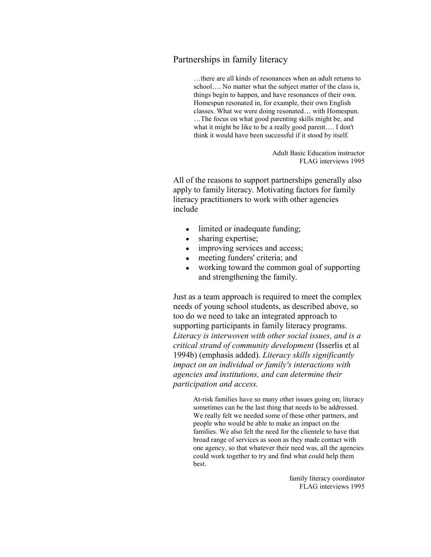## <span id="page-31-0"></span>Partnerships in family literacy

…there are all kinds of resonances when an adult returns to school…. No matter what the subject matter of the class is, things begin to happen, and have resonances of their own. Homespun resonated in, for example, their own English classes. What we were doing resonated… with Homespun. …The focus on what good parenting skills might be, and what it might be like to be a really good parent…. I don't think it would have been successful if it stood by itself.

> Adult Basic Education instructor FLAG interviews 1995

All of the reasons to support partnerships generally also apply to family literacy. Motivating factors for family literacy practitioners to work with other agencies include

- limited or inadequate funding;  $\bullet$
- sharing expertise;  $\bullet$
- improving services and access;
- meeting funders' criteria; and
- working toward the common goal of supporting and strengthening the family.

Just as a team approach is required to meet the complex needs of young school students, as described above, so too do we need to take an integrated approach to supporting participants in family literacy programs. *Literacy is interwoven with other social issues, and is a critical strand of community development* (Isserlis et al 1994b) (emphasis added). *Literacy skills significantly impact on an individual or family's interactions with agencies and institutions, and can determine their participation and access.*

> At-risk families have so many other issues going on; literacy sometimes can be the last thing that needs to be addressed. We really felt we needed some of these other partners, and people who would be able to make an impact on the families. We also felt the need for the clientele to have that broad range of services as soon as they made contact with one agency, so that whatever their need was, all the agencies could work together to try and find what could help them best.

> > family literacy coordinator FLAG interviews 1995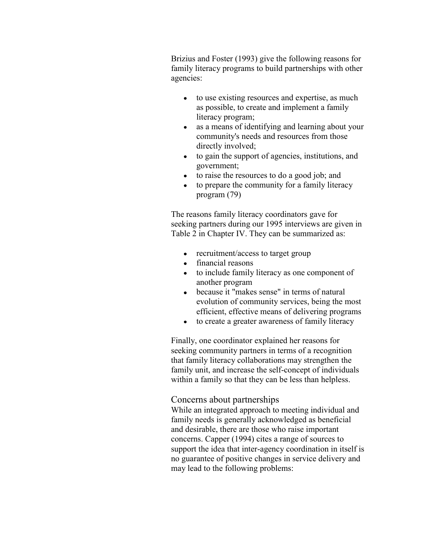<span id="page-32-0"></span>Brizius and Foster (1993) give the following reasons for family literacy programs to build partnerships with other agencies:

- to use existing resources and expertise, as much as possible, to create and implement a family literacy program;
- as a means of identifying and learning about your  $\bullet$ community's needs and resources from those directly involved;
- to gain the support of agencies, institutions, and  $\bullet$ government;
- to raise the resources to do a good job; and  $\bullet$
- to prepare the community for a family literacy program (79)

The reasons family literacy coordinators gave for seeking partners during our 1995 interviews are given in Table 2 in Chapter IV. They can be summarized as:

- recruitment/access to target group
- financial reasons  $\bullet$
- to include family literacy as one component of another program
- because it "makes sense" in terms of natural  $\bullet$ evolution of community services, being the most efficient, effective means of delivering programs
- to create a greater awareness of family literacy  $\bullet$

Finally, one coordinator explained her reasons for seeking community partners in terms of a recognition that family literacy collaborations may strengthen the family unit, and increase the self-concept of individuals within a family so that they can be less than helpless.

## Concerns about partnerships

While an integrated approach to meeting individual and family needs is generally acknowledged as beneficial and desirable, there are those who raise important concerns. Capper (1994) cites a range of sources to support the idea that inter-agency coordination in itself is no guarantee of positive changes in service delivery and may lead to the following problems: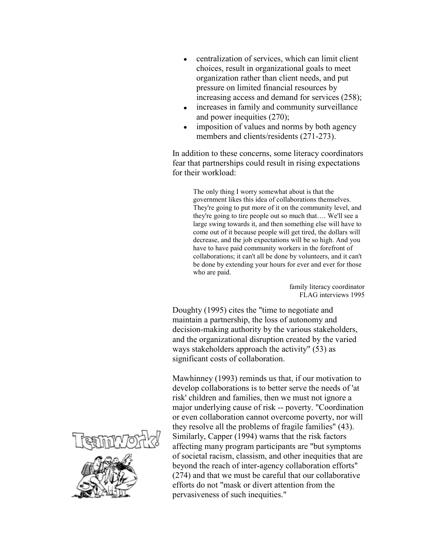- centralization of services, which can limit client  $\bullet$ choices, result in organizational goals to meet organization rather than client needs, and put pressure on limited financial resources by increasing access and demand for services (258);
- increases in family and community surveillance  $\bullet$ and power inequities (270);
- imposition of values and norms by both agency members and clients/residents (271-273).

In addition to these concerns, some literacy coordinators fear that partnerships could result in rising expectations for their workload:

> The only thing I worry somewhat about is that the government likes this idea of collaborations themselves. They're going to put more of it on the community level, and they're going to tire people out so much that…. We'll see a large swing towards it, and then something else will have to come out of it because people will get tired, the dollars will decrease, and the job expectations will be so high. And you have to have paid community workers in the forefront of collaborations; it can't all be done by volunteers, and it can't be done by extending your hours for ever and ever for those who are paid.

> > family literacy coordinator FLAG interviews 1995

Doughty (1995) cites the "time to negotiate and maintain a partnership, the loss of autonomy and decision-making authority by the various stakeholders, and the organizational disruption created by the varied ways stakeholders approach the activity" (53) as significant costs of collaboration.

Mawhinney (1993) reminds us that, if our motivation to develop collaborations is to better serve the needs of 'at risk' children and families, then we must not ignore a major underlying cause of risk -- poverty. "Coordination or even collaboration cannot overcome poverty, nor will they resolve all the problems of fragile families" (43). Similarly, Capper (1994) warns that the risk factors affecting many program participants are "but symptoms of societal racism, classism, and other inequities that are beyond the reach of inter-agency collaboration efforts" (274) and that we must be careful that our collaborative efforts do not "mask or divert attention from the pervasiveness of such inequities."

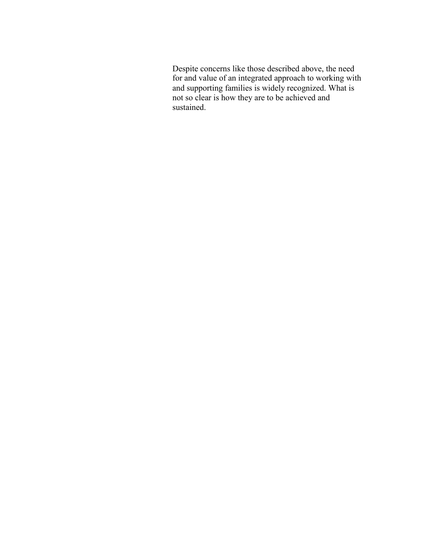Despite concerns like those described above, the need for and value of an integrated approach to working with and supporting families is widely recognized. What is not so clear is how they are to be achieved and sustained.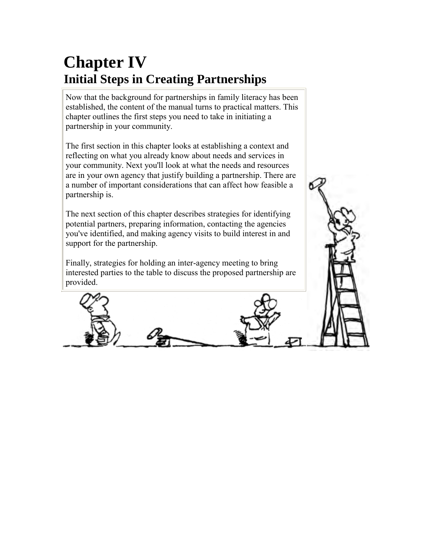# <span id="page-35-0"></span>**Chapter IV Initial Steps in Creating Partnerships**

Now that the background for partnerships in family literacy has been established, the content of the manual turns to practical matters. This chapter outlines the first steps you need to take in initiating a partnership in your community.

The first section in this chapter looks at establishing a context and reflecting on what you already know about needs and services in your community. Next you'll look at what the needs and resources are in your own agency that justify building a partnership. There are a number of important considerations that can affect how feasible a partnership is.

The next section of this chapter describes strategies for identifying potential partners, preparing information, contacting the agencies you've identified, and making agency visits to build interest in and support for the partnership.

Finally, strategies for holding an inter-agency meeting to bring interested parties to the table to discuss the proposed partnership are provided.

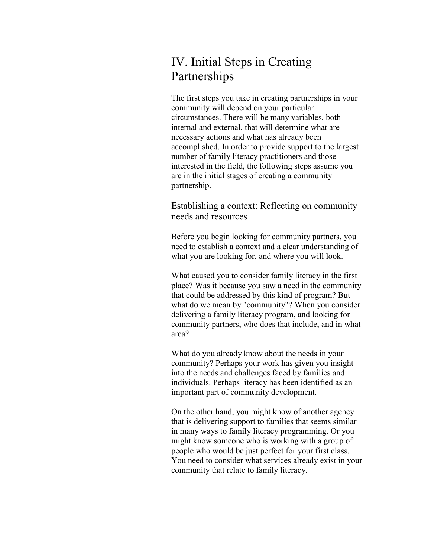# IV. Initial Steps in Creating Partnerships

The first steps you take in creating partnerships in your community will depend on your particular circumstances. There will be many variables, both internal and external, that will determine what are necessary actions and what has already been accomplished. In order to provide support to the largest number of family literacy practitioners and those interested in the field, the following steps assume you are in the initial stages of creating a community partnership.

Establishing a context: Reflecting on community needs and resources

Before you begin looking for community partners, you need to establish a context and a clear understanding of what you are looking for, and where you will look.

What caused you to consider family literacy in the first place? Was it because you saw a need in the community that could be addressed by this kind of program? But what do we mean by "community"? When you consider delivering a family literacy program, and looking for community partners, who does that include, and in what area?

What do you already know about the needs in your community? Perhaps your work has given you insight into the needs and challenges faced by families and individuals. Perhaps literacy has been identified as an important part of community development.

On the other hand, you might know of another agency that is delivering support to families that seems similar in many ways to family literacy programming. Or you might know someone who is working with a group of people who would be just perfect for your first class. You need to consider what services already exist in your community that relate to family literacy.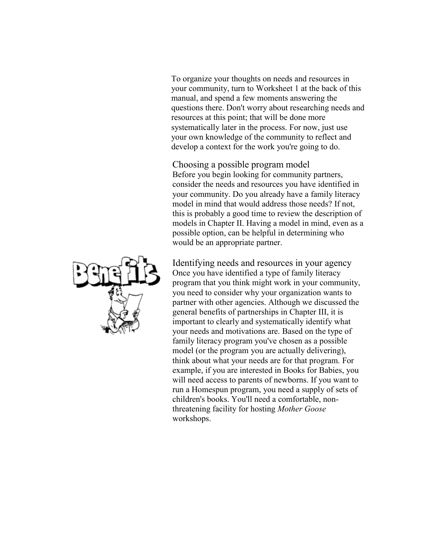To organize your thoughts on needs and resources in your community, turn to Worksheet 1 at the back of this manual, and spend a few moments answering the questions there. Don't worry about researching needs and resources at this point; that will be done more systematically later in the process. For now, just use your own knowledge of the community to reflect and develop a context for the work you're going to do.

Choosing a possible program model Before you begin looking for community partners, consider the needs and resources you have identified in your community. Do you already have a family literacy model in mind that would address those needs? If not, this is probably a good time to review the description of models in Chapter II. Having a model in mind, even as a possible option, can be helpful in determining who would be an appropriate partner.



Identifying needs and resources in your agency Once you have identified a type of family literacy program that you think might work in your community, you need to consider why your organization wants to partner with other agencies. Although we discussed the general benefits of partnerships in Chapter III, it is important to clearly and systematically identify what your needs and motivations are. Based on the type of family literacy program you've chosen as a possible model (or the program you are actually delivering), think about what your needs are for that program. For example, if you are interested in Books for Babies, you will need access to parents of newborns. If you want to run a Homespun program, you need a supply of sets of children's books. You'll need a comfortable, nonthreatening facility for hosting *Mother Goose*  workshops.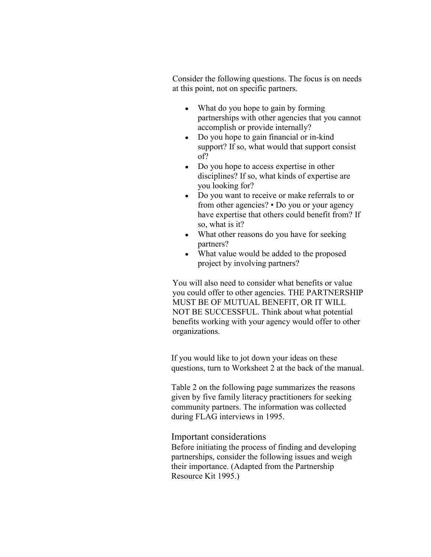Consider the following questions. The focus is on needs at this point, not on specific partners.

- What do you hope to gain by forming partnerships with other agencies that you cannot accomplish or provide internally?
- Do you hope to gain financial or in-kind support? If so, what would that support consist of?
- Do you hope to access expertise in other disciplines? If so, what kinds of expertise are you looking for?
- Do you want to receive or make referrals to or from other agencies? • Do you or your agency have expertise that others could benefit from? If so, what is it?
- What other reasons do you have for seeking partners?
- What value would be added to the proposed project by involving partners?

You will also need to consider what benefits or value you could offer to other agencies. THE PARTNERSHIP MUST BE OF MUTUAL BENEFIT, OR IT WILL NOT BE SUCCESSFUL. Think about what potential benefits working with your agency would offer to other organizations.

If you would like to jot down your ideas on these questions, turn to Worksheet 2 at the back of the manual.

Table 2 on the following page summarizes the reasons given by five family literacy practitioners for seeking community partners. The information was collected during FLAG interviews in 1995.

# Important considerations

Before initiating the process of finding and developing partnerships, consider the following issues and weigh their importance. (Adapted from the Partnership Resource Kit 1995.)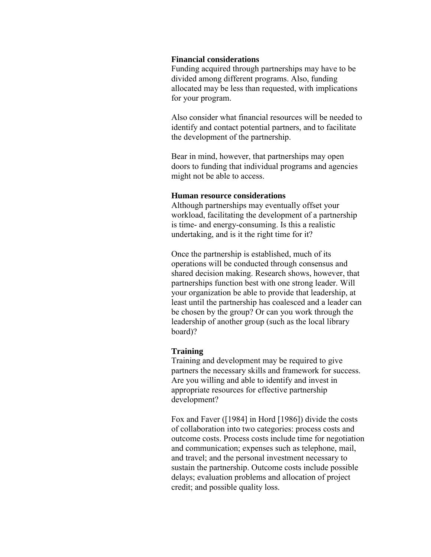### **Financial considerations**

Funding acquired through partnerships may have to be divided among different programs. Also, funding allocated may be less than requested, with implications for your program.

Also consider what financial resources will be needed to identify and contact potential partners, and to facilitate the development of the partnership.

Bear in mind, however, that partnerships may open doors to funding that individual programs and agencies might not be able to access.

#### **Human resource considerations**

Although partnerships may eventually offset your workload, facilitating the development of a partnership is time- and energy-consuming. Is this a realistic undertaking, and is it the right time for it?

Once the partnership is established, much of its operations will be conducted through consensus and shared decision making. Research shows, however, that partnerships function best with one strong leader. Will your organization be able to provide that leadership, at least until the partnership has coalesced and a leader can be chosen by the group? Or can you work through the leadership of another group (such as the local library board)?

#### **Training**

Training and development may be required to give partners the necessary skills and framework for success. Are you willing and able to identify and invest in appropriate resources for effective partnership development?

Fox and Faver ([1984] in Hord [1986]) divide the costs of collaboration into two categories: process costs and outcome costs. Process costs include time for negotiation and communication; expenses such as telephone, mail, and travel; and the personal investment necessary to sustain the partnership. Outcome costs include possible delays; evaluation problems and allocation of project credit; and possible quality loss.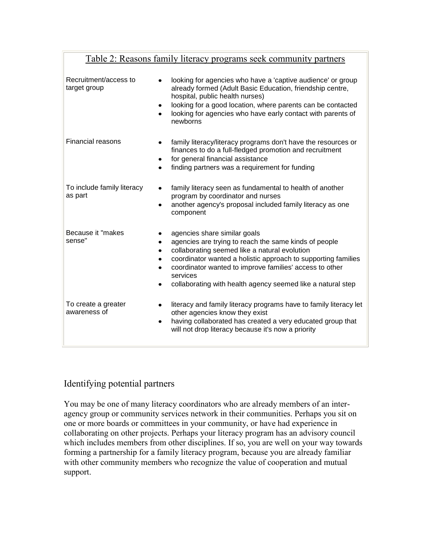| <u>Table 2: Reasons family literacy programs seek community partners</u> |                                                                                                                                                                                                                                                                                                                                                                                                             |  |
|--------------------------------------------------------------------------|-------------------------------------------------------------------------------------------------------------------------------------------------------------------------------------------------------------------------------------------------------------------------------------------------------------------------------------------------------------------------------------------------------------|--|
| Recruitment/access to<br>target group                                    | looking for agencies who have a 'captive audience' or group<br>already formed (Adult Basic Education, friendship centre,<br>hospital, public health nurses)<br>looking for a good location, where parents can be contacted<br>٠<br>looking for agencies who have early contact with parents of<br>$\bullet$<br>newborns                                                                                     |  |
| Financial reasons                                                        | family literacy/literacy programs don't have the resources or<br>finances to do a full-fledged promotion and recruitment<br>for general financial assistance<br>٠<br>finding partners was a requirement for funding<br>$\bullet$                                                                                                                                                                            |  |
| To include family literacy<br>as part                                    | family literacy seen as fundamental to health of another<br>program by coordinator and nurses<br>another agency's proposal included family literacy as one<br>٠<br>component                                                                                                                                                                                                                                |  |
| Because it "makes<br>sense"                                              | agencies share similar goals<br>٠<br>agencies are trying to reach the same kinds of people<br>٠<br>collaborating seemed like a natural evolution<br>$\bullet$<br>coordinator wanted a holistic approach to supporting families<br>$\bullet$<br>coordinator wanted to improve families' access to other<br>$\bullet$<br>services<br>collaborating with health agency seemed like a natural step<br>$\bullet$ |  |
| To create a greater<br>awareness of                                      | literacy and family literacy programs have to family literacy let<br>other agencies know they exist<br>having collaborated has created a very educated group that<br>٠<br>will not drop literacy because it's now a priority                                                                                                                                                                                |  |

# Identifying potential partners

You may be one of many literacy coordinators who are already members of an interagency group or community services network in their communities. Perhaps you sit on one or more boards or committees in your community, or have had experience in collaborating on other projects. Perhaps your literacy program has an advisory council which includes members from other disciplines. If so, you are well on your way towards forming a partnership for a family literacy program, because you are already familiar with other community members who recognize the value of cooperation and mutual support.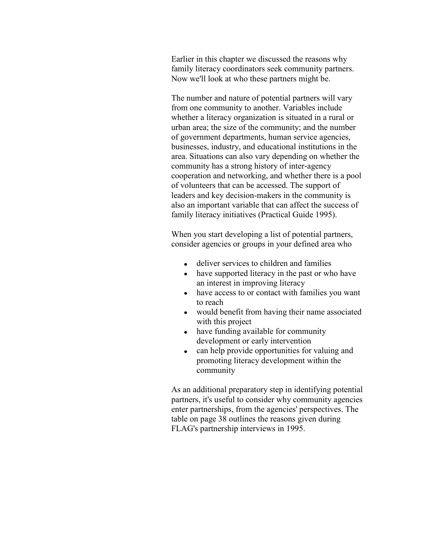Earlier in this chapter we discussed the reasons why family literacy coordinators seek community partners. Now we'll look at who these partners might be.

The number and nature of potential partners will vary from one community to another. Variables include whether a literacy organization is situated in a rural or urban area; the size of the community; and the number of government departments, human service agencies, businesses, industry, and educational institutions in the area. Situations can also vary depending on whether the community has a strong history of inter-agency cooperation and networking, and whether there is a pool of volunteers that can be accessed. The support of leaders and key decision-makers in the community is also an important variable that can affect the success of family literacy initiatives (Practical Guide 1995).

When you start developing a list of potential partners, consider agencies or groups in your defined area who

- deliver services to children and families
- have supported literacy in the past or who have an interest in improving literacy
- have access to or contact with families you want to reach
- would benefit from having their name associated  $\bullet$ with this project
- have funding available for community  $\bullet$ development or early intervention
- can help provide opportunities for valuing and  $\bullet$ promoting literacy development within the community

As an additional preparatory step in identifying potential partners, it's useful to consider why community agencies enter partnerships, from the agencies' perspectives. The table on page 38 outlines the reasons given during FLAG's partnership interviews in 1995.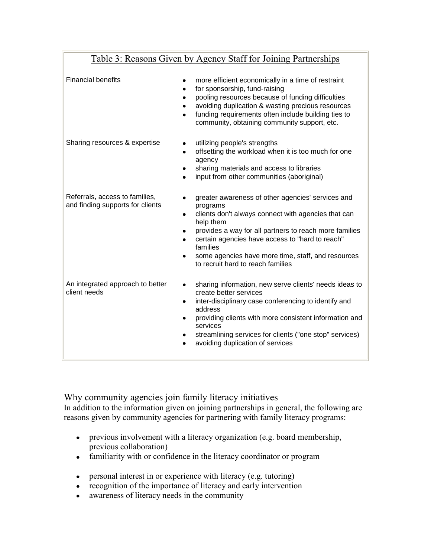| <u> Table 3: Reasons Given by Agency Staff for Joining Partnerships</u> |                                                                                                                                                                                                                                                                                                                                                                                                        |  |
|-------------------------------------------------------------------------|--------------------------------------------------------------------------------------------------------------------------------------------------------------------------------------------------------------------------------------------------------------------------------------------------------------------------------------------------------------------------------------------------------|--|
| <b>Financial benefits</b>                                               | more efficient economically in a time of restraint<br>$\bullet$<br>for sponsorship, fund-raising<br>$\bullet$<br>pooling resources because of funding difficulties<br>$\bullet$<br>avoiding duplication & wasting precious resources<br>funding requirements often include building ties to<br>community, obtaining community support, etc.                                                            |  |
| Sharing resources & expertise                                           | utilizing people's strengths<br>٠<br>offsetting the workload when it is too much for one<br>$\bullet$<br>agency<br>sharing materials and access to libraries<br>٠<br>input from other communities (aboriginal)<br>$\bullet$                                                                                                                                                                            |  |
| Referrals, access to families,<br>and finding supports for clients      | greater awareness of other agencies' services and<br>٠<br>programs<br>clients don't always connect with agencies that can<br>$\bullet$<br>help them<br>provides a way for all partners to reach more families<br>٠<br>certain agencies have access to "hard to reach"<br>$\bullet$<br>families<br>some agencies have more time, staff, and resources<br>$\bullet$<br>to recruit hard to reach families |  |
| An integrated approach to better<br>client needs                        | sharing information, new serve clients' needs ideas to<br>٠<br>create better services<br>inter-disciplinary case conferencing to identify and<br>$\bullet$<br>address<br>providing clients with more consistent information and<br>$\bullet$<br>services<br>streamlining services for clients ("one stop" services)<br>٠<br>avoiding duplication of services<br>$\bullet$                              |  |

Why community agencies join family literacy initiatives In addition to the information given on joining partnerships in general, the following are reasons given by community agencies for partnering with family literacy programs:

- previous involvement with a literacy organization (e.g. board membership, previous collaboration)
- familiarity with or confidence in the literacy coordinator or program
- personal interest in or experience with literacy (e.g. tutoring)
- recognition of the importance of literacy and early intervention
- awareness of literacy needs in the community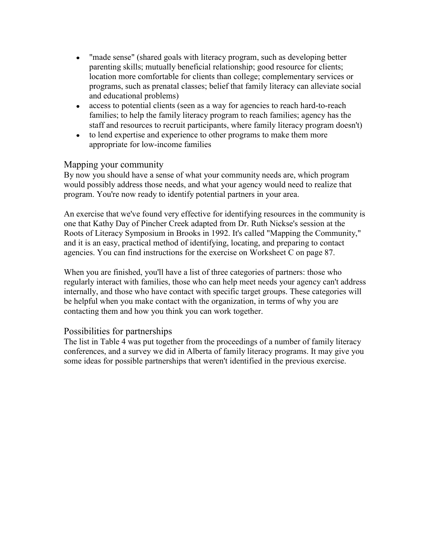- "made sense" (shared goals with literacy program, such as developing better parenting skills; mutually beneficial relationship; good resource for clients; location more comfortable for clients than college; complementary services or programs, such as prenatal classes; belief that family literacy can alleviate social and educational problems)
- access to potential clients (seen as a way for agencies to reach hard-to-reach families; to help the family literacy program to reach families; agency has the staff and resources to recruit participants, where family literacy program doesn't)
- to lend expertise and experience to other programs to make them more appropriate for low-income families

# Mapping your community

By now you should have a sense of what your community needs are, which program would possibly address those needs, and what your agency would need to realize that program. You're now ready to identify potential partners in your area.

An exercise that we've found very effective for identifying resources in the community is one that Kathy Day of Pincher Creek adapted from Dr. Ruth Nickse's session at the Roots of Literacy Symposium in Brooks in 1992. It's called "Mapping the Community," and it is an easy, practical method of identifying, locating, and preparing to contact agencies. You can find instructions for the exercise on Worksheet C on page 87.

When you are finished, you'll have a list of three categories of partners: those who regularly interact with families, those who can help meet needs your agency can't address internally, and those who have contact with specific target groups. These categories will be helpful when you make contact with the organization, in terms of why you are contacting them and how you think you can work together.

# Possibilities for partnerships

The list in Table 4 was put together from the proceedings of a number of family literacy conferences, and a survey we did in Alberta of family literacy programs. It may give you some ideas for possible partnerships that weren't identified in the previous exercise.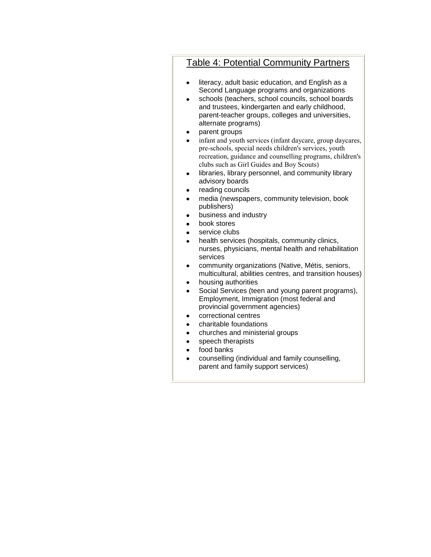# Table 4: Potential Community Partners

- literacy, adult basic education, and English as a  $\bullet$ Second Language programs and organizations
- schools (teachers, school councils, school boards and trustees, kindergarten and early childhood, parent-teacher groups, colleges and universities, alternate programs)
- parent groups  $\bullet$
- infant and youth services (infant daycare, group daycares, pre-schools, special needs children's services, youth recreation, guidance and counselling programs, children's clubs such as Girl Guides and Boy Scouts)
- libraries, library personnel, and community library  $\bullet$ advisory boards
- reading councils
- media (newspapers, community television, book publishers)
- business and industry
- book stores
- service clubs
- health services (hospitals, community clinics, nurses, physicians, mental health and rehabilitation services
- community organizations (Native, Métis, seniors, multicultural, abilities centres, and transition houses)
- housing authorities
- Social Services (teen and young parent programs),  $\bullet$ Employment, Immigration (most federal and provincial government agencies)
- correctional centres
- charitable foundations  $\blacksquare$
- churches and ministerial groups
- speech therapists
- food banks  $\bullet$
- counselling (individual and family counselling, parent and family support services)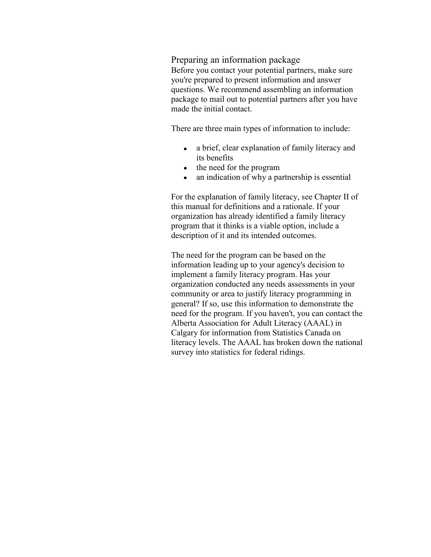Preparing an information package Before you contact your potential partners, make sure you're prepared to present information and answer questions. We recommend assembling an information package to mail out to potential partners after you have made the initial contact.

There are three main types of information to include:

- a brief, clear explanation of family literacy and  $\bullet$ its benefits
- the need for the program
- an indication of why a partnership is essential

For the explanation of family literacy, see Chapter II of this manual for definitions and a rationale. If your organization has already identified a family literacy program that it thinks is a viable option, include a description of it and its intended outcomes.

The need for the program can be based on the information leading up to your agency's decision to implement a family literacy program. Has your organization conducted any needs assessments in your community or area to justify literacy programming in general? If so, use this information to demonstrate the need for the program. If you haven't, you can contact the Alberta Association for Adult Literacy (AAAL) in Calgary for information from Statistics Canada on literacy levels. The AAAL has broken down the national survey into statistics for federal ridings.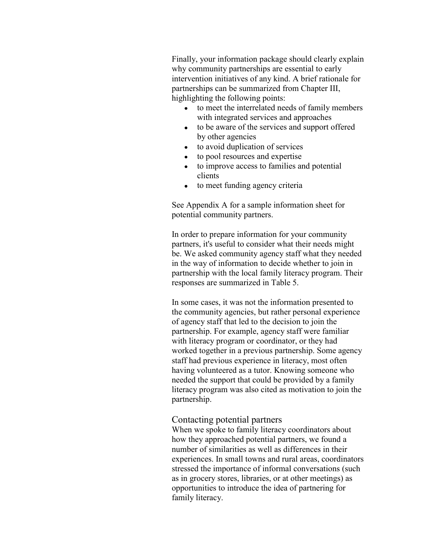Finally, your information package should clearly explain why community partnerships are essential to early intervention initiatives of any kind. A brief rationale for partnerships can be summarized from Chapter III, highlighting the following points:

- to meet the interrelated needs of family members with integrated services and approaches
- to be aware of the services and support offered by other agencies
- to avoid duplication of services  $\bullet$
- to pool resources and expertise
- to improve access to families and potential clients
- to meet funding agency criteria

See Appendix A for a sample information sheet for potential community partners.

In order to prepare information for your community partners, it's useful to consider what their needs might be. We asked community agency staff what they needed in the way of information to decide whether to join in partnership with the local family literacy program. Their responses are summarized in Table 5.

In some cases, it was not the information presented to the community agencies, but rather personal experience of agency staff that led to the decision to join the partnership. For example, agency staff were familiar with literacy program or coordinator, or they had worked together in a previous partnership. Some agency staff had previous experience in literacy, most often having volunteered as a tutor. Knowing someone who needed the support that could be provided by a family literacy program was also cited as motivation to join the partnership.

### Contacting potential partners

When we spoke to family literacy coordinators about how they approached potential partners, we found a number of similarities as well as differences in their experiences. In small towns and rural areas, coordinators stressed the importance of informal conversations (such as in grocery stores, libraries, or at other meetings) as opportunities to introduce the idea of partnering for family literacy.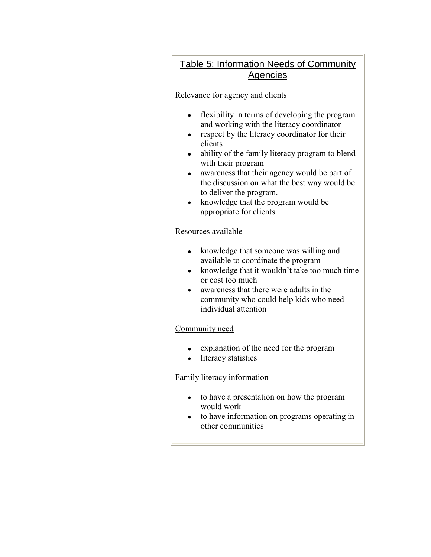# Table 5: Information Needs of Community Agencies

Relevance for agency and clients

- flexibility in terms of developing the program and working with the literacy coordinator
- respect by the literacy coordinator for their clients
- ability of the family literacy program to blend with their program
- awareness that their agency would be part of the discussion on what the best way would be to deliver the program.
- knowledge that the program would be appropriate for clients

# Resources available

- knowledge that someone was willing and available to coordinate the program
- knowledge that it wouldn't take too much time or cost too much
- awareness that there were adults in the community who could help kids who need individual attention

# Community need

- explanation of the need for the program
- literacy statistics

# Family literacy information

- to have a presentation on how the program would work
- to have information on programs operating in other communities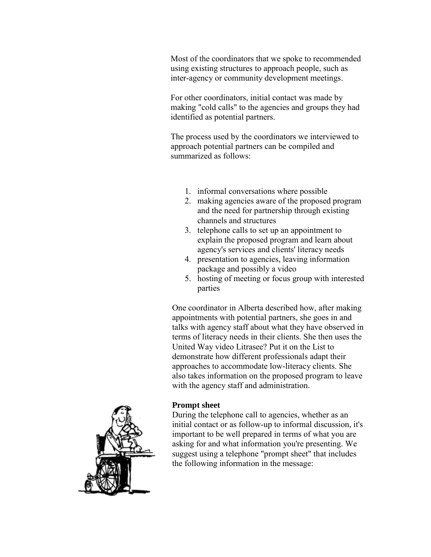Most of the coordinators that we spoke to recommended using existing structures to approach people, such as inter-agency or community development meetings.

For other coordinators, initial contact was made by making "cold calls" to the agencies and groups they had identified as potential partners.

The process used by the coordinators we interviewed to approach potential partners can be compiled and summarized as follows:

- 1. informal conversations where possible
- 2. making agencies aware of the proposed program and the need for partnership through existing channels and structures
- 3. telephone calls to set up an appointment to explain the proposed program and learn about agency's services and clients' literacy needs
- 4. presentation to agencies, leaving information package and possibly a video
- 5. hosting of meeting or focus group with interested parties

One coordinator in Alberta described how, after making appointments with potential partners, she goes in and talks with agency staff about what they have observed in terms of literacy needs in their clients. She then uses the United Way video Litrasee? Put it on the List to demonstrate how different professionals adapt their approaches to accommodate low-literacy clients. She also takes information on the proposed program to leave with the agency staff and administration.



# **Prompt sheet**

During the telephone call to agencies, whether as an initial contact or as follow-up to informal discussion, it's important to be well prepared in terms of what you are asking for and what information you're presenting. We suggest using a telephone "prompt sheet" that includes the following information in the message: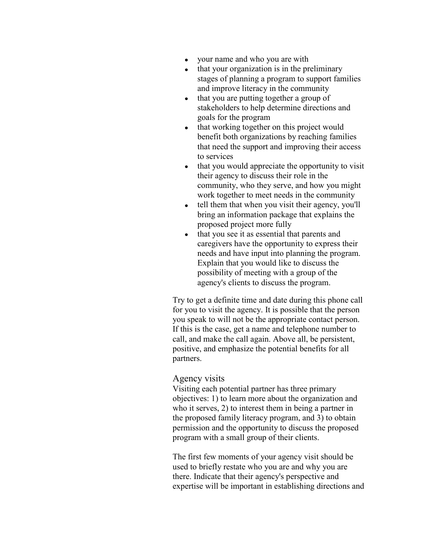- your name and who you are with
- that your organization is in the preliminary stages of planning a program to support families and improve literacy in the community
- that you are putting together a group of  $\bullet$ stakeholders to help determine directions and goals for the program
- that working together on this project would benefit both organizations by reaching families that need the support and improving their access to services
- that you would appreciate the opportunity to visit their agency to discuss their role in the community, who they serve, and how you might work together to meet needs in the community
- tell them that when you visit their agency, you'll bring an information package that explains the proposed project more fully
- that you see it as essential that parents and caregivers have the opportunity to express their needs and have input into planning the program. Explain that you would like to discuss the possibility of meeting with a group of the agency's clients to discuss the program.

Try to get a definite time and date during this phone call for you to visit the agency. It is possible that the person you speak to will not be the appropriate contact person. If this is the case, get a name and telephone number to call, and make the call again. Above all, be persistent, positive, and emphasize the potential benefits for all partners.

# Agency visits

Visiting each potential partner has three primary objectives: 1) to learn more about the organization and who it serves, 2) to interest them in being a partner in the proposed family literacy program, and 3) to obtain permission and the opportunity to discuss the proposed program with a small group of their clients.

The first few moments of your agency visit should be used to briefly restate who you are and why you are there. Indicate that their agency's perspective and expertise will be important in establishing directions and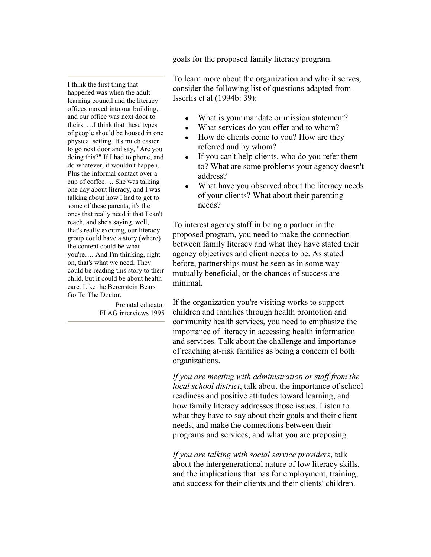goals for the proposed family literacy program.

I think the first thing that happened was when the adult learning council and the literacy offices moved into our building, and our office was next door to theirs. …I think that these types of people should be housed in one physical setting. It's much easier to go next door and say, "Are you doing this?" If I had to phone, and do whatever, it wouldn't happen. Plus the informal contact over a cup of coffee…. She was talking one day about literacy, and I was talking about how I had to get to some of these parents, it's the ones that really need it that I can't reach, and she's saying, well, that's really exciting, our literacy group could have a story (where) the content could be what you're…. And I'm thinking, right on, that's what we need. They could be reading this story to their child, but it could be about health care. Like the Berenstein Bears Go To The Doctor.

> Prenatal educator FLAG interviews 1995

To learn more about the organization and who it serves, consider the following list of questions adapted from Isserlis et al (1994b: 39):

- What is your mandate or mission statement?
- What services do you offer and to whom?
- How do clients come to you? How are they referred and by whom?
- If you can't help clients, who do you refer them to? What are some problems your agency doesn't address?
- What have you observed about the literacy needs of your clients? What about their parenting needs?

To interest agency staff in being a partner in the proposed program, you need to make the connection between family literacy and what they have stated their agency objectives and client needs to be. As stated before, partnerships must be seen as in some way mutually beneficial, or the chances of success are minimal.

If the organization you're visiting works to support children and families through health promotion and community health services, you need to emphasize the importance of literacy in accessing health information and services. Talk about the challenge and importance of reaching at-risk families as being a concern of both organizations.

*If you are meeting with administration or staff from the local school district*, talk about the importance of school readiness and positive attitudes toward learning, and how family literacy addresses those issues. Listen to what they have to say about their goals and their client needs, and make the connections between their programs and services, and what you are proposing.

*If you are talking with social service providers*, talk about the intergenerational nature of low literacy skills, and the implications that has for employment, training, and success for their clients and their clients' children.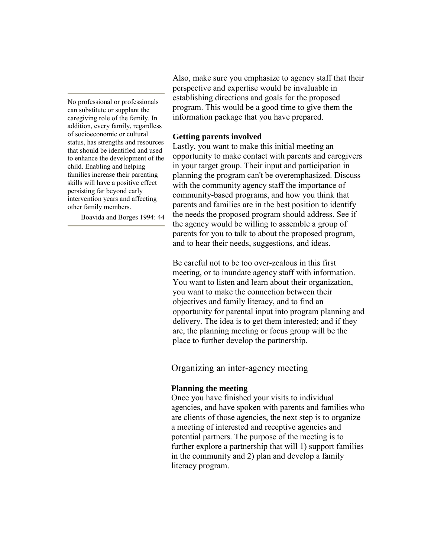No professional or professionals can substitute or supplant the caregiving role of the family. In addition, every family, regardless of socioeconomic or cultural status, has strengths and resources that should be identified and used to enhance the development of the child. Enabling and helping families increase their parenting skills will have a positive effect persisting far beyond early intervention years and affecting other family members.

Boavida and Borges 1994: 44

Also, make sure you emphasize to agency staff that their perspective and expertise would be invaluable in establishing directions and goals for the proposed program. This would be a good time to give them the information package that you have prepared.

#### **Getting parents involved**

Lastly, you want to make this initial meeting an opportunity to make contact with parents and caregivers in your target group. Their input and participation in planning the program can't be overemphasized. Discuss with the community agency staff the importance of community-based programs, and how you think that parents and families are in the best position to identify the needs the proposed program should address. See if the agency would be willing to assemble a group of parents for you to talk to about the proposed program, and to hear their needs, suggestions, and ideas.

Be careful not to be too over-zealous in this first meeting, or to inundate agency staff with information. You want to listen and learn about their organization, you want to make the connection between their objectives and family literacy, and to find an opportunity for parental input into program planning and delivery. The idea is to get them interested; and if they are, the planning meeting or focus group will be the place to further develop the partnership.

# Organizing an inter-agency meeting

#### **Planning the meeting**

Once you have finished your visits to individual agencies, and have spoken with parents and families who are clients of those agencies, the next step is to organize a meeting of interested and receptive agencies and potential partners. The purpose of the meeting is to further explore a partnership that will 1) support families in the community and 2) plan and develop a family literacy program.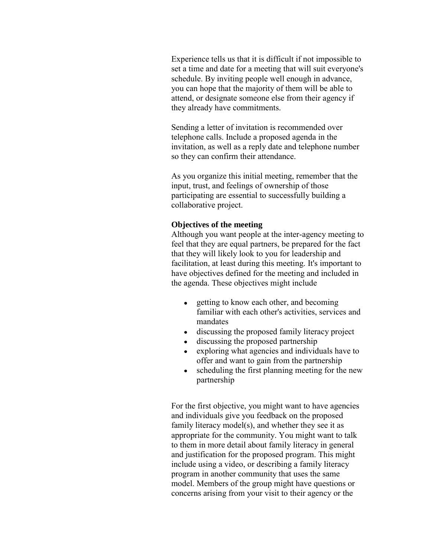Experience tells us that it is difficult if not impossible to set a time and date for a meeting that will suit everyone's schedule. By inviting people well enough in advance, you can hope that the majority of them will be able to attend, or designate someone else from their agency if they already have commitments.

Sending a letter of invitation is recommended over telephone calls. Include a proposed agenda in the invitation, as well as a reply date and telephone number so they can confirm their attendance.

As you organize this initial meeting, remember that the input, trust, and feelings of ownership of those participating are essential to successfully building a collaborative project.

# **Objectives of the meeting**

Although you want people at the inter-agency meeting to feel that they are equal partners, be prepared for the fact that they will likely look to you for leadership and facilitation, at least during this meeting. It's important to have objectives defined for the meeting and included in the agenda. These objectives might include

- getting to know each other, and becoming  $\bullet$ familiar with each other's activities, services and mandates
- $\bullet$ discussing the proposed family literacy project
- discussing the proposed partnership
- exploring what agencies and individuals have to offer and want to gain from the partnership
- scheduling the first planning meeting for the new partnership

For the first objective, you might want to have agencies and individuals give you feedback on the proposed family literacy model(s), and whether they see it as appropriate for the community. You might want to talk to them in more detail about family literacy in general and justification for the proposed program. This might include using a video, or describing a family literacy program in another community that uses the same model. Members of the group might have questions or concerns arising from your visit to their agency or the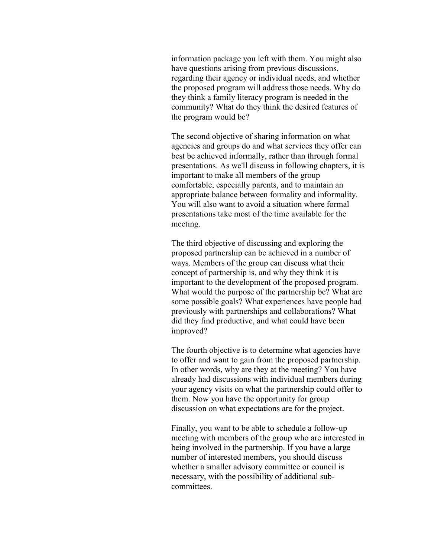information package you left with them. You might also have questions arising from previous discussions, regarding their agency or individual needs, and whether the proposed program will address those needs. Why do they think a family literacy program is needed in the community? What do they think the desired features of the program would be?

The second objective of sharing information on what agencies and groups do and what services they offer can best be achieved informally, rather than through formal presentations. As we'll discuss in following chapters, it is important to make all members of the group comfortable, especially parents, and to maintain an appropriate balance between formality and informality. You will also want to avoid a situation where formal presentations take most of the time available for the meeting.

The third objective of discussing and exploring the proposed partnership can be achieved in a number of ways. Members of the group can discuss what their concept of partnership is, and why they think it is important to the development of the proposed program. What would the purpose of the partnership be? What are some possible goals? What experiences have people had previously with partnerships and collaborations? What did they find productive, and what could have been improved?

The fourth objective is to determine what agencies have to offer and want to gain from the proposed partnership. In other words, why are they at the meeting? You have already had discussions with individual members during your agency visits on what the partnership could offer to them. Now you have the opportunity for group discussion on what expectations are for the project.

Finally, you want to be able to schedule a follow-up meeting with members of the group who are interested in being involved in the partnership. If you have a large number of interested members, you should discuss whether a smaller advisory committee or council is necessary, with the possibility of additional subcommittees.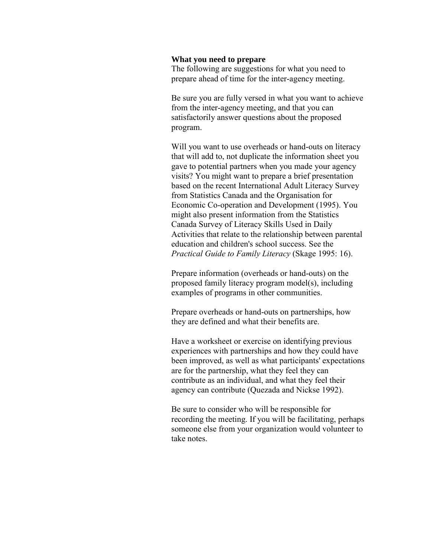#### **What you need to prepare**

The following are suggestions for what you need to prepare ahead of time for the inter-agency meeting.

Be sure you are fully versed in what you want to achieve from the inter-agency meeting, and that you can satisfactorily answer questions about the proposed program.

Will you want to use overheads or hand-outs on literacy that will add to, not duplicate the information sheet you gave to potential partners when you made your agency visits? You might want to prepare a brief presentation based on the recent International Adult Literacy Survey from Statistics Canada and the Organisation for Economic Co-operation and Development (1995). You might also present information from the Statistics Canada Survey of Literacy Skills Used in Daily Activities that relate to the relationship between parental education and children's school success. See the *Practical Guide to Family Literacy* (Skage 1995: 16).

Prepare information (overheads or hand-outs) on the proposed family literacy program model(s), including examples of programs in other communities.

Prepare overheads or hand-outs on partnerships, how they are defined and what their benefits are.

Have a worksheet or exercise on identifying previous experiences with partnerships and how they could have been improved, as well as what participants' expectations are for the partnership, what they feel they can contribute as an individual, and what they feel their agency can contribute (Quezada and Nickse 1992).

Be sure to consider who will be responsible for recording the meeting. If you will be facilitating, perhaps someone else from your organization would volunteer to take notes.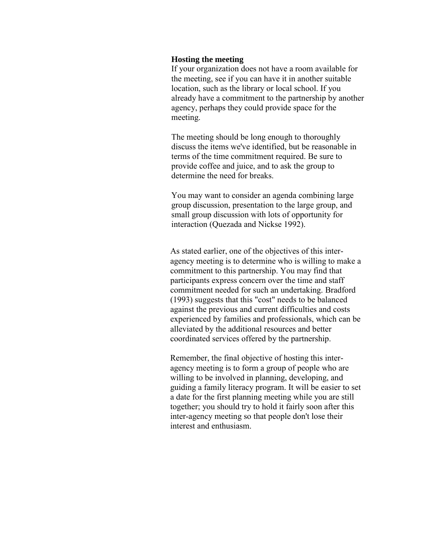#### **Hosting the meeting**

If your organization does not have a room available for the meeting, see if you can have it in another suitable location, such as the library or local school. If you already have a commitment to the partnership by another agency, perhaps they could provide space for the meeting.

The meeting should be long enough to thoroughly discuss the items we've identified, but be reasonable in terms of the time commitment required. Be sure to provide coffee and juice, and to ask the group to determine the need for breaks.

You may want to consider an agenda combining large group discussion, presentation to the large group, and small group discussion with lots of opportunity for interaction (Quezada and Nickse 1992).

As stated earlier, one of the objectives of this interagency meeting is to determine who is willing to make a commitment to this partnership. You may find that participants express concern over the time and staff commitment needed for such an undertaking. Bradford (1993) suggests that this "cost" needs to be balanced against the previous and current difficulties and costs experienced by families and professionals, which can be alleviated by the additional resources and better coordinated services offered by the partnership.

Remember, the final objective of hosting this interagency meeting is to form a group of people who are willing to be involved in planning, developing, and guiding a family literacy program. It will be easier to set a date for the first planning meeting while you are still together; you should try to hold it fairly soon after this inter-agency meeting so that people don't lose their interest and enthusiasm.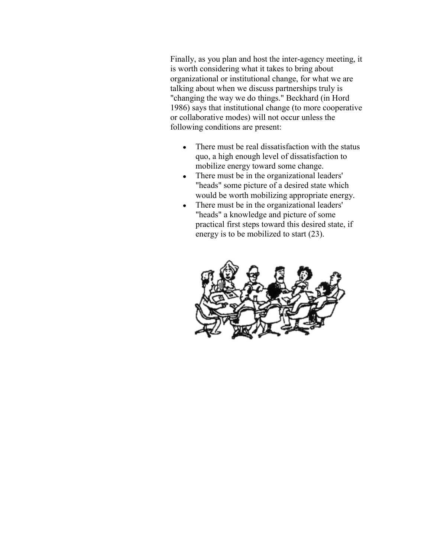Finally, as you plan and host the inter-agency meeting, it is worth considering what it takes to bring about organizational or institutional change, for what we are talking about when we discuss partnerships truly is "changing the way we do things." Beckhard (in Hord 1986) says that institutional change (to more cooperative or collaborative modes) will not occur unless the following conditions are present:

- There must be real dissatisfaction with the status  $\bullet$ quo, a high enough level of dissatisfaction to mobilize energy toward some change.
- There must be in the organizational leaders'  $\bullet$ "heads" some picture of a desired state which would be worth mobilizing appropriate energy.
- There must be in the organizational leaders'  $\bullet$ "heads" a knowledge and picture of some practical first steps toward this desired state, if energy is to be mobilized to start (23).

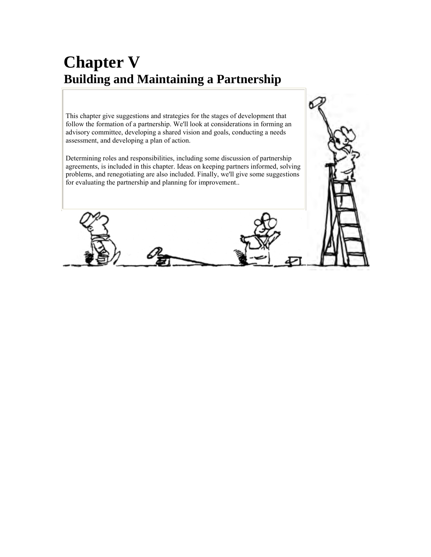# **Chapter V Building and Maintaining a Partnership**

This chapter give suggestions and strategies for the stages of development that follow the formation of a partnership. We'll look at considerations in forming an advisory committee, developing a shared vision and goals, conducting a needs assessment, and developing a plan of action.

Determining roles and responsibilities, including some discussion of partnership agreements, is included in this chapter. Ideas on keeping partners informed, solving problems, and renegotiating are also included. Finally, we'll give some suggestions for evaluating the partnership and planning for improvement..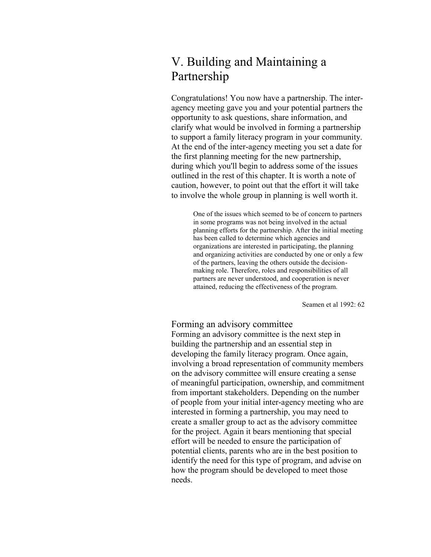# V. Building and Maintaining a Partnership

Congratulations! You now have a partnership. The interagency meeting gave you and your potential partners the opportunity to ask questions, share information, and clarify what would be involved in forming a partnership to support a family literacy program in your community. At the end of the inter-agency meeting you set a date for the first planning meeting for the new partnership, during which you'll begin to address some of the issues outlined in the rest of this chapter. It is worth a note of caution, however, to point out that the effort it will take to involve the whole group in planning is well worth it.

> One of the issues which seemed to be of concern to partners in some programs was not being involved in the actual planning efforts for the partnership. After the initial meeting has been called to determine which agencies and organizations are interested in participating, the planning and organizing activities are conducted by one or only a few of the partners, leaving the others outside the decisionmaking role. Therefore, roles and responsibilities of all partners are never understood, and cooperation is never attained, reducing the effectiveness of the program.

> > Seamen et al 1992: 62

# Forming an advisory committee

Forming an advisory committee is the next step in building the partnership and an essential step in developing the family literacy program. Once again, involving a broad representation of community members on the advisory committee will ensure creating a sense of meaningful participation, ownership, and commitment from important stakeholders. Depending on the number of people from your initial inter-agency meeting who are interested in forming a partnership, you may need to create a smaller group to act as the advisory committee for the project. Again it bears mentioning that special effort will be needed to ensure the participation of potential clients, parents who are in the best position to identify the need for this type of program, and advise on how the program should be developed to meet those needs.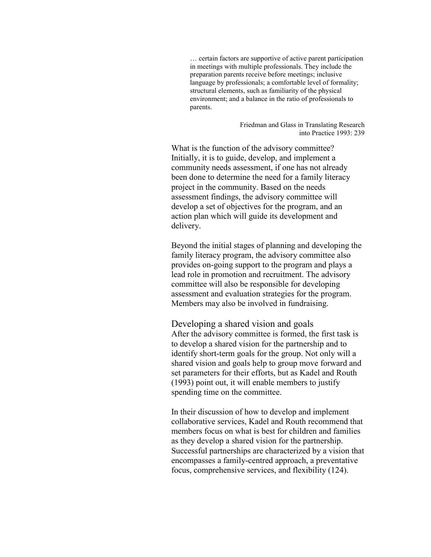… certain factors are supportive of active parent participation in meetings with multiple professionals. They include the preparation parents receive before meetings; inclusive language by professionals; a comfortable level of formality; structural elements, such as familiarity of the physical environment; and a balance in the ratio of professionals to parents.

> Friedman and Glass in Translating Research into Practice 1993: 239

What is the function of the advisory committee? Initially, it is to guide, develop, and implement a community needs assessment, if one has not already been done to determine the need for a family literacy project in the community. Based on the needs assessment findings, the advisory committee will develop a set of objectives for the program, and an action plan which will guide its development and delivery.

Beyond the initial stages of planning and developing the family literacy program, the advisory committee also provides on-going support to the program and plays a lead role in promotion and recruitment. The advisory committee will also be responsible for developing assessment and evaluation strategies for the program. Members may also be involved in fundraising.

Developing a shared vision and goals After the advisory committee is formed, the first task is to develop a shared vision for the partnership and to identify short-term goals for the group. Not only will a shared vision and goals help to group move forward and set parameters for their efforts, but as Kadel and Routh (1993) point out, it will enable members to justify spending time on the committee.

In their discussion of how to develop and implement collaborative services, Kadel and Routh recommend that members focus on what is best for children and families as they develop a shared vision for the partnership. Successful partnerships are characterized by a vision that encompasses a family-centred approach, a preventative focus, comprehensive services, and flexibility (124).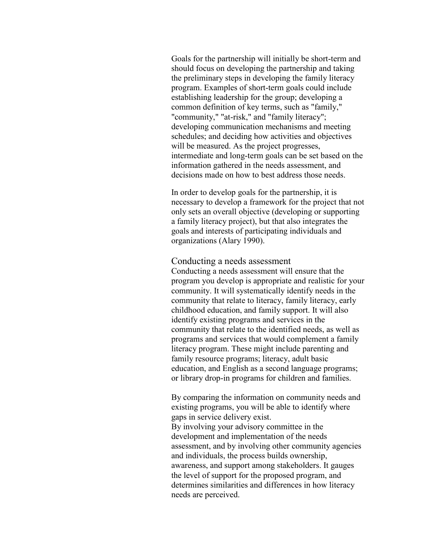Goals for the partnership will initially be short-term and should focus on developing the partnership and taking the preliminary steps in developing the family literacy program. Examples of short-term goals could include establishing leadership for the group; developing a common definition of key terms, such as "family," "community," "at-risk," and "family literacy"; developing communication mechanisms and meeting schedules; and deciding how activities and objectives will be measured. As the project progresses, intermediate and long-term goals can be set based on the information gathered in the needs assessment, and decisions made on how to best address those needs.

In order to develop goals for the partnership, it is necessary to develop a framework for the project that not only sets an overall objective (developing or supporting a family literacy project), but that also integrates the goals and interests of participating individuals and organizations (Alary 1990).

#### Conducting a needs assessment

Conducting a needs assessment will ensure that the program you develop is appropriate and realistic for your community. It will systematically identify needs in the community that relate to literacy, family literacy, early childhood education, and family support. It will also identify existing programs and services in the community that relate to the identified needs, as well as programs and services that would complement a family literacy program. These might include parenting and family resource programs; literacy, adult basic education, and English as a second language programs; or library drop-in programs for children and families.

By comparing the information on community needs and existing programs, you will be able to identify where gaps in service delivery exist.

By involving your advisory committee in the development and implementation of the needs assessment, and by involving other community agencies and individuals, the process builds ownership, awareness, and support among stakeholders. It gauges the level of support for the proposed program, and determines similarities and differences in how literacy needs are perceived.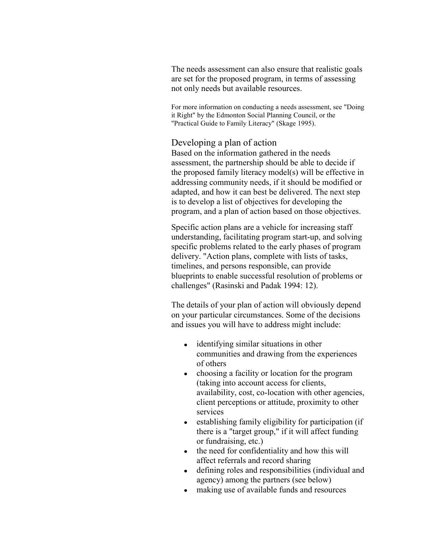The needs assessment can also ensure that realistic goals are set for the proposed program, in terms of assessing not only needs but available resources.

For more information on conducting a needs assessment, see "Doing it Right" by the Edmonton Social Planning Council, or the "Practical Guide to Family Literacy" (Skage 1995).

### Developing a plan of action

Based on the information gathered in the needs assessment, the partnership should be able to decide if the proposed family literacy model(s) will be effective in addressing community needs, if it should be modified or adapted, and how it can best be delivered. The next step is to develop a list of objectives for developing the program, and a plan of action based on those objectives.

Specific action plans are a vehicle for increasing staff understanding, facilitating program start-up, and solving specific problems related to the early phases of program delivery. "Action plans, complete with lists of tasks, timelines, and persons responsible, can provide blueprints to enable successful resolution of problems or challenges" (Rasinski and Padak 1994: 12).

The details of your plan of action will obviously depend on your particular circumstances. Some of the decisions and issues you will have to address might include:

- identifying similar situations in other  $\bullet$ communities and drawing from the experiences of others
- choosing a facility or location for the program  $\bullet$ (taking into account access for clients, availability, cost, co-location with other agencies, client perceptions or attitude, proximity to other services
- establishing family eligibility for participation (if  $\bullet$ there is a "target group," if it will affect funding or fundraising, etc.)
- the need for confidentiality and how this will affect referrals and record sharing
- defining roles and responsibilities (individual and  $\bullet$ agency) among the partners (see below)
- making use of available funds and resources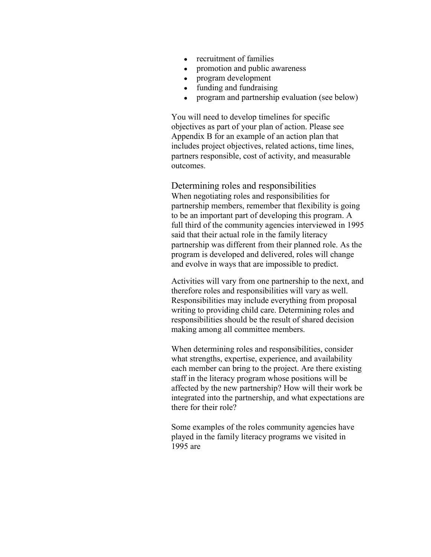- recruitment of families  $\bullet$
- promotion and public awareness
- program development  $\bullet$
- funding and fundraising  $\bullet$
- $\bullet$ program and partnership evaluation (see below)

You will need to develop timelines for specific objectives as part of your plan of action. Please see Appendix B for an example of an action plan that includes project objectives, related actions, time lines, partners responsible, cost of activity, and measurable outcomes.

Determining roles and responsibilities When negotiating roles and responsibilities for partnership members, remember that flexibility is going to be an important part of developing this program. A full third of the community agencies interviewed in 1995 said that their actual role in the family literacy partnership was different from their planned role. As the program is developed and delivered, roles will change and evolve in ways that are impossible to predict.

Activities will vary from one partnership to the next, and therefore roles and responsibilities will vary as well. Responsibilities may include everything from proposal writing to providing child care. Determining roles and responsibilities should be the result of shared decision making among all committee members.

When determining roles and responsibilities, consider what strengths, expertise, experience, and availability each member can bring to the project. Are there existing staff in the literacy program whose positions will be affected by the new partnership? How will their work be integrated into the partnership, and what expectations are there for their role?

Some examples of the roles community agencies have played in the family literacy programs we visited in 1995 are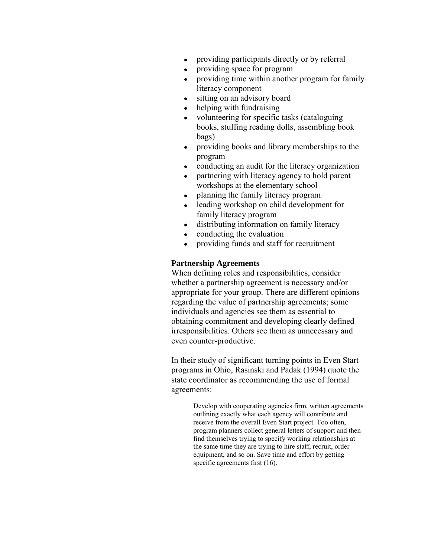- providing participants directly or by referral  $\bullet$
- providing space for program
- providing time within another program for family  $\bullet$ literacy component
- sitting on an advisory board  $\bullet$
- helping with fundraising
- volunteering for specific tasks (cataloguing books, stuffing reading dolls, assembling book bags)
- providing books and library memberships to the  $\bullet$ program
- conducting an audit for the literacy organization  $\bullet$
- partnering with literacy agency to hold parent  $\bullet$ workshops at the elementary school
- planning the family literacy program  $\bullet$
- leading workshop on child development for  $\bullet$ family literacy program
- distributing information on family literacy  $\bullet$
- conducting the evaluation
- providing funds and staff for recruitment  $\bullet$

# **Partnership Agreements**

When defining roles and responsibilities, consider whether a partnership agreement is necessary and/or appropriate for your group. There are different opinions regarding the value of partnership agreements; some individuals and agencies see them as essential to obtaining commitment and developing clearly defined irresponsibilities. Others see them as unnecessary and even counter-productive.

In their study of significant turning points in Even Start programs in Ohio, Rasinski and Padak (1994) quote the state coordinator as recommending the use of formal agreements:

> Develop with cooperating agencies firm, written agreements outlining exactly what each agency will contribute and receive from the overall Even Start project. Too often, program planners collect general letters of support and then find themselves trying to specify working relationships at the same time they are trying to hire staff, recruit, order equipment, and so on. Save time and effort by getting specific agreements first (16).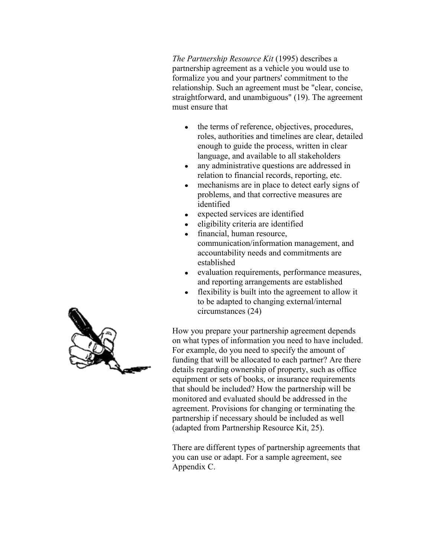*The Partnership Resource Kit* (1995) describes a partnership agreement as a vehicle you would use to formalize you and your partners' commitment to the relationship. Such an agreement must be "clear, concise, straightforward, and unambiguous" (19). The agreement must ensure that

- the terms of reference, objectives, procedures, roles, authorities and timelines are clear, detailed enough to guide the process, written in clear language, and available to all stakeholders
- $\bullet$ any administrative questions are addressed in relation to financial records, reporting, etc.
- mechanisms are in place to detect early signs of problems, and that corrective measures are identified
- expected services are identified
- eligibility criteria are identified
- financial, human resource, communication/information management, and accountability needs and commitments are established
- evaluation requirements, performance measures, and reporting arrangements are established
- flexibility is built into the agreement to allow it  $\bullet$ to be adapted to changing external/internal circumstances (24)

How you prepare your partnership agreement depends on what types of information you need to have included. For example, do you need to specify the amount of funding that will be allocated to each partner? Are there details regarding ownership of property, such as office equipment or sets of books, or insurance requirements that should be included? How the partnership will be monitored and evaluated should be addressed in the agreement. Provisions for changing or terminating the partnership if necessary should be included as well (adapted from Partnership Resource Kit, 25).

There are different types of partnership agreements that you can use or adapt. For a sample agreement, see Appendix C.

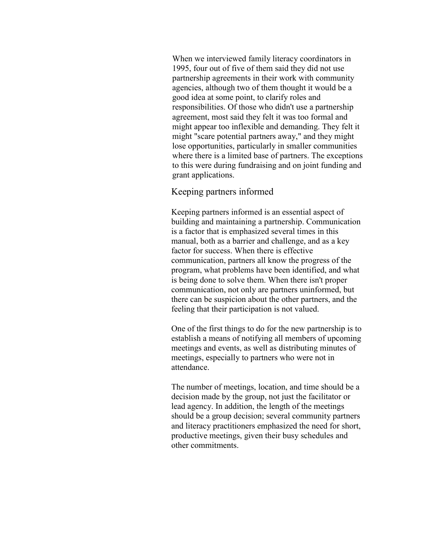When we interviewed family literacy coordinators in 1995, four out of five of them said they did not use partnership agreements in their work with community agencies, although two of them thought it would be a good idea at some point, to clarify roles and responsibilities. Of those who didn't use a partnership agreement, most said they felt it was too formal and might appear too inflexible and demanding. They felt it might "scare potential partners away," and they might lose opportunities, particularly in smaller communities where there is a limited base of partners. The exceptions to this were during fundraising and on joint funding and grant applications.

# Keeping partners informed

Keeping partners informed is an essential aspect of building and maintaining a partnership. Communication is a factor that is emphasized several times in this manual, both as a barrier and challenge, and as a key factor for success. When there is effective communication, partners all know the progress of the program, what problems have been identified, and what is being done to solve them. When there isn't proper communication, not only are partners uninformed, but there can be suspicion about the other partners, and the feeling that their participation is not valued.

One of the first things to do for the new partnership is to establish a means of notifying all members of upcoming meetings and events, as well as distributing minutes of meetings, especially to partners who were not in attendance.

The number of meetings, location, and time should be a decision made by the group, not just the facilitator or lead agency. In addition, the length of the meetings should be a group decision; several community partners and literacy practitioners emphasized the need for short, productive meetings, given their busy schedules and other commitments.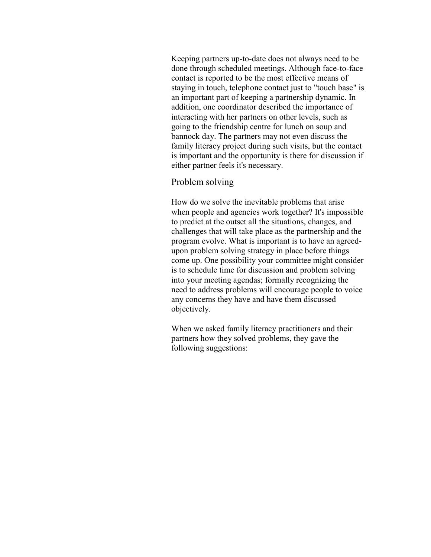Keeping partners up-to-date does not always need to be done through scheduled meetings. Although face-to-face contact is reported to be the most effective means of staying in touch, telephone contact just to "touch base" is an important part of keeping a partnership dynamic. In addition, one coordinator described the importance of interacting with her partners on other levels, such as going to the friendship centre for lunch on soup and bannock day. The partners may not even discuss the family literacy project during such visits, but the contact is important and the opportunity is there for discussion if either partner feels it's necessary.

# Problem solving

How do we solve the inevitable problems that arise when people and agencies work together? It's impossible to predict at the outset all the situations, changes, and challenges that will take place as the partnership and the program evolve. What is important is to have an agreedupon problem solving strategy in place before things come up. One possibility your committee might consider is to schedule time for discussion and problem solving into your meeting agendas; formally recognizing the need to address problems will encourage people to voice any concerns they have and have them discussed objectively.

When we asked family literacy practitioners and their partners how they solved problems, they gave the following suggestions: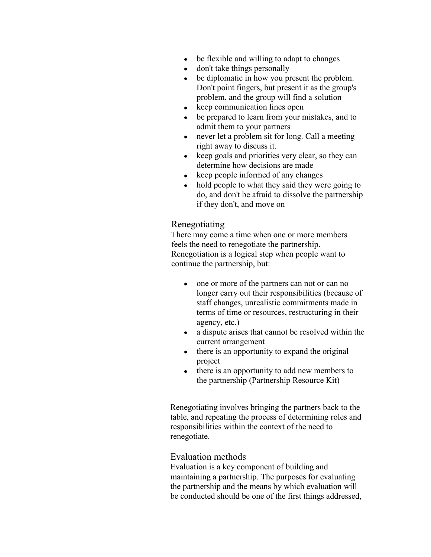- be flexible and willing to adapt to changes
- don't take things personally
- be diplomatic in how you present the problem. Don't point fingers, but present it as the group's problem, and the group will find a solution
- keep communication lines open
- be prepared to learn from your mistakes, and to admit them to your partners
- never let a problem sit for long. Call a meeting  $\bullet$ right away to discuss it.
- keep goals and priorities very clear, so they can  $\bullet$ determine how decisions are made
- keep people informed of any changes
- hold people to what they said they were going to do, and don't be afraid to dissolve the partnership if they don't, and move on

# Renegotiating

There may come a time when one or more members feels the need to renegotiate the partnership. Renegotiation is a logical step when people want to continue the partnership, but:

- one or more of the partners can not or can no longer carry out their responsibilities (because of staff changes, unrealistic commitments made in terms of time or resources, restructuring in their agency, etc.)
- a dispute arises that cannot be resolved within the  $\bullet$ current arrangement
- there is an opportunity to expand the original project
- there is an opportunity to add new members to the partnership (Partnership Resource Kit)

Renegotiating involves bringing the partners back to the table, and repeating the process of determining roles and responsibilities within the context of the need to renegotiate.

# Evaluation methods

Evaluation is a key component of building and maintaining a partnership. The purposes for evaluating the partnership and the means by which evaluation will be conducted should be one of the first things addressed,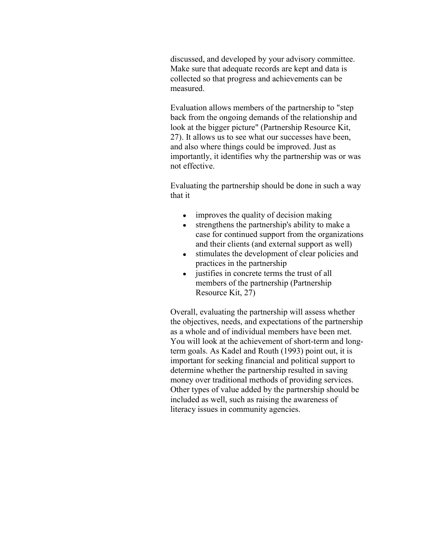discussed, and developed by your advisory committee. Make sure that adequate records are kept and data is collected so that progress and achievements can be measured.

Evaluation allows members of the partnership to "step back from the ongoing demands of the relationship and look at the bigger picture" (Partnership Resource Kit, 27). It allows us to see what our successes have been, and also where things could be improved. Just as importantly, it identifies why the partnership was or was not effective.

Evaluating the partnership should be done in such a way that it

- improves the quality of decision making
- strengthens the partnership's ability to make a case for continued support from the organizations and their clients (and external support as well)
- stimulates the development of clear policies and practices in the partnership
- justifies in concrete terms the trust of all members of the partnership (Partnership Resource Kit, 27)

Overall, evaluating the partnership will assess whether the objectives, needs, and expectations of the partnership as a whole and of individual members have been met. You will look at the achievement of short-term and longterm goals. As Kadel and Routh (1993) point out, it is important for seeking financial and political support to determine whether the partnership resulted in saving money over traditional methods of providing services. Other types of value added by the partnership should be included as well, such as raising the awareness of literacy issues in community agencies.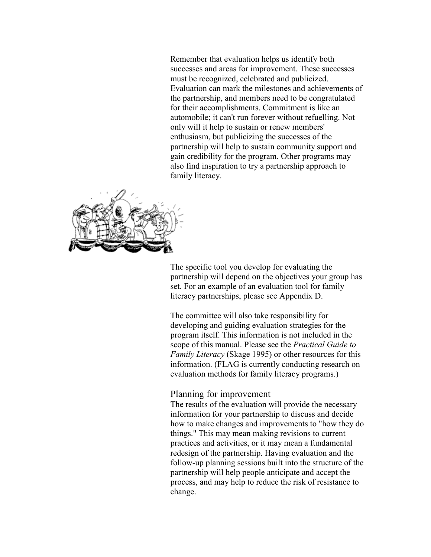Remember that evaluation helps us identify both successes and areas for improvement. These successes must be recognized, celebrated and publicized. Evaluation can mark the milestones and achievements of the partnership, and members need to be congratulated for their accomplishments. Commitment is like an automobile; it can't run forever without refuelling. Not only will it help to sustain or renew members' enthusiasm, but publicizing the successes of the partnership will help to sustain community support and gain credibility for the program. Other programs may also find inspiration to try a partnership approach to family literacy.



The specific tool you develop for evaluating the partnership will depend on the objectives your group has set. For an example of an evaluation tool for family literacy partnerships, please see Appendix D.

The committee will also take responsibility for developing and guiding evaluation strategies for the program itself. This information is not included in the scope of this manual. Please see the *Practical Guide to Family Literacy* (Skage 1995) or other resources for this information. (FLAG is currently conducting research on evaluation methods for family literacy programs.)

# Planning for improvement

The results of the evaluation will provide the necessary information for your partnership to discuss and decide how to make changes and improvements to "how they do things." This may mean making revisions to current practices and activities, or it may mean a fundamental redesign of the partnership. Having evaluation and the follow-up planning sessions built into the structure of the partnership will help people anticipate and accept the process, and may help to reduce the risk of resistance to change.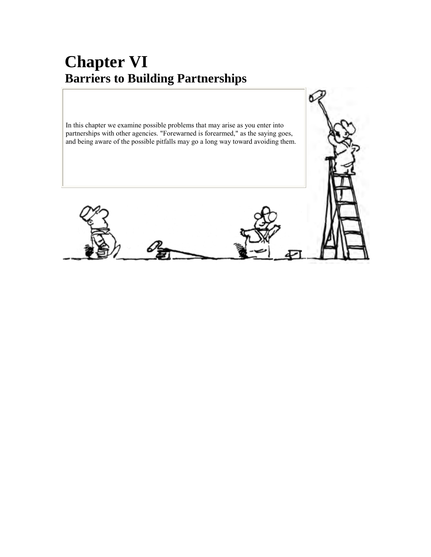# **Chapter VI Barriers to Building Partnerships**

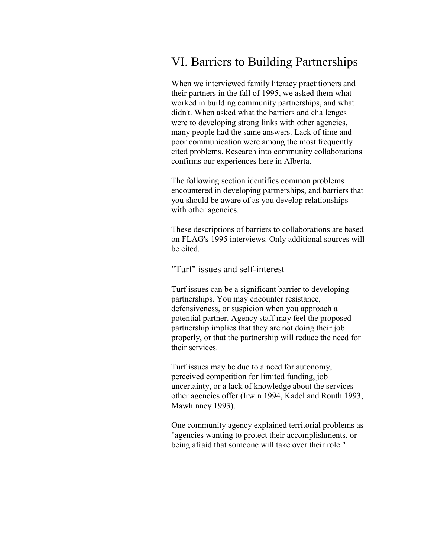# VI. Barriers to Building Partnerships

When we interviewed family literacy practitioners and their partners in the fall of 1995, we asked them what worked in building community partnerships, and what didn't. When asked what the barriers and challenges were to developing strong links with other agencies, many people had the same answers. Lack of time and poor communication were among the most frequently cited problems. Research into community collaborations confirms our experiences here in Alberta.

The following section identifies common problems encountered in developing partnerships, and barriers that you should be aware of as you develop relationships with other agencies.

These descriptions of barriers to collaborations are based on FLAG's 1995 interviews. Only additional sources will be cited.

"Turf" issues and self-interest

Turf issues can be a significant barrier to developing partnerships. You may encounter resistance, defensiveness, or suspicion when you approach a potential partner. Agency staff may feel the proposed partnership implies that they are not doing their job properly, or that the partnership will reduce the need for their services.

Turf issues may be due to a need for autonomy, perceived competition for limited funding, job uncertainty, or a lack of knowledge about the services other agencies offer (Irwin 1994, Kadel and Routh 1993, Mawhinney 1993).

One community agency explained territorial problems as "agencies wanting to protect their accomplishments, or being afraid that someone will take over their role."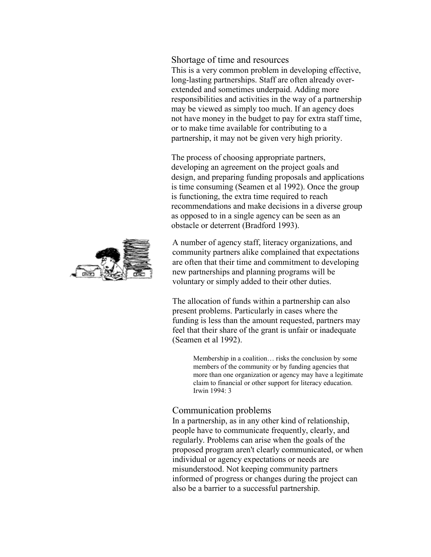Shortage of time and resources

This is a very common problem in developing effective, long-lasting partnerships. Staff are often already overextended and sometimes underpaid. Adding more responsibilities and activities in the way of a partnership may be viewed as simply too much. If an agency does not have money in the budget to pay for extra staff time, or to make time available for contributing to a partnership, it may not be given very high priority.

The process of choosing appropriate partners, developing an agreement on the project goals and design, and preparing funding proposals and applications is time consuming (Seamen et al 1992). Once the group is functioning, the extra time required to reach recommendations and make decisions in a diverse group as opposed to in a single agency can be seen as an obstacle or deterrent (Bradford 1993).

A number of agency staff, literacy organizations, and community partners alike complained that expectations are often that their time and commitment to developing new partnerships and planning programs will be voluntary or simply added to their other duties.

The allocation of funds within a partnership can also present problems. Particularly in cases where the funding is less than the amount requested, partners may feel that their share of the grant is unfair or inadequate (Seamen et al 1992).

> Membership in a coalition… risks the conclusion by some members of the community or by funding agencies that more than one organization or agency may have a legitimate claim to financial or other support for literacy education. Irwin 1994: 3

# Communication problems

In a partnership, as in any other kind of relationship, people have to communicate frequently, clearly, and regularly. Problems can arise when the goals of the proposed program aren't clearly communicated, or when individual or agency expectations or needs are misunderstood. Not keeping community partners informed of progress or changes during the project can also be a barrier to a successful partnership.

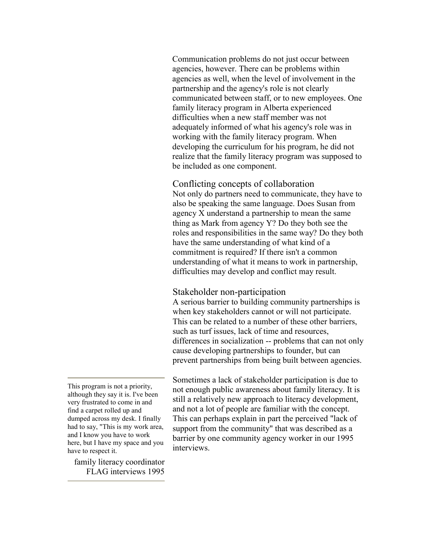Communication problems do not just occur between agencies, however. There can be problems within agencies as well, when the level of involvement in the partnership and the agency's role is not clearly communicated between staff, or to new employees. One family literacy program in Alberta experienced difficulties when a new staff member was not adequately informed of what his agency's role was in working with the family literacy program. When developing the curriculum for his program, he did not realize that the family literacy program was supposed to be included as one component.

#### Conflicting concepts of collaboration

Not only do partners need to communicate, they have to also be speaking the same language. Does Susan from agency X understand a partnership to mean the same thing as Mark from agency Y? Do they both see the roles and responsibilities in the same way? Do they both have the same understanding of what kind of a commitment is required? If there isn't a common understanding of what it means to work in partnership, difficulties may develop and conflict may result.

# Stakeholder non-participation

A serious barrier to building community partnerships is when key stakeholders cannot or will not participate. This can be related to a number of these other barriers, such as turf issues, lack of time and resources, differences in socialization -- problems that can not only cause developing partnerships to founder, but can prevent partnerships from being built between agencies.

This program is not a priority, although they say it is. I've been very frustrated to come in and find a carpet rolled up and dumped across my desk. I finally had to say, "This is my work area, and I know you have to work here, but I have my space and you have to respect it.

family literacy coordinator FLAG interviews 1995

Sometimes a lack of stakeholder participation is due to not enough public awareness about family literacy. It is still a relatively new approach to literacy development, and not a lot of people are familiar with the concept. This can perhaps explain in part the perceived "lack of support from the community" that was described as a barrier by one community agency worker in our 1995 interviews.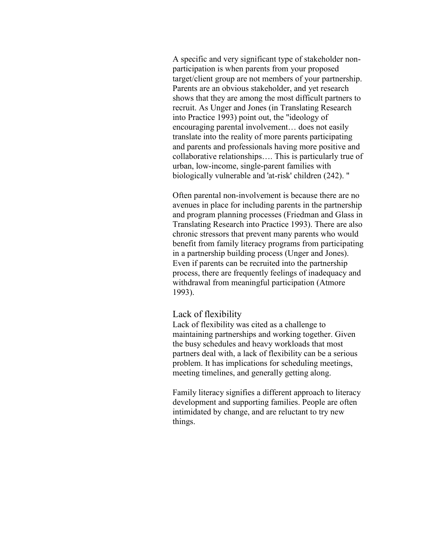A specific and very significant type of stakeholder nonparticipation is when parents from your proposed target/client group are not members of your partnership. Parents are an obvious stakeholder, and yet research shows that they are among the most difficult partners to recruit. As Unger and Jones (in Translating Research into Practice 1993) point out, the "ideology of encouraging parental involvement… does not easily translate into the reality of more parents participating and parents and professionals having more positive and collaborative relationships…. This is particularly true of urban, low-income, single-parent families with biologically vulnerable and 'at-risk' children (242). "

Often parental non-involvement is because there are no avenues in place for including parents in the partnership and program planning processes (Friedman and Glass in Translating Research into Practice 1993). There are also chronic stressors that prevent many parents who would benefit from family literacy programs from participating in a partnership building process (Unger and Jones). Even if parents can be recruited into the partnership process, there are frequently feelings of inadequacy and withdrawal from meaningful participation (Atmore 1993).

### Lack of flexibility

Lack of flexibility was cited as a challenge to maintaining partnerships and working together. Given the busy schedules and heavy workloads that most partners deal with, a lack of flexibility can be a serious problem. It has implications for scheduling meetings, meeting timelines, and generally getting along.

Family literacy signifies a different approach to literacy development and supporting families. People are often intimidated by change, and are reluctant to try new things.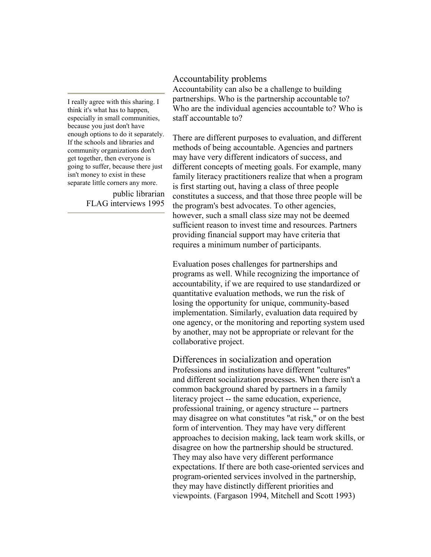### Accountability problems

I really agree with this sharing. I think it's what has to happen, especially in small communities, because you just don't have enough options to do it separately. If the schools and libraries and community organizations don't get together, then everyone is going to suffer, because there just isn't money to exist in these separate little corners any more.

> public librarian FLAG interviews 1995

Accountability can also be a challenge to building partnerships. Who is the partnership accountable to? Who are the individual agencies accountable to? Who is staff accountable to?

There are different purposes to evaluation, and different methods of being accountable. Agencies and partners may have very different indicators of success, and different concepts of meeting goals. For example, many family literacy practitioners realize that when a program is first starting out, having a class of three people constitutes a success, and that those three people will be the program's best advocates. To other agencies, however, such a small class size may not be deemed sufficient reason to invest time and resources. Partners providing financial support may have criteria that requires a minimum number of participants.

Evaluation poses challenges for partnerships and programs as well. While recognizing the importance of accountability, if we are required to use standardized or quantitative evaluation methods, we run the risk of losing the opportunity for unique, community-based implementation. Similarly, evaluation data required by one agency, or the monitoring and reporting system used by another, may not be appropriate or relevant for the collaborative project.

Differences in socialization and operation Professions and institutions have different "cultures" and different socialization processes. When there isn't a common background shared by partners in a family literacy project -- the same education, experience, professional training, or agency structure -- partners may disagree on what constitutes "at risk," or on the best form of intervention. They may have very different approaches to decision making, lack team work skills, or disagree on how the partnership should be structured. They may also have very different performance expectations. If there are both case-oriented services and program-oriented services involved in the partnership, they may have distinctly different priorities and viewpoints. (Fargason 1994, Mitchell and Scott 1993)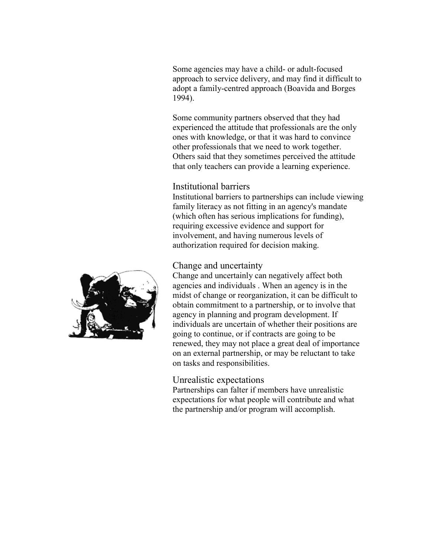Some agencies may have a child- or adult-focused approach to service delivery, and may find it difficult to adopt a family-centred approach (Boavida and Borges 1994).

Some community partners observed that they had experienced the attitude that professionals are the only ones with knowledge, or that it was hard to convince other professionals that we need to work together. Others said that they sometimes perceived the attitude that only teachers can provide a learning experience.

### Institutional barriers

Institutional barriers to partnerships can include viewing family literacy as not fitting in an agency's mandate (which often has serious implications for funding), requiring excessive evidence and support for involvement, and having numerous levels of authorization required for decision making.

# Change and uncertainty

Change and uncertainly can negatively affect both agencies and individuals . When an agency is in the midst of change or reorganization, it can be difficult to obtain commitment to a partnership, or to involve that agency in planning and program development. If individuals are uncertain of whether their positions are going to continue, or if contracts are going to be renewed, they may not place a great deal of importance on an external partnership, or may be reluctant to take on tasks and responsibilities.

# Unrealistic expectations

Partnerships can falter if members have unrealistic expectations for what people will contribute and what the partnership and/or program will accomplish.

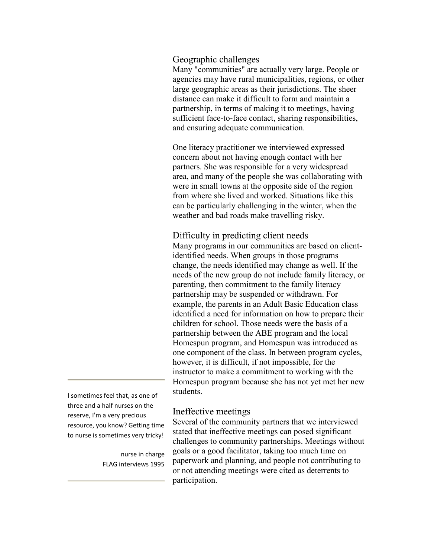### Geographic challenges

Many "communities" are actually very large. People or agencies may have rural municipalities, regions, or other large geographic areas as their jurisdictions. The sheer distance can make it difficult to form and maintain a partnership, in terms of making it to meetings, having sufficient face-to-face contact, sharing responsibilities, and ensuring adequate communication.

One literacy practitioner we interviewed expressed concern about not having enough contact with her partners. She was responsible for a very widespread area, and many of the people she was collaborating with were in small towns at the opposite side of the region from where she lived and worked. Situations like this can be particularly challenging in the winter, when the weather and bad roads make travelling risky.

#### Difficulty in predicting client needs

Many programs in our communities are based on clientidentified needs. When groups in those programs change, the needs identified may change as well. If the needs of the new group do not include family literacy, or parenting, then commitment to the family literacy partnership may be suspended or withdrawn. For example, the parents in an Adult Basic Education class identified a need for information on how to prepare their children for school. Those needs were the basis of a partnership between the ABE program and the local Homespun program, and Homespun was introduced as one component of the class. In between program cycles, however, it is difficult, if not impossible, for the instructor to make a commitment to working with the Homespun program because she has not yet met her new students.

I sometimes feel that, as one of three and a half nurses on the reserve, I'm a very precious resource, you know? Getting time to nurse is sometimes very tricky!

> nurse in charge FLAG interviews 1995

### Ineffective meetings

Several of the community partners that we interviewed stated that ineffective meetings can posed significant challenges to community partnerships. Meetings without goals or a good facilitator, taking too much time on paperwork and planning, and people not contributing to or not attending meetings were cited as deterrents to participation.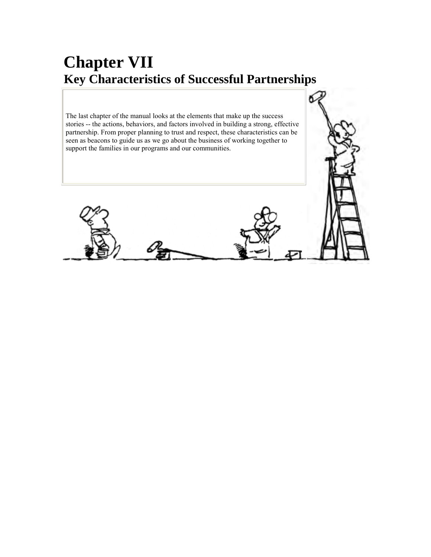# **Chapter VII Key Characteristics of Successful Partnerships**

ñ

The last chapter of the manual looks at the elements that make up the success stories -- the actions, behaviors, and factors involved in building a strong, effective partnership. From proper planning to trust and respect, these characteristics can be seen as beacons to guide us as we go about the business of working together to support the families in our programs and our communities.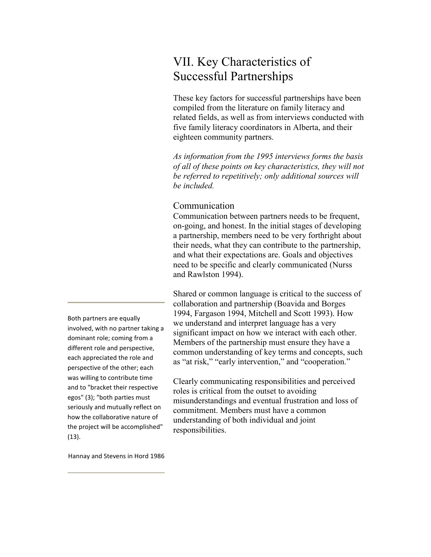# VII. Key Characteristics of Successful Partnerships

These key factors for successful partnerships have been compiled from the literature on family literacy and related fields, as well as from interviews conducted with five family literacy coordinators in Alberta, and their eighteen community partners.

*As information from the 1995 interviews forms the basis of all of these points on key characteristics, they will not be referred to repetitively; only additional sources will be included.*

### Communication

Communication between partners needs to be frequent, on-going, and honest. In the initial stages of developing a partnership, members need to be very forthright about their needs, what they can contribute to the partnership, and what their expectations are. Goals and objectives need to be specific and clearly communicated (Nurss and Rawlston 1994).

Shared or common language is critical to the success of collaboration and partnership (Boavida and Borges 1994, Fargason 1994, Mitchell and Scott 1993). How we understand and interpret language has a very significant impact on how we interact with each other. Members of the partnership must ensure they have a common understanding of key terms and concepts, such as "at risk," "early intervention," and "cooperation."

Clearly communicating responsibilities and perceived roles is critical from the outset to avoiding misunderstandings and eventual frustration and loss of commitment. Members must have a common understanding of both individual and joint responsibilities.

Both partners are equally involved, with no partner taking a dominant role; coming from a different role and perspective, each appreciated the role and perspective of the other; each was willing to contribute time and to "bracket their respective egos" (3); "both parties must seriously and mutually reflect on how the collaborative nature of the project will be accomplished" (13).

Hannay and Stevens in Hord 1986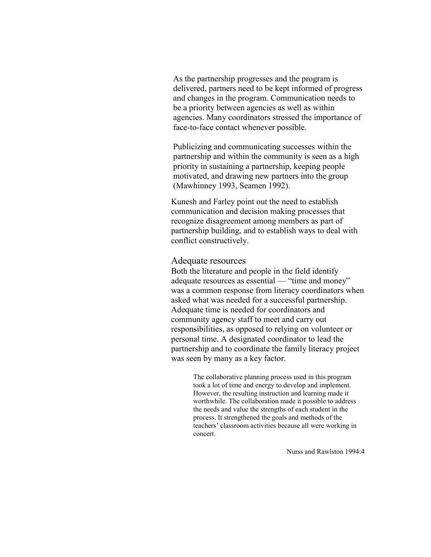As the partnership progresses and the program is delivered, partners need to be kept informed of progress and changes in the program. Communication needs to be a priority between agencies as well as within agencies. Many coordinators stressed the importance of face-to-face contact whenever possible.

Publicizing and communicating successes within the partnership and within the community is seen as a high priority in sustaining a partnership, keeping people motivated, and drawing new partners into the group (Mawhinney 1993, Seamen 1992).

Kunesh and Farley point out the need to establish communication and decision making processes that recognize disagreement among members as part of partnership building, and to establish ways to deal with conflict constructively.

#### Adequate resources

Both the literature and people in the field identify adequate resources as essential — "time and money" was a common response from literacy coordinators when asked what was needed for a successful partnership. Adequate time is needed for coordinators and community agency staff to meet and carry out responsibilities, as opposed to relying on volunteer or personal time. A designated coordinator to lead the partnership and to coordinate the family literacy project was seen by many as a key factor.

> The collaborative planning process used in this program took a lot of time and energy to develop and implement. However, the resulting instruction and learning made it worthwhile. The collaboration made it possible to address the needs and value the strengths of each student in the process. It strengthened the goals and methods of the teachers' classroom activities because all were working in concert.

> > Nurss and Rawlston 1994:4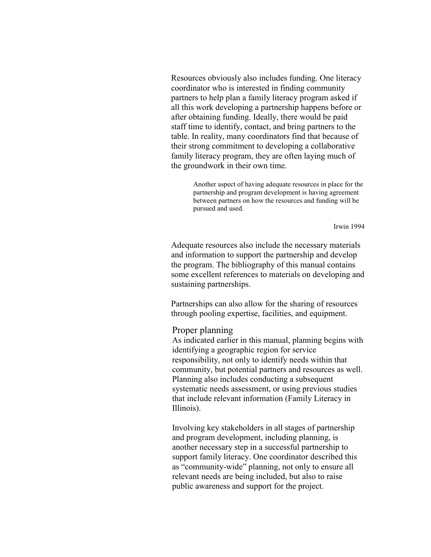Resources obviously also includes funding. One literacy coordinator who is interested in finding community partners to help plan a family literacy program asked if all this work developing a partnership happens before or after obtaining funding. Ideally, there would be paid staff time to identify, contact, and bring partners to the table. In reality, many coordinators find that because of their strong commitment to developing a collaborative family literacy program, they are often laying much of the groundwork in their own time.

> Another aspect of having adequate resources in place for the partnership and program development is having agreement between partners on how the resources and funding will be pursued and used.

> > Irwin 1994

Adequate resources also include the necessary materials and information to support the partnership and develop the program. The bibliography of this manual contains some excellent references to materials on developing and sustaining partnerships.

Partnerships can also allow for the sharing of resources through pooling expertise, facilities, and equipment.

#### Proper planning

As indicated earlier in this manual, planning begins with identifying a geographic region for service responsibility, not only to identify needs within that community, but potential partners and resources as well. Planning also includes conducting a subsequent systematic needs assessment, or using previous studies that include relevant information (Family Literacy in Illinois).

Involving key stakeholders in all stages of partnership and program development, including planning, is another necessary step in a successful partnership to support family literacy. One coordinator described this as "community-wide" planning, not only to ensure all relevant needs are being included, but also to raise public awareness and support for the project.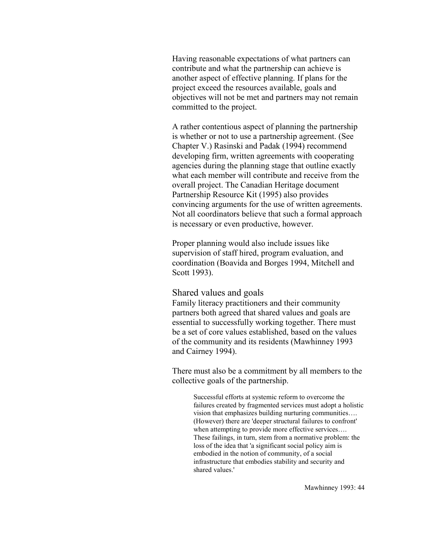Having reasonable expectations of what partners can contribute and what the partnership can achieve is another aspect of effective planning. If plans for the project exceed the resources available, goals and objectives will not be met and partners may not remain committed to the project.

A rather contentious aspect of planning the partnership is whether or not to use a partnership agreement. (See Chapter V.) Rasinski and Padak (1994) recommend developing firm, written agreements with cooperating agencies during the planning stage that outline exactly what each member will contribute and receive from the overall project. The Canadian Heritage document Partnership Resource Kit (1995) also provides convincing arguments for the use of written agreements. Not all coordinators believe that such a formal approach is necessary or even productive, however.

Proper planning would also include issues like supervision of staff hired, program evaluation, and coordination (Boavida and Borges 1994, Mitchell and Scott 1993).

#### Shared values and goals

Family literacy practitioners and their community partners both agreed that shared values and goals are essential to successfully working together. There must be a set of core values established, based on the values of the community and its residents (Mawhinney 1993 and Cairney 1994).

There must also be a commitment by all members to the collective goals of the partnership.

> Successful efforts at systemic reform to overcome the failures created by fragmented services must adopt a holistic vision that emphasizes building nurturing communities…. (However) there are 'deeper structural failures to confront' when attempting to provide more effective services.... These failings, in turn, stem from a normative problem: the loss of the idea that 'a significant social policy aim is embodied in the notion of community, of a social infrastructure that embodies stability and security and shared values.'

> > Mawhinney 1993: 44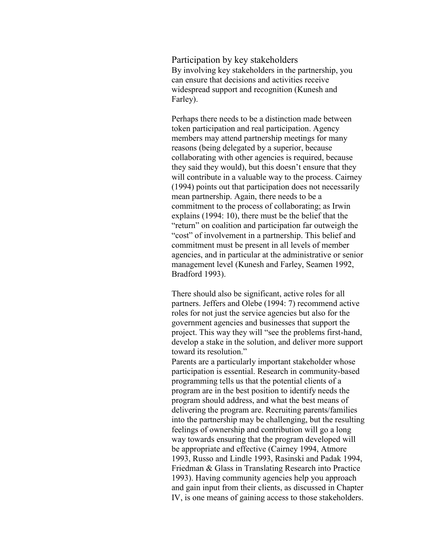Participation by key stakeholders By involving key stakeholders in the partnership, you can ensure that decisions and activities receive widespread support and recognition (Kunesh and Farley).

Perhaps there needs to be a distinction made between token participation and real participation. Agency members may attend partnership meetings for many reasons (being delegated by a superior, because collaborating with other agencies is required, because they said they would), but this doesn't ensure that they will contribute in a valuable way to the process. Cairney (1994) points out that participation does not necessarily mean partnership. Again, there needs to be a commitment to the process of collaborating; as Irwin explains (1994: 10), there must be the belief that the "return" on coalition and participation far outweigh the "cost" of involvement in a partnership. This belief and commitment must be present in all levels of member agencies, and in particular at the administrative or senior management level (Kunesh and Farley, Seamen 1992, Bradford 1993).

There should also be significant, active roles for all partners. Jeffers and Olebe (1994: 7) recommend active roles for not just the service agencies but also for the government agencies and businesses that support the project. This way they will "see the problems first-hand, develop a stake in the solution, and deliver more support toward its resolution."

Parents are a particularly important stakeholder whose participation is essential. Research in community-based programming tells us that the potential clients of a program are in the best position to identify needs the program should address, and what the best means of delivering the program are. Recruiting parents/families into the partnership may be challenging, but the resulting feelings of ownership and contribution will go a long way towards ensuring that the program developed will be appropriate and effective (Cairney 1994, Atmore 1993, Russo and Lindle 1993, Rasinski and Padak 1994, Friedman & Glass in Translating Research into Practice 1993). Having community agencies help you approach and gain input from their clients, as discussed in Chapter IV, is one means of gaining access to those stakeholders.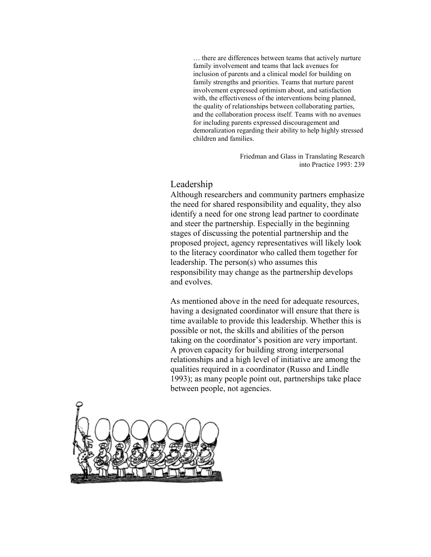… there are differences between teams that actively nurture family involvement and teams that lack avenues for inclusion of parents and a clinical model for building on family strengths and priorities. Teams that nurture parent involvement expressed optimism about, and satisfaction with, the effectiveness of the interventions being planned. the quality of relationships between collaborating parties, and the collaboration process itself. Teams with no avenues for including parents expressed discouragement and demoralization regarding their ability to help highly stressed children and families.

> Friedman and Glass in Translating Research into Practice 1993: 239

#### Leadership

Although researchers and community partners emphasize the need for shared responsibility and equality, they also identify a need for one strong lead partner to coordinate and steer the partnership. Especially in the beginning stages of discussing the potential partnership and the proposed project, agency representatives will likely look to the literacy coordinator who called them together for leadership. The person(s) who assumes this responsibility may change as the partnership develops and evolves.

As mentioned above in the need for adequate resources, having a designated coordinator will ensure that there is time available to provide this leadership. Whether this is possible or not, the skills and abilities of the person taking on the coordinator's position are very important. A proven capacity for building strong interpersonal relationships and a high level of initiative are among the qualities required in a coordinator (Russo and Lindle 1993); as many people point out, partnerships take place between people, not agencies.

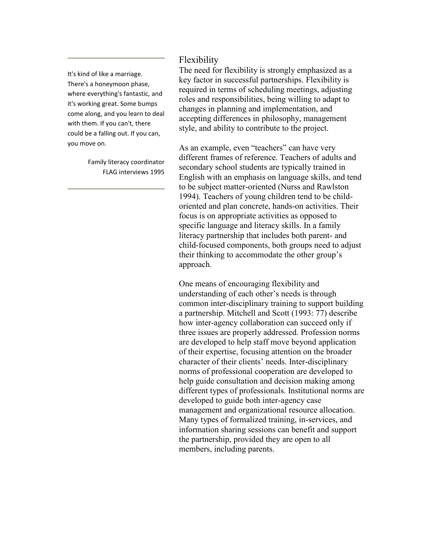It's kind of like a marriage. There's a honeymoon phase, where everything's fantastic, and it's working great. Some bumps come along, and you learn to deal with them. If you can't, there could be a falling out. If you can, you move on.

> Family literacy coordinator FLAG interviews 1995

# Flexibility

The need for flexibility is strongly emphasized as a key factor in successful partnerships. Flexibility is required in terms of scheduling meetings, adjusting roles and responsibilities, being willing to adapt to changes in planning and implementation, and accepting differences in philosophy, management style, and ability to contribute to the project.

As an example, even "teachers" can have very different frames of reference. Teachers of adults and secondary school students are typically trained in English with an emphasis on language skills, and tend to be subject matter-oriented (Nurss and Rawlston 1994). Teachers of young children tend to be childoriented and plan concrete, hands-on activities. Their focus is on appropriate activities as opposed to specific language and literacy skills. In a family literacy partnership that includes both parent- and child-focused components, both groups need to adjust their thinking to accommodate the other group's approach.

One means of encouraging flexibility and understanding of each other's needs is through common inter-disciplinary training to support building a partnership. Mitchell and Scott (1993: 77) describe how inter-agency collaboration can succeed only if three issues are properly addressed. Profession norms are developed to help staff move beyond application of their expertise, focusing attention on the broader character of their clients' needs. Inter-disciplinary norms of professional cooperation are developed to help guide consultation and decision making among different types of professionals. Institutional norms are developed to guide both inter-agency case management and organizational resource allocation. Many types of formalized training, in-services, and information sharing sessions can benefit and support the partnership, provided they are open to all members, including parents.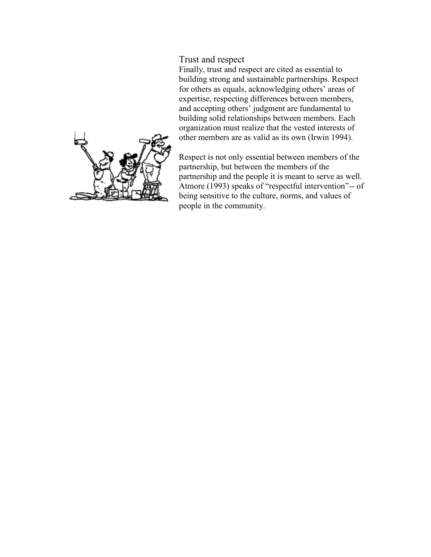# Trust and respect

Finally, trust and respect are cited as essential to building strong and sustainable partnerships. Respect for others as equals, acknowledging others' areas of expertise, respecting differences between members, and accepting others' judgment are fundamental to building solid relationships between members. Each organization must realize that the vested interests of other members are as valid as its own (Irwin 1994).

Respect is not only essential between members of the partnership, but between the members of the partnership and the people it is meant to serve as well. Atmore (1993) speaks of "respectful intervention"-- of being sensitive to the culture, norms, and values of people in the community.

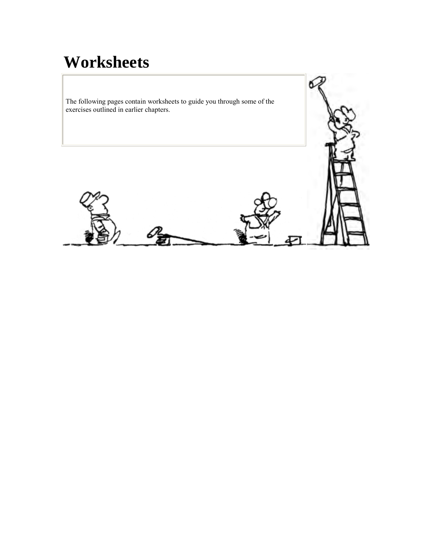# **Worksheets**

The following pages contain worksheets to guide you through some of the exercises outlined in earlier chapters.



ň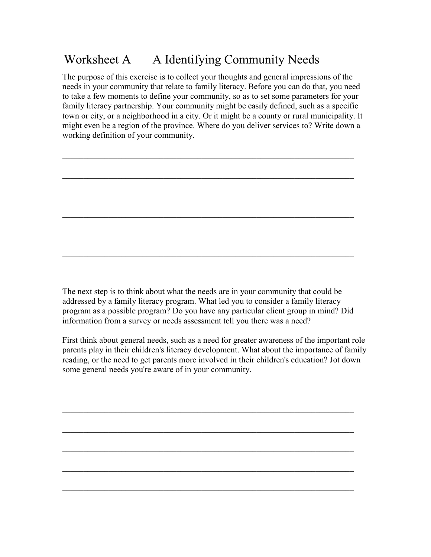# Worksheet A A Identifying Community Needs

The purpose of this exercise is to collect your thoughts and general impressions of the needs in your community that relate to family literacy. Before you can do that, you need to take a few moments to define your community, so as to set some parameters for your family literacy partnership. Your community might be easily defined, such as a specific town or city, or a neighborhood in a city. Or it might be a county or rural municipality. It might even be a region of the province. Where do you deliver services to? Write down a working definition of your community.

\_\_\_\_\_\_\_\_\_\_\_\_\_\_\_\_\_\_\_\_\_\_\_\_\_\_\_\_\_\_\_\_\_\_\_\_\_\_\_\_\_\_\_\_\_\_\_\_\_\_\_\_\_\_\_\_\_\_\_\_\_\_\_\_\_\_\_\_\_

\_\_\_\_\_\_\_\_\_\_\_\_\_\_\_\_\_\_\_\_\_\_\_\_\_\_\_\_\_\_\_\_\_\_\_\_\_\_\_\_\_\_\_\_\_\_\_\_\_\_\_\_\_\_\_\_\_\_\_\_\_\_\_\_\_\_\_\_\_

\_\_\_\_\_\_\_\_\_\_\_\_\_\_\_\_\_\_\_\_\_\_\_\_\_\_\_\_\_\_\_\_\_\_\_\_\_\_\_\_\_\_\_\_\_\_\_\_\_\_\_\_\_\_\_\_\_\_\_\_\_\_\_\_\_\_\_\_\_

\_\_\_\_\_\_\_\_\_\_\_\_\_\_\_\_\_\_\_\_\_\_\_\_\_\_\_\_\_\_\_\_\_\_\_\_\_\_\_\_\_\_\_\_\_\_\_\_\_\_\_\_\_\_\_\_\_\_\_\_\_\_\_\_\_\_\_\_\_

\_\_\_\_\_\_\_\_\_\_\_\_\_\_\_\_\_\_\_\_\_\_\_\_\_\_\_\_\_\_\_\_\_\_\_\_\_\_\_\_\_\_\_\_\_\_\_\_\_\_\_\_\_\_\_\_\_\_\_\_\_\_\_\_\_\_\_\_\_

\_\_\_\_\_\_\_\_\_\_\_\_\_\_\_\_\_\_\_\_\_\_\_\_\_\_\_\_\_\_\_\_\_\_\_\_\_\_\_\_\_\_\_\_\_\_\_\_\_\_\_\_\_\_\_\_\_\_\_\_\_\_\_\_\_\_\_\_\_

\_\_\_\_\_\_\_\_\_\_\_\_\_\_\_\_\_\_\_\_\_\_\_\_\_\_\_\_\_\_\_\_\_\_\_\_\_\_\_\_\_\_\_\_\_\_\_\_\_\_\_\_\_\_\_\_\_\_\_\_\_\_\_\_\_\_\_\_\_

The next step is to think about what the needs are in your community that could be addressed by a family literacy program. What led you to consider a family literacy program as a possible program? Do you have any particular client group in mind? Did information from a survey or needs assessment tell you there was a need?

First think about general needs, such as a need for greater awareness of the important role parents play in their children's literacy development. What about the importance of family reading, or the need to get parents more involved in their children's education? Jot down some general needs you're aware of in your community.

\_\_\_\_\_\_\_\_\_\_\_\_\_\_\_\_\_\_\_\_\_\_\_\_\_\_\_\_\_\_\_\_\_\_\_\_\_\_\_\_\_\_\_\_\_\_\_\_\_\_\_\_\_\_\_\_\_\_\_\_\_\_\_\_\_\_\_\_\_ \_\_\_\_\_\_\_\_\_\_\_\_\_\_\_\_\_\_\_\_\_\_\_\_\_\_\_\_\_\_\_\_\_\_\_\_\_\_\_\_\_\_\_\_\_\_\_\_\_\_\_\_\_\_\_\_\_\_\_\_\_\_\_\_\_\_\_\_\_ \_\_\_\_\_\_\_\_\_\_\_\_\_\_\_\_\_\_\_\_\_\_\_\_\_\_\_\_\_\_\_\_\_\_\_\_\_\_\_\_\_\_\_\_\_\_\_\_\_\_\_\_\_\_\_\_\_\_\_\_\_\_\_\_\_\_\_\_\_ \_\_\_\_\_\_\_\_\_\_\_\_\_\_\_\_\_\_\_\_\_\_\_\_\_\_\_\_\_\_\_\_\_\_\_\_\_\_\_\_\_\_\_\_\_\_\_\_\_\_\_\_\_\_\_\_\_\_\_\_\_\_\_\_\_\_\_\_\_ \_\_\_\_\_\_\_\_\_\_\_\_\_\_\_\_\_\_\_\_\_\_\_\_\_\_\_\_\_\_\_\_\_\_\_\_\_\_\_\_\_\_\_\_\_\_\_\_\_\_\_\_\_\_\_\_\_\_\_\_\_\_\_\_\_\_\_\_\_

\_\_\_\_\_\_\_\_\_\_\_\_\_\_\_\_\_\_\_\_\_\_\_\_\_\_\_\_\_\_\_\_\_\_\_\_\_\_\_\_\_\_\_\_\_\_\_\_\_\_\_\_\_\_\_\_\_\_\_\_\_\_\_\_\_\_\_\_\_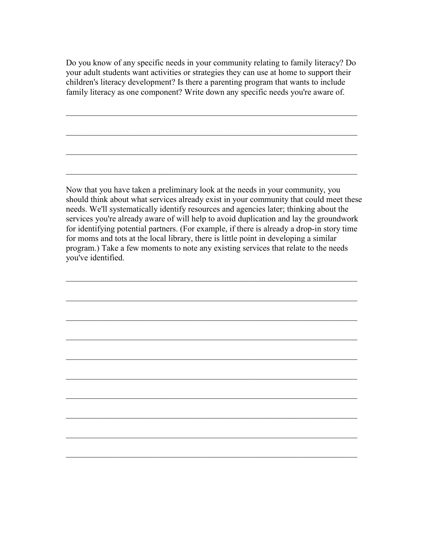Do you know of any specific needs in your community relating to family literacy? Do your adult students want activities or strategies they can use at home to support their children's literacy development? Is there a parenting program that wants to include family literacy as one component? Write down any specific needs you're aware of.

 $\_$  , and the set of the set of the set of the set of the set of the set of the set of the set of the set of the set of the set of the set of the set of the set of the set of the set of the set of the set of the set of th

 $\_$  , and the set of the set of the set of the set of the set of the set of the set of the set of the set of the set of the set of the set of the set of the set of the set of the set of the set of the set of the set of th

 $\_$  , and the set of the set of the set of the set of the set of the set of the set of the set of the set of the set of the set of the set of the set of the set of the set of the set of the set of the set of the set of th

 $\_$  , and the set of the set of the set of the set of the set of the set of the set of the set of the set of the set of the set of the set of the set of the set of the set of the set of the set of the set of the set of th

Now that you have taken a preliminary look at the needs in your community, you should think about what services already exist in your community that could meet these needs. We'll systematically identify resources and agencies later; thinking about the services you're already aware of will help to avoid duplication and lay the groundwork for identifying potential partners. (For example, if there is already a drop-in story time for moms and tots at the local library, there is little point in developing a similar program.) Take a few moments to note any existing services that relate to the needs you've identified.

 $\_$  , and the set of the set of the set of the set of the set of the set of the set of the set of the set of the set of the set of the set of the set of the set of the set of the set of the set of the set of the set of th

 $\_$  , and the set of the set of the set of the set of the set of the set of the set of the set of the set of the set of the set of the set of the set of the set of the set of the set of the set of the set of the set of th

 $\_$  , and the set of the set of the set of the set of the set of the set of the set of the set of the set of the set of the set of the set of the set of the set of the set of the set of the set of the set of the set of th

\_\_\_\_\_\_\_\_\_\_\_\_\_\_\_\_\_\_\_\_\_\_\_\_\_\_\_\_\_\_\_\_\_\_\_\_\_\_\_\_\_\_\_\_\_\_\_\_\_\_\_\_\_\_\_\_\_\_\_\_\_\_\_\_\_\_\_\_\_

 $\_$  , and the set of the set of the set of the set of the set of the set of the set of the set of the set of the set of the set of the set of the set of the set of the set of the set of the set of the set of the set of th

 $\_$  , and the contribution of the contribution of  $\mathcal{L}_\mathcal{A}$  , and the contribution of  $\mathcal{L}_\mathcal{A}$ 

 $\_$  , and the set of the set of the set of the set of the set of the set of the set of the set of the set of the set of the set of the set of the set of the set of the set of the set of the set of the set of the set of th

\_\_\_\_\_\_\_\_\_\_\_\_\_\_\_\_\_\_\_\_\_\_\_\_\_\_\_\_\_\_\_\_\_\_\_\_\_\_\_\_\_\_\_\_\_\_\_\_\_\_\_\_\_\_\_\_\_\_\_\_\_\_\_\_\_\_\_\_\_

 $\_$  , and the set of the set of the set of the set of the set of the set of the set of the set of the set of the set of the set of the set of the set of the set of the set of the set of the set of the set of the set of th

 $\_$  , and the set of the set of the set of the set of the set of the set of the set of the set of the set of the set of the set of the set of the set of the set of the set of the set of the set of the set of the set of th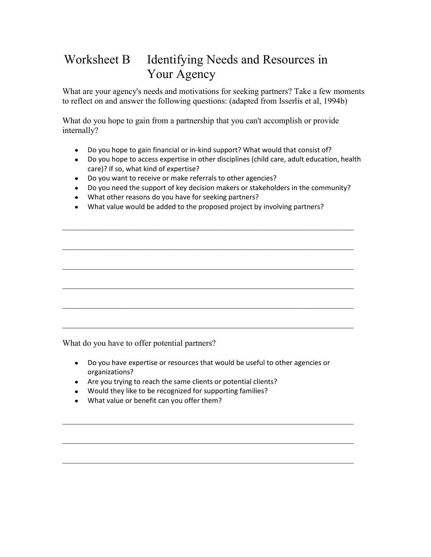# Worksheet B Identifying Needs and Resources in Your Agency

What are your agency's needs and motivations for seeking partners? Take a few moments to reflect on and answer the following questions: (adapted from Isserlis et al, 1994b)

What do you hope to gain from a partnership that you can't accomplish or provide internally?

- Do you hope to gain financial or in-kind support? What would that consist of?
- Do you hope to access expertise in other disciplines (child care, adult education, health care)? If so, what kind of expertise?
- Do you want to receive or make referrals to other agencies?
- Do you need the support of key decision makers or stakeholders in the community?
- What other reasons do you have for seeking partners?
- What value would be added to the proposed project by involving partners?

\_\_\_\_\_\_\_\_\_\_\_\_\_\_\_\_\_\_\_\_\_\_\_\_\_\_\_\_\_\_\_\_\_\_\_\_\_\_\_\_\_\_\_\_\_\_\_\_\_\_\_\_\_\_\_\_\_\_\_\_\_\_\_\_\_\_\_\_\_

\_\_\_\_\_\_\_\_\_\_\_\_\_\_\_\_\_\_\_\_\_\_\_\_\_\_\_\_\_\_\_\_\_\_\_\_\_\_\_\_\_\_\_\_\_\_\_\_\_\_\_\_\_\_\_\_\_\_\_\_\_\_\_\_\_\_\_\_\_

\_\_\_\_\_\_\_\_\_\_\_\_\_\_\_\_\_\_\_\_\_\_\_\_\_\_\_\_\_\_\_\_\_\_\_\_\_\_\_\_\_\_\_\_\_\_\_\_\_\_\_\_\_\_\_\_\_\_\_\_\_\_\_\_\_\_\_\_\_

\_\_\_\_\_\_\_\_\_\_\_\_\_\_\_\_\_\_\_\_\_\_\_\_\_\_\_\_\_\_\_\_\_\_\_\_\_\_\_\_\_\_\_\_\_\_\_\_\_\_\_\_\_\_\_\_\_\_\_\_\_\_\_\_\_\_\_\_\_

\_\_\_\_\_\_\_\_\_\_\_\_\_\_\_\_\_\_\_\_\_\_\_\_\_\_\_\_\_\_\_\_\_\_\_\_\_\_\_\_\_\_\_\_\_\_\_\_\_\_\_\_\_\_\_\_\_\_\_\_\_\_\_\_\_\_\_\_\_

\_\_\_\_\_\_\_\_\_\_\_\_\_\_\_\_\_\_\_\_\_\_\_\_\_\_\_\_\_\_\_\_\_\_\_\_\_\_\_\_\_\_\_\_\_\_\_\_\_\_\_\_\_\_\_\_\_\_\_\_\_\_\_\_\_\_\_\_\_

What do you have to offer potential partners?

Do you have expertise or resources that would be useful to other agencies or organizations?

\_\_\_\_\_\_\_\_\_\_\_\_\_\_\_\_\_\_\_\_\_\_\_\_\_\_\_\_\_\_\_\_\_\_\_\_\_\_\_\_\_\_\_\_\_\_\_\_\_\_\_\_\_\_\_\_\_\_\_\_\_\_\_\_\_\_\_\_\_

\_\_\_\_\_\_\_\_\_\_\_\_\_\_\_\_\_\_\_\_\_\_\_\_\_\_\_\_\_\_\_\_\_\_\_\_\_\_\_\_\_\_\_\_\_\_\_\_\_\_\_\_\_\_\_\_\_\_\_\_\_\_\_\_\_\_\_\_\_

\_\_\_\_\_\_\_\_\_\_\_\_\_\_\_\_\_\_\_\_\_\_\_\_\_\_\_\_\_\_\_\_\_\_\_\_\_\_\_\_\_\_\_\_\_\_\_\_\_\_\_\_\_\_\_\_\_\_\_\_\_\_\_\_\_\_\_\_\_

- Are you trying to reach the same clients or potential clients?
- Would they like to be recognized for supporting families?
- What value or benefit can you offer them?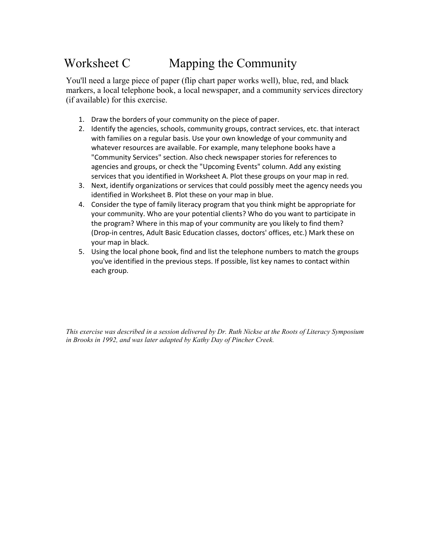# Worksheet C Mapping the Community

You'll need a large piece of paper (flip chart paper works well), blue, red, and black markers, a local telephone book, a local newspaper, and a community services directory (if available) for this exercise.

- 1. Draw the borders of your community on the piece of paper.
- 2. Identify the agencies, schools, community groups, contract services, etc. that interact with families on a regular basis. Use your own knowledge of your community and whatever resources are available. For example, many telephone books have a "Community Services" section. Also check newspaper stories for references to agencies and groups, or check the "Upcoming Events" column. Add any existing services that you identified in Worksheet A. Plot these groups on your map in red.
- 3. Next, identify organizations or services that could possibly meet the agency needs you identified in Worksheet B. Plot these on your map in blue.
- 4. Consider the type of family literacy program that you think might be appropriate for your community. Who are your potential clients? Who do you want to participate in the program? Where in this map of your community are you likely to find them? (Drop-in centres, Adult Basic Education classes, doctors' offices, etc.) Mark these on your map in black.
- 5. Using the local phone book, find and list the telephone numbers to match the groups you've identified in the previous steps. If possible, list key names to contact within each group.

*This exercise was described in a session delivered by Dr. Ruth Nickse at the Roots of Literacy Symposium in Brooks in 1992, and was later adapted by Kathy Day of Pincher Creek.*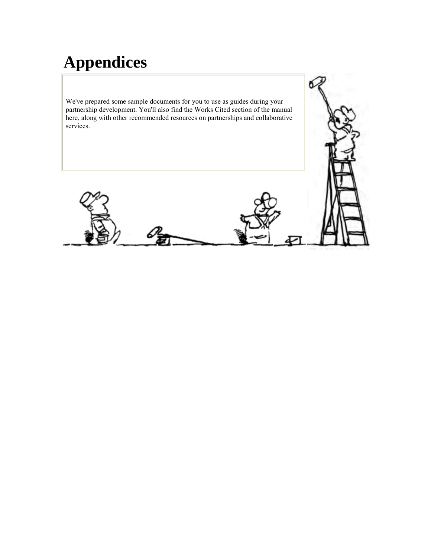# **Appendices**

We've prepared some sample documents for you to use as guides during your partnership development. You'll also find the Works Cited section of the manual here, along with other recommended resources on partnerships and collaborative services.



ñ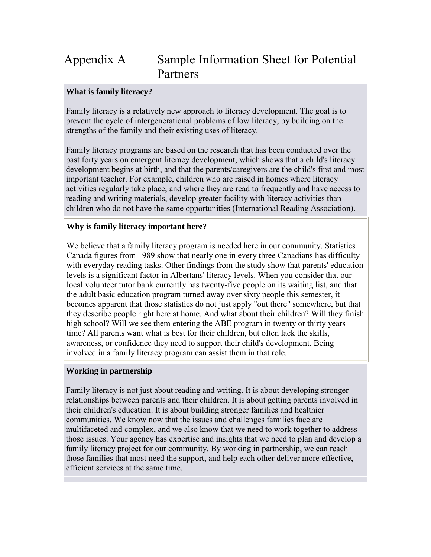# Appendix A Sample Information Sheet for Potential **Partners**

### **What is family literacy?**

Family literacy is a relatively new approach to literacy development. The goal is to prevent the cycle of intergenerational problems of low literacy, by building on the strengths of the family and their existing uses of literacy.

Family literacy programs are based on the research that has been conducted over the past forty years on emergent literacy development, which shows that a child's literacy development begins at birth, and that the parents/caregivers are the child's first and most important teacher. For example, children who are raised in homes where literacy activities regularly take place, and where they are read to frequently and have access to reading and writing materials, develop greater facility with literacy activities than children who do not have the same opportunities (International Reading Association).

# **Why is family literacy important here?**

We believe that a family literacy program is needed here in our community. Statistics Canada figures from 1989 show that nearly one in every three Canadians has difficulty with everyday reading tasks. Other findings from the study show that parents' education levels is a significant factor in Albertans' literacy levels. When you consider that our local volunteer tutor bank currently has twenty-five people on its waiting list, and that the adult basic education program turned away over sixty people this semester, it becomes apparent that those statistics do not just apply "out there" somewhere, but that they describe people right here at home. And what about their children? Will they finish high school? Will we see them entering the ABE program in twenty or thirty years time? All parents want what is best for their children, but often lack the skills, awareness, or confidence they need to support their child's development. Being involved in a family literacy program can assist them in that role.

# **Working in partnership**

Family literacy is not just about reading and writing. It is about developing stronger relationships between parents and their children. It is about getting parents involved in their children's education. It is about building stronger families and healthier communities. We know now that the issues and challenges families face are multifaceted and complex, and we also know that we need to work together to address those issues. Your agency has expertise and insights that we need to plan and develop a family literacy project for our community. By working in partnership, we can reach those families that most need the support, and help each other deliver more effective, efficient services at the same time.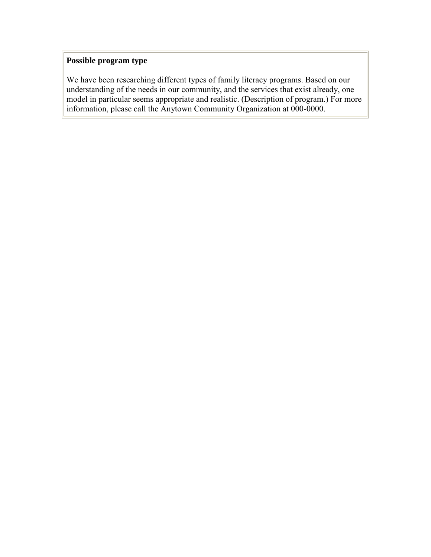# **Possible program type**

We have been researching different types of family literacy programs. Based on our understanding of the needs in our community, and the services that exist already, one model in particular seems appropriate and realistic. (Description of program.) For more information, please call the Anytown Community Organization at 000-0000.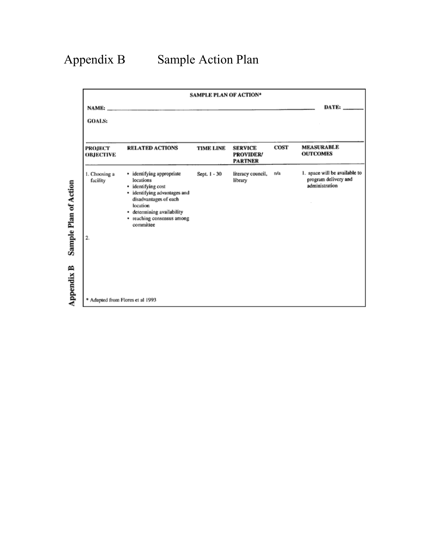|                       |                                           | SAMPLE PLAN OF ACTION*                                                                                                                                                                                     |                  |                                                      |             |                                                                         |  |
|-----------------------|-------------------------------------------|------------------------------------------------------------------------------------------------------------------------------------------------------------------------------------------------------------|------------------|------------------------------------------------------|-------------|-------------------------------------------------------------------------|--|
|                       | GOALS:                                    | NAME: 2008 - 2008 - 2008 - 2008 - 2008 - 2008 - 2008 - 2008 - 2008 - 2008 - 2008 - 2008 - 2008 - 2008 - 2008 -                                                                                             |                  |                                                      |             | DATE:                                                                   |  |
|                       |                                           |                                                                                                                                                                                                            |                  |                                                      |             |                                                                         |  |
|                       | <b>PROJECT</b><br><b>OBJECTIVE</b>        | <b>RELATED ACTIONS</b>                                                                                                                                                                                     | <b>TIME LINE</b> | <b>SERVICE</b><br><b>PROVIDER/</b><br><b>PARTNER</b> | <b>COST</b> | <b>MEASURABLE</b><br><b>OUTCOMES</b>                                    |  |
| Sample Plan of Action | 1. Choosing a<br>facility<br>$\mathbf{2}$ | • identifying appropriate<br>locations<br>· identifying cost<br>· identifying advantages and<br>disadvantages of each<br>location<br>· determining availability<br>· reaching consensus among<br>committee | Sept. 1 - 30     | literacy council,<br>library                         | n/a         | 1. space will be available to<br>program delivery and<br>administration |  |
| Appendix B            |                                           |                                                                                                                                                                                                            |                  |                                                      |             |                                                                         |  |
|                       | * Adapted from Flores et al 1993          |                                                                                                                                                                                                            |                  |                                                      |             |                                                                         |  |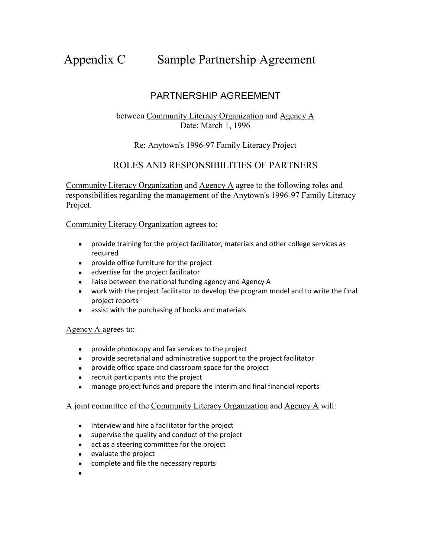Appendix C Sample Partnership Agreement

# PARTNERSHIP AGREEMENT

### between Community Literacy Organization and Agency A Date: March 1, 1996

# Re: Anytown's 1996-97 Family Literacy Project

# ROLES AND RESPONSIBILITIES OF PARTNERS

Community Literacy Organization and Agency A agree to the following roles and responsibilities regarding the management of the Anytown's 1996-97 Family Literacy Project.

Community Literacy Organization agrees to:

- provide training for the project facilitator, materials and other college services as  $\bullet$ required
- provide office furniture for the project
- advertise for the project facilitator  $\bullet$
- $\bullet$ liaise between the national funding agency and Agency A
- work with the project facilitator to develop the program model and to write the final  $\bullet$ project reports
- assist with the purchasing of books and materials

### Agency A agrees to:

- provide photocopy and fax services to the project  $\bullet$
- provide secretarial and administrative support to the project facilitator
- provide office space and classroom space for the project  $\bullet$
- recruit participants into the project
- manage project funds and prepare the interim and final financial reports  $\bullet$

A joint committee of the Community Literacy Organization and Agency A will:

- interview and hire a facilitator for the project  $\bullet$
- supervise the quality and conduct of the project  $\bullet$
- act as a steering committee for the project  $\bullet$
- evaluate the project  $\bullet$
- complete and file the necessary reports
-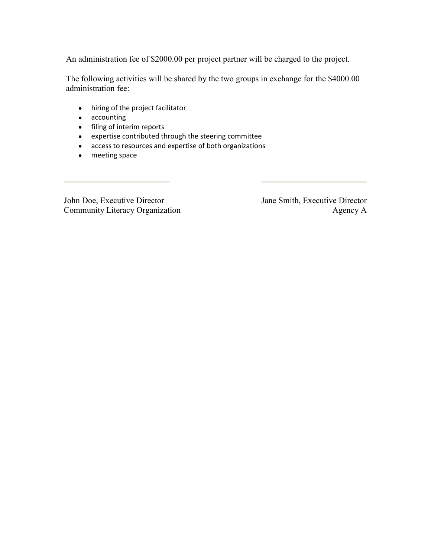An administration fee of \$2000.00 per project partner will be charged to the project.

The following activities will be shared by the two groups in exchange for the \$4000.00 administration fee:

- hiring of the project facilitator
- accounting
- filing of interim reports
- expertise contributed through the steering committee
- access to resources and expertise of both organizations
- meeting space

John Doe, Executive Director Community Literacy Organization Jane Smith, Executive Director Agency A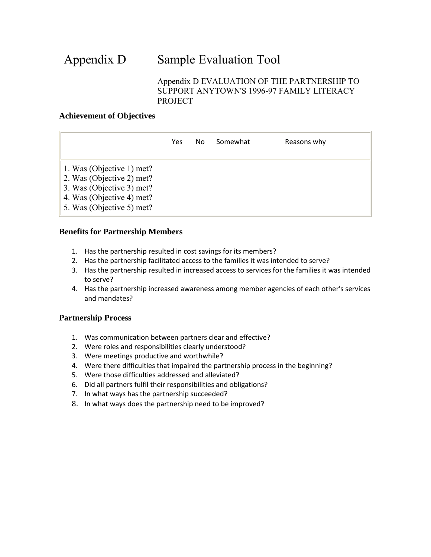# Appendix D Sample Evaluation Tool

Appendix D EVALUATION OF THE PARTNERSHIP TO SUPPORT ANYTOWN'S 1996-97 FAMILY LITERACY PROJECT

### **Achievement of Objectives**

|                                                                                                                                               | Yes | No. | Somewhat | Reasons why |
|-----------------------------------------------------------------------------------------------------------------------------------------------|-----|-----|----------|-------------|
| 1. Was (Objective 1) met?<br>2. Was (Objective 2) met?<br>3. Was (Objective 3) met?<br>4. Was (Objective 4) met?<br>5. Was (Objective 5) met? |     |     |          |             |

### **Benefits for Partnership Members**

- 1. Has the partnership resulted in cost savings for its members?
- 2. Has the partnership facilitated access to the families it was intended to serve?
- 3. Has the partnership resulted in increased access to services for the families it was intended to serve?
- 4. Has the partnership increased awareness among member agencies of each other's services and mandates?

#### **Partnership Process**

- 1. Was communication between partners clear and effective?
- 2. Were roles and responsibilities clearly understood?
- 3. Were meetings productive and worthwhile?
- 4. Were there difficulties that impaired the partnership process in the beginning?
- 5. Were those difficulties addressed and alleviated?
- 6. Did all partners fulfil their responsibilities and obligations?
- 7. In what ways has the partnership succeeded?
- 8. In what ways does the partnership need to be improved?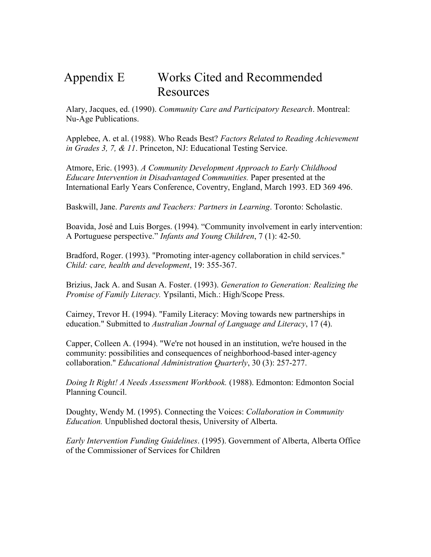# Appendix E Works Cited and Recommended Resources

Alary, Jacques, ed. (1990). *Community Care and Participatory Research*. Montreal: Nu-Age Publications.

Applebee, A. et al. (1988). Who Reads Best? *Factors Related to Reading Achievement in Grades 3, 7, & 11*. Princeton, NJ: Educational Testing Service.

Atmore, Eric. (1993). *A Community Development Approach to Early Childhood Educare Intervention in Disadvantaged Communities.* Paper presented at the International Early Years Conference, Coventry, England, March 1993. ED 369 496.

Baskwill, Jane. *Parents and Teachers: Partners in Learning*. Toronto: Scholastic.

Boavida, José and Luis Borges. (1994). "Community involvement in early intervention: A Portuguese perspective." *Infants and Young Children*, 7 (1): 42-50.

Bradford, Roger. (1993). "Promoting inter-agency collaboration in child services." *Child: care, health and development*, 19: 355-367.

Brizius, Jack A. and Susan A. Foster. (1993). *Generation to Generation: Realizing the Promise of Family Literacy.* Ypsilanti, Mich.: High/Scope Press.

Cairney, Trevor H. (1994). "Family Literacy: Moving towards new partnerships in education." Submitted to *Australian Journal of Language and Literacy*, 17 (4).

Capper, Colleen A. (1994). "We're not housed in an institution, we're housed in the community: possibilities and consequences of neighborhood-based inter-agency collaboration." *Educational Administration Quarterly*, 30 (3): 257-277.

*Doing It Right! A Needs Assessment Workbook.* (1988). Edmonton: Edmonton Social Planning Council.

Doughty, Wendy M. (1995). Connecting the Voices: *Collaboration in Community Education.* Unpublished doctoral thesis, University of Alberta.

*Early Intervention Funding Guidelines*. (1995). Government of Alberta, Alberta Office of the Commissioner of Services for Children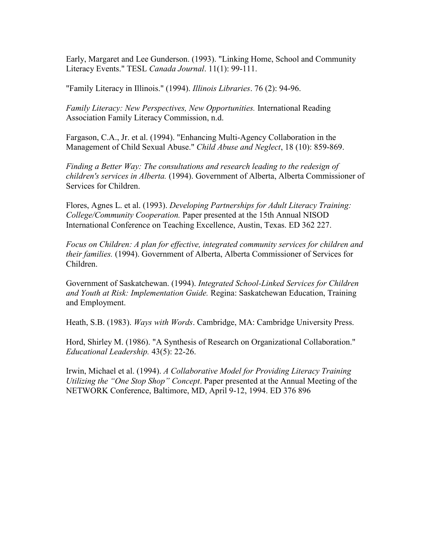Early, Margaret and Lee Gunderson. (1993). "Linking Home, School and Community Literacy Events." TESL *Canada Journal*. 11(1): 99-111.

"Family Literacy in Illinois." (1994). *Illinois Libraries*. 76 (2): 94-96.

*Family Literacy: New Perspectives, New Opportunities.* International Reading Association Family Literacy Commission, n.d.

Fargason, C.A., Jr. et al. (1994). "Enhancing Multi-Agency Collaboration in the Management of Child Sexual Abuse." *Child Abuse and Neglect*, 18 (10): 859-869.

*Finding a Better Way: The consultations and research leading to the redesign of children's services in Alberta.* (1994). Government of Alberta, Alberta Commissioner of Services for Children.

Flores, Agnes L. et al. (1993). *Developing Partnerships for Adult Literacy Training: College/Community Cooperation.* Paper presented at the 15th Annual NISOD International Conference on Teaching Excellence, Austin, Texas. ED 362 227.

*Focus on Children: A plan for effective, integrated community services for children and their families.* (1994). Government of Alberta, Alberta Commissioner of Services for Children.

Government of Saskatchewan. (1994). *Integrated School-Linked Services for Children and Youth at Risk: Implementation Guide.* Regina: Saskatchewan Education, Training and Employment.

Heath, S.B. (1983). *Ways with Words*. Cambridge, MA: Cambridge University Press.

Hord, Shirley M. (1986). "A Synthesis of Research on Organizational Collaboration." *Educational Leadership.* 43(5): 22-26.

Irwin, Michael et al. (1994). *A Collaborative Model for Providing Literacy Training Utilizing the "One Stop Shop" Concept*. Paper presented at the Annual Meeting of the NETWORK Conference, Baltimore, MD, April 9-12, 1994. ED 376 896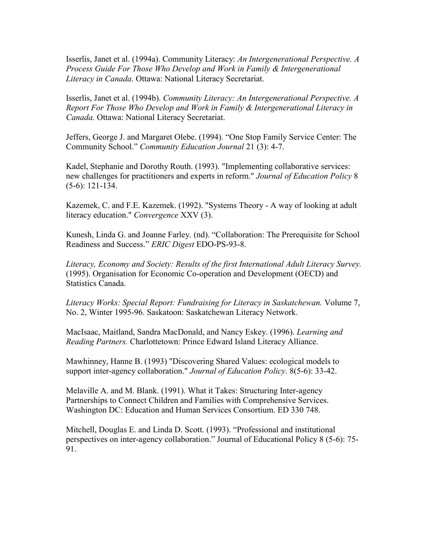Isserlis, Janet et al. (1994a). Community Literacy: *An Intergenerational Perspective. A Process Guide For Those Who Develop and Work in Family & Intergenerational Literacy in Canada*. Ottawa: National Literacy Secretariat.

Isserlis, Janet et al. (1994b). *Community Literacy: An Intergenerational Perspective. A Report For Those Who Develop and Work in Family & Intergenerational Literacy in Canada.* Ottawa: National Literacy Secretariat.

Jeffers, George J. and Margaret Olebe. (1994). "One Stop Family Service Center: The Community School." *Community Education Journal* 21 (3): 4-7.

Kadel, Stephanie and Dorothy Routh. (1993). "Implementing collaborative services: new challenges for practitioners and experts in reform." *Journal of Education Policy* 8 (5-6): 121-134.

Kazemek, C. and F.E. Kazemek. (1992). "Systems Theory - A way of looking at adult literacy education." *Convergence* XXV (3).

Kunesh, Linda G. and Joanne Farley. (nd). "Collaboration: The Prerequisite for School Readiness and Success." *ERIC Digest* EDO-PS-93-8.

*Literacy, Economy and Society: Results of the first International Adult Literacy Survey.*  (1995). Organisation for Economic Co-operation and Development (OECD) and Statistics Canada.

*Literacy Works: Special Report: Fundraising for Literacy in Saskatchewan.* Volume 7, No. 2, Winter 1995-96. Saskatoon: Saskatchewan Literacy Network.

MacIsaac, Maitland, Sandra MacDonald, and Nancy Eskey. (1996). *Learning and Reading Partners.* Charlottetown: Prince Edward Island Literacy Alliance.

Mawhinney, Hanne B. (1993) "Discovering Shared Values: ecological models to support inter-agency collaboration." *Journal of Education Policy*. 8(5-6): 33-42.

Melaville A. and M. Blank. (1991). What it Takes: Structuring Inter-agency Partnerships to Connect Children and Families with Comprehensive Services. Washington DC: Education and Human Services Consortium. ED 330 748.

Mitchell, Douglas E. and Linda D. Scott. (1993). "Professional and institutional perspectives on inter-agency collaboration." Journal of Educational Policy 8 (5-6): 75- 91.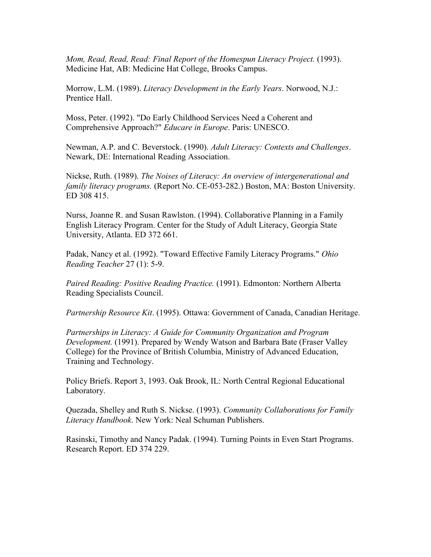*Mom, Read, Read, Read: Final Report of the Homespun Literacy Project.* (1993). Medicine Hat, AB: Medicine Hat College, Brooks Campus.

Morrow, L.M. (1989). *Literacy Development in the Early Years*. Norwood, N.J.: Prentice Hall.

Moss, Peter. (1992). "Do Early Childhood Services Need a Coherent and Comprehensive Approach?" *Educare in Europe*. Paris: UNESCO.

Newman, A.P. and C. Beverstock. (1990). *Adult Literacy: Contexts and Challenges*. Newark, DE: International Reading Association.

Nickse, Ruth. (1989). *The Noises of Literacy: An overview of intergenerational and family literacy programs.* (Report No. CE-053-282.) Boston, MA: Boston University. ED 308 415.

Nurss, Joanne R. and Susan Rawlston. (1994). Collaborative Planning in a Family English Literacy Program. Center for the Study of Adult Literacy, Georgia State University, Atlanta. ED 372 661.

Padak, Nancy et al. (1992). "Toward Effective Family Literacy Programs." *Ohio Reading Teacher* 27 (1): 5-9.

*Paired Reading: Positive Reading Practice.* (1991). Edmonton: Northern Alberta Reading Specialists Council.

*Partnership Resource Kit*. (1995). Ottawa: Government of Canada, Canadian Heritage.

*Partnerships in Literacy: A Guide for Community Organization and Program Development.* (1991). Prepared by Wendy Watson and Barbara Bate (Fraser Valley College) for the Province of British Columbia, Ministry of Advanced Education, Training and Technology.

Policy Briefs. Report 3, 1993. Oak Brook, IL: North Central Regional Educational Laboratory.

Quezada, Shelley and Ruth S. Nickse. (1993). *Community Collaborations for Family Literacy Handbook*. New York: Neal Schuman Publishers.

Rasinski, Timothy and Nancy Padak. (1994). Turning Points in Even Start Programs. Research Report. ED 374 229.